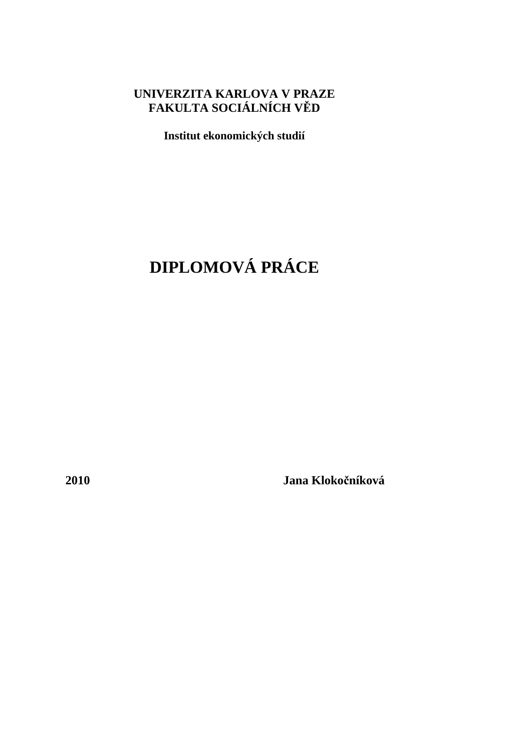## **UNIVERZITA KARLOVA V PRAZE FAKULTA SOCIÁLNÍCH V**Ě**D**

**Institut ekonomických studií** 

# **DIPLOMOVÁ PRÁCE**

**2010 Jana Kloko**č**níková**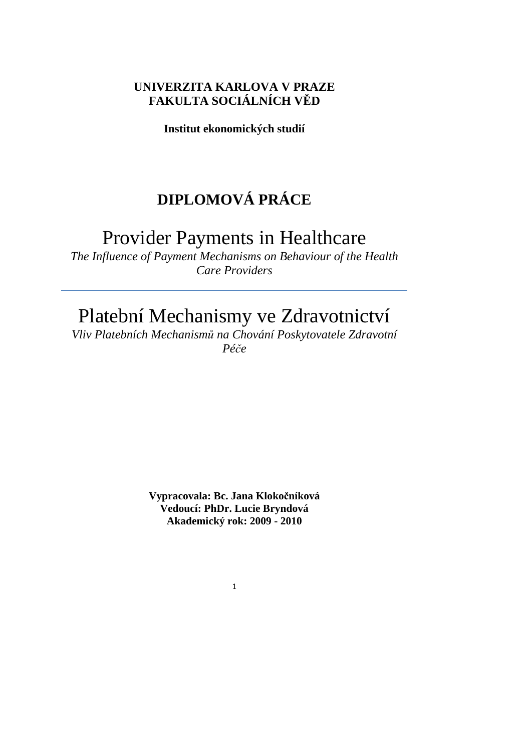## **UNIVERZITA KARLOVA V PRAZE FAKULTA SOCIÁLNÍCH V**Ě**D**

**Institut ekonomických studií** 

# **DIPLOMOVÁ PRÁCE**

## Provider Payments in Healthcare

*The Influence of Payment Mechanisms on Behaviour of the Health Care Providers* 

# Platební Mechanismy ve Zdravotnictví

*Vliv Platebních Mechanism*ů *na Chování Poskytovatele Zdravotní Pé*č*e* 

> **Vypracovala: Bc. Jana Kloko**č**níková Vedoucí: PhDr. Lucie Bryndová Akademický rok: 2009 - 2010**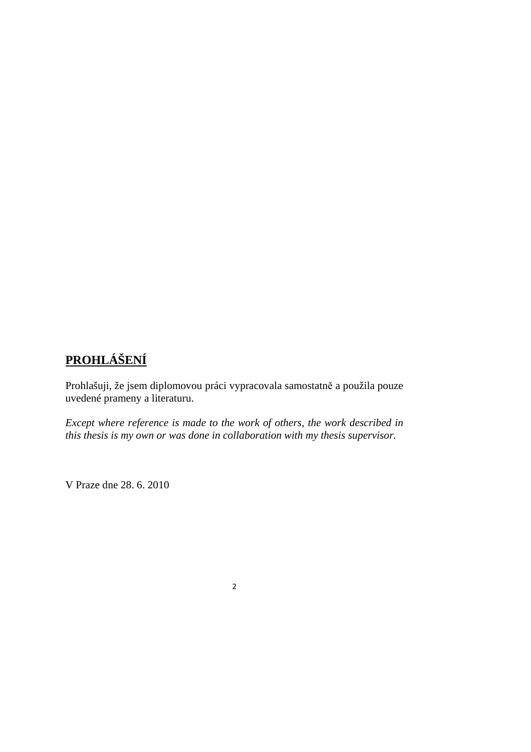## **PROHLÁŠENÍ**

Prohlašuji, že jsem diplomovou práci vypracovala samostatně a použila pouze uvedené prameny a literaturu.

*Except where reference is made to the work of others, the work described in this thesis is my own or was done in collaboration with my thesis supervisor.* 

V Praze dne 28. 6. 2010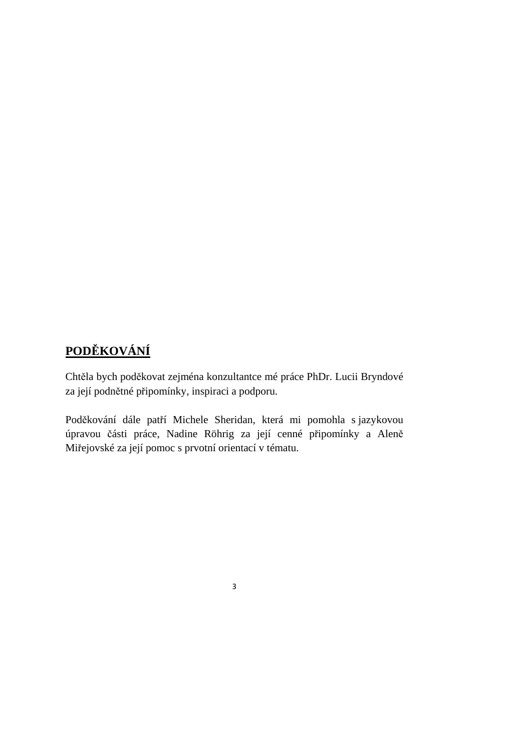# **POD**Ě**KOVÁNÍ**

Chtěla bych poděkovat zejména konzultantce mé práce PhDr. Lucii Bryndové za její podnětné připomínky, inspiraci a podporu.

Poděkování dále patří Michele Sheridan, která mi pomohla s jazykovou úpravou části práce, Nadine Röhrig za její cenné připomínky a Aleně Miřejovské za její pomoc s prvotní orientací v tématu.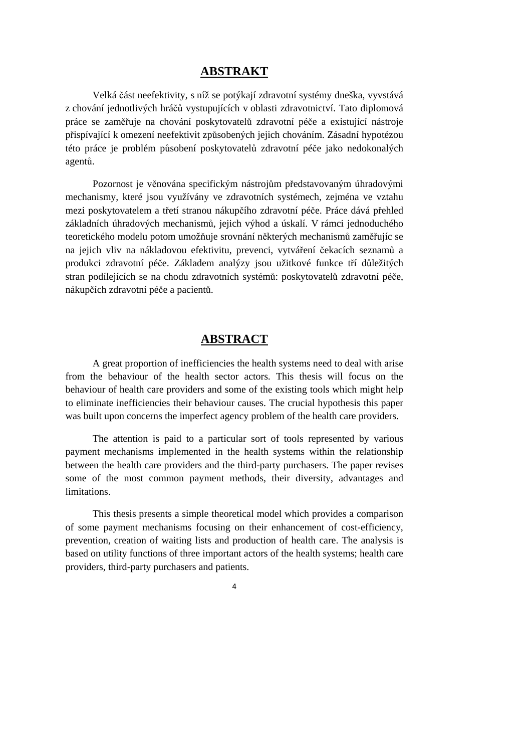### **ABSTRAKT**

Velká část neefektivity, s níž se potýkají zdravotní systémy dneška, vyvstává z chování jednotlivých hráčů vystupujících v oblasti zdravotnictví. Tato diplomová práce se zaměřuje na chování poskytovatelů zdravotní péče a existující nástroje přispívající k omezení neefektivit způsobených jejich chováním. Zásadní hypotézou této práce je problém působení poskytovatelů zdravotní péče jako nedokonalých agentů.

Pozornost je věnována specifickým nástrojům představovaným úhradovými mechanismy, které jsou využívány ve zdravotních systémech, zejména ve vztahu mezi poskytovatelem a třetí stranou nákupčího zdravotní péče. Práce dává přehled základních úhradových mechanismů, jejich výhod a úskalí. V rámci jednoduchého teoretického modelu potom umožňuje srovnání některých mechanismů zaměřujíc se na jejich vliv na nákladovou efektivitu, prevenci, vytváření čekacích seznamů a produkci zdravotní péče. Základem analýzy jsou užitkové funkce tří důležitých stran podílejících se na chodu zdravotních systémů: poskytovatelů zdravotní péče, nákupčích zdravotní péče a pacientů.

## **ABSTRACT**

A great proportion of inefficiencies the health systems need to deal with arise from the behaviour of the health sector actors. This thesis will focus on the behaviour of health care providers and some of the existing tools which might help to eliminate inefficiencies their behaviour causes. The crucial hypothesis this paper was built upon concerns the imperfect agency problem of the health care providers.

The attention is paid to a particular sort of tools represented by various payment mechanisms implemented in the health systems within the relationship between the health care providers and the third-party purchasers. The paper revises some of the most common payment methods, their diversity, advantages and limitations.

This thesis presents a simple theoretical model which provides a comparison of some payment mechanisms focusing on their enhancement of cost-efficiency, prevention, creation of waiting lists and production of health care. The analysis is based on utility functions of three important actors of the health systems; health care providers, third-party purchasers and patients.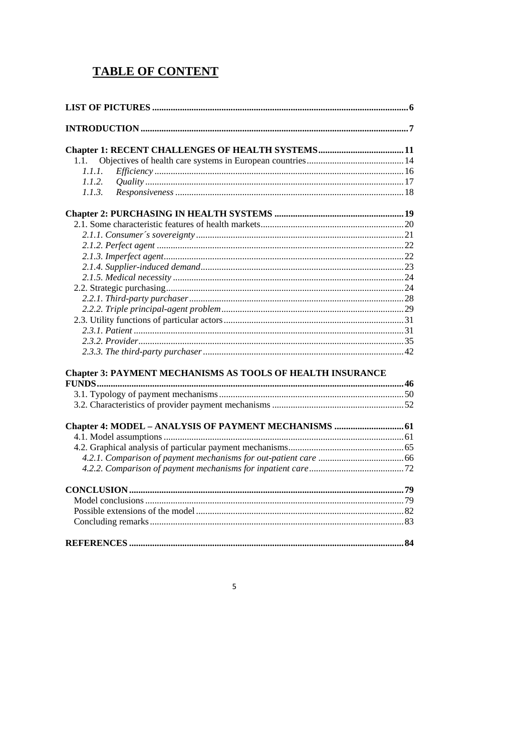## **TABLE OF CONTENT**

| 1.1.                                                              |  |
|-------------------------------------------------------------------|--|
| 1.1.1.                                                            |  |
| 1.1.2.                                                            |  |
| 1.1.3.                                                            |  |
|                                                                   |  |
|                                                                   |  |
|                                                                   |  |
|                                                                   |  |
|                                                                   |  |
|                                                                   |  |
|                                                                   |  |
|                                                                   |  |
|                                                                   |  |
|                                                                   |  |
|                                                                   |  |
|                                                                   |  |
|                                                                   |  |
|                                                                   |  |
| <b>Chapter 3: PAYMENT MECHANISMS AS TOOLS OF HEALTH INSURANCE</b> |  |
| FUNDS                                                             |  |
|                                                                   |  |
|                                                                   |  |
|                                                                   |  |
| Chapter 4: MODEL - ANALYSIS OF PAYMENT MECHANISMS  61             |  |
|                                                                   |  |
|                                                                   |  |
|                                                                   |  |
|                                                                   |  |
|                                                                   |  |
|                                                                   |  |
|                                                                   |  |
|                                                                   |  |
|                                                                   |  |

### $5\overline{)}$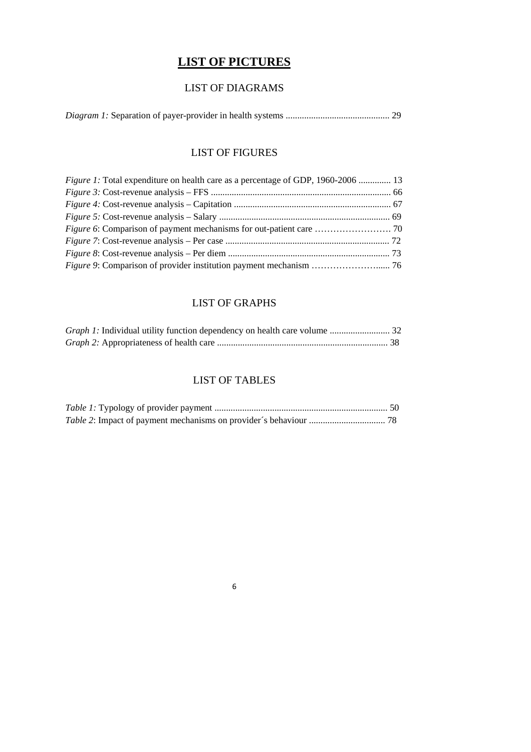## **LIST OF PICTURES**

## LIST OF DIAGRAMS

|--|--|--|--|--|

## LIST OF FIGURES

| <i>Figure 1:</i> Total expenditure on health care as a percentage of GDP, 1960-2006  13 |  |
|-----------------------------------------------------------------------------------------|--|
|                                                                                         |  |
|                                                                                         |  |
|                                                                                         |  |
|                                                                                         |  |
|                                                                                         |  |
|                                                                                         |  |
|                                                                                         |  |

## LIST OF GRAPHS

## LIST OF TABLES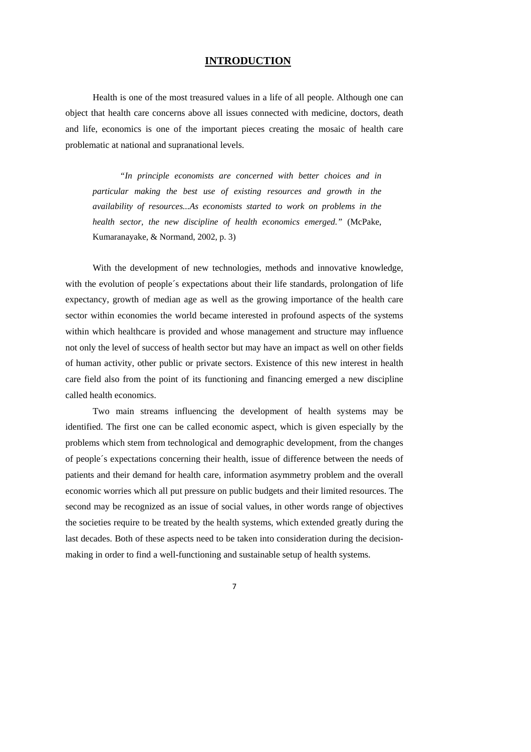#### **INTRODUCTION**

Health is one of the most treasured values in a life of all people. Although one can object that health care concerns above all issues connected with medicine, doctors, death and life, economics is one of the important pieces creating the mosaic of health care problematic at national and supranational levels.

*"In principle economists are concerned with better choices and in particular making the best use of existing resources and growth in the availability of resources...As economists started to work on problems in the health sector, the new discipline of health economics emerged."* (McPake, Kumaranayake, & Normand, 2002, p. 3)

With the development of new technologies, methods and innovative knowledge, with the evolution of people´s expectations about their life standards, prolongation of life expectancy, growth of median age as well as the growing importance of the health care sector within economies the world became interested in profound aspects of the systems within which healthcare is provided and whose management and structure may influence not only the level of success of health sector but may have an impact as well on other fields of human activity, other public or private sectors. Existence of this new interest in health care field also from the point of its functioning and financing emerged a new discipline called health economics.

Two main streams influencing the development of health systems may be identified. The first one can be called economic aspect, which is given especially by the problems which stem from technological and demographic development, from the changes of people´s expectations concerning their health, issue of difference between the needs of patients and their demand for health care, information asymmetry problem and the overall economic worries which all put pressure on public budgets and their limited resources. The second may be recognized as an issue of social values, in other words range of objectives the societies require to be treated by the health systems, which extended greatly during the last decades. Both of these aspects need to be taken into consideration during the decisionmaking in order to find a well-functioning and sustainable setup of health systems.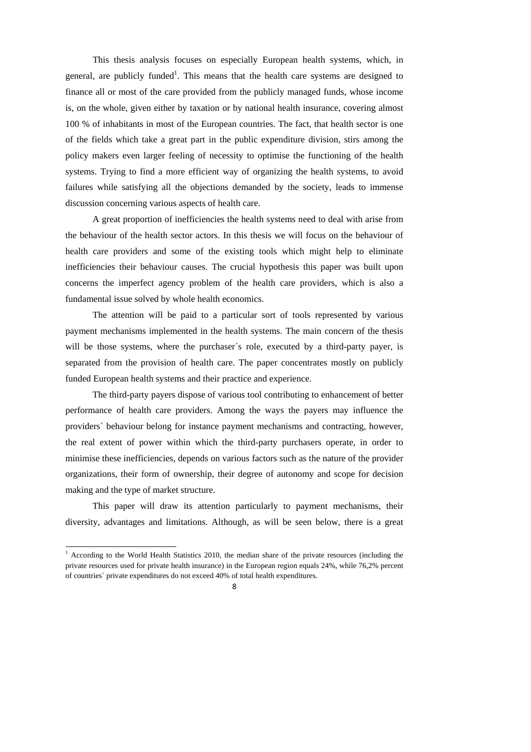This thesis analysis focuses on especially European health systems, which, in general, are publicly funded<sup>1</sup>. This means that the health care systems are designed to finance all or most of the care provided from the publicly managed funds, whose income is, on the whole, given either by taxation or by national health insurance, covering almost 100 % of inhabitants in most of the European countries. The fact, that health sector is one of the fields which take a great part in the public expenditure division, stirs among the policy makers even larger feeling of necessity to optimise the functioning of the health systems. Trying to find a more efficient way of organizing the health systems, to avoid failures while satisfying all the objections demanded by the society, leads to immense discussion concerning various aspects of health care.

A great proportion of inefficiencies the health systems need to deal with arise from the behaviour of the health sector actors. In this thesis we will focus on the behaviour of health care providers and some of the existing tools which might help to eliminate inefficiencies their behaviour causes. The crucial hypothesis this paper was built upon concerns the imperfect agency problem of the health care providers, which is also a fundamental issue solved by whole health economics.

The attention will be paid to a particular sort of tools represented by various payment mechanisms implemented in the health systems. The main concern of the thesis will be those systems, where the purchaser´s role, executed by a third-party payer, is separated from the provision of health care. The paper concentrates mostly on publicly funded European health systems and their practice and experience.

The third-party payers dispose of various tool contributing to enhancement of better performance of health care providers. Among the ways the payers may influence the providers´ behaviour belong for instance payment mechanisms and contracting, however, the real extent of power within which the third-party purchasers operate, in order to minimise these inefficiencies, depends on various factors such as the nature of the provider organizations, their form of ownership, their degree of autonomy and scope for decision making and the type of market structure.

This paper will draw its attention particularly to payment mechanisms, their diversity, advantages and limitations. Although, as will be seen below, there is a great



<sup>&</sup>lt;sup>1</sup> According to the World Health Statistics 2010, the median share of the private resources (including the private resources used for private health insurance) in the European region equals 24%, while 76,2% percent of countries´ private expenditures do not exceed 40% of total health expenditures.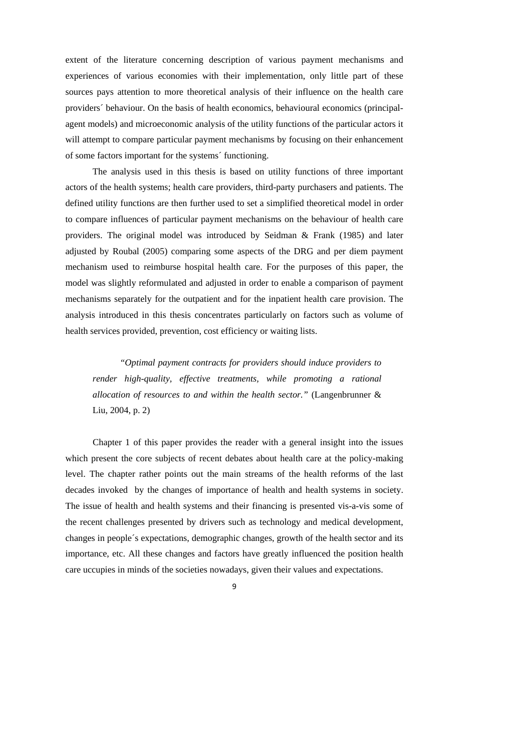extent of the literature concerning description of various payment mechanisms and experiences of various economies with their implementation, only little part of these sources pays attention to more theoretical analysis of their influence on the health care providers´ behaviour. On the basis of health economics, behavioural economics (principalagent models) and microeconomic analysis of the utility functions of the particular actors it will attempt to compare particular payment mechanisms by focusing on their enhancement of some factors important for the systems´ functioning.

The analysis used in this thesis is based on utility functions of three important actors of the health systems; health care providers, third-party purchasers and patients. The defined utility functions are then further used to set a simplified theoretical model in order to compare influences of particular payment mechanisms on the behaviour of health care providers. The original model was introduced by Seidman & Frank (1985) and later adjusted by Roubal (2005) comparing some aspects of the DRG and per diem payment mechanism used to reimburse hospital health care. For the purposes of this paper, the model was slightly reformulated and adjusted in order to enable a comparison of payment mechanisms separately for the outpatient and for the inpatient health care provision. The analysis introduced in this thesis concentrates particularly on factors such as volume of health services provided, prevention, cost efficiency or waiting lists.

*"Optimal payment contracts for providers should induce providers to render high-quality, effective treatments, while promoting a rational allocation of resources to and within the health sector."* (Langenbrunner & Liu, 2004, p. 2)

Chapter 1 of this paper provides the reader with a general insight into the issues which present the core subjects of recent debates about health care at the policy-making level. The chapter rather points out the main streams of the health reforms of the last decades invoked by the changes of importance of health and health systems in society. The issue of health and health systems and their financing is presented vis-a-vis some of the recent challenges presented by drivers such as technology and medical development, changes in people´s expectations, demographic changes, growth of the health sector and its importance, etc. All these changes and factors have greatly influenced the position health care uccupies in minds of the societies nowadays, given their values and expectations.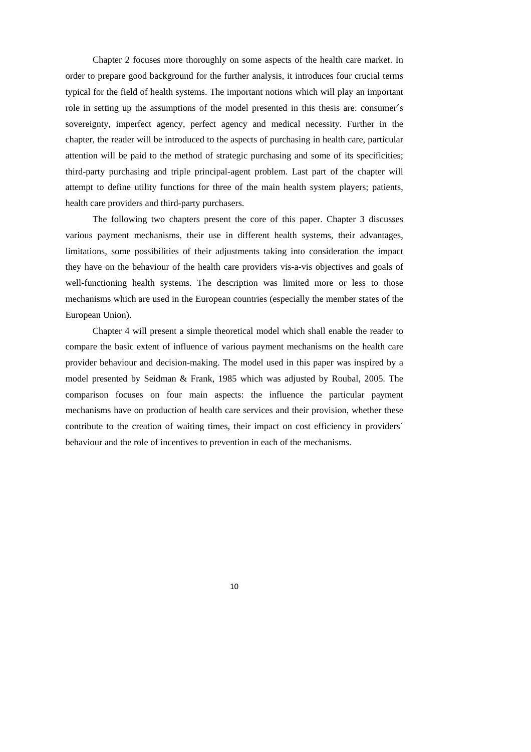Chapter 2 focuses more thoroughly on some aspects of the health care market. In order to prepare good background for the further analysis, it introduces four crucial terms typical for the field of health systems. The important notions which will play an important role in setting up the assumptions of the model presented in this thesis are: consumer´s sovereignty, imperfect agency, perfect agency and medical necessity. Further in the chapter, the reader will be introduced to the aspects of purchasing in health care, particular attention will be paid to the method of strategic purchasing and some of its specificities; third-party purchasing and triple principal-agent problem. Last part of the chapter will attempt to define utility functions for three of the main health system players; patients, health care providers and third-party purchasers.

The following two chapters present the core of this paper. Chapter 3 discusses various payment mechanisms, their use in different health systems, their advantages, limitations, some possibilities of their adjustments taking into consideration the impact they have on the behaviour of the health care providers vis-a-vis objectives and goals of well-functioning health systems. The description was limited more or less to those mechanisms which are used in the European countries (especially the member states of the European Union).

Chapter 4 will present a simple theoretical model which shall enable the reader to compare the basic extent of influence of various payment mechanisms on the health care provider behaviour and decision-making. The model used in this paper was inspired by a model presented by Seidman & Frank, 1985 which was adjusted by Roubal, 2005. The comparison focuses on four main aspects: the influence the particular payment mechanisms have on production of health care services and their provision, whether these contribute to the creation of waiting times, their impact on cost efficiency in providers´ behaviour and the role of incentives to prevention in each of the mechanisms.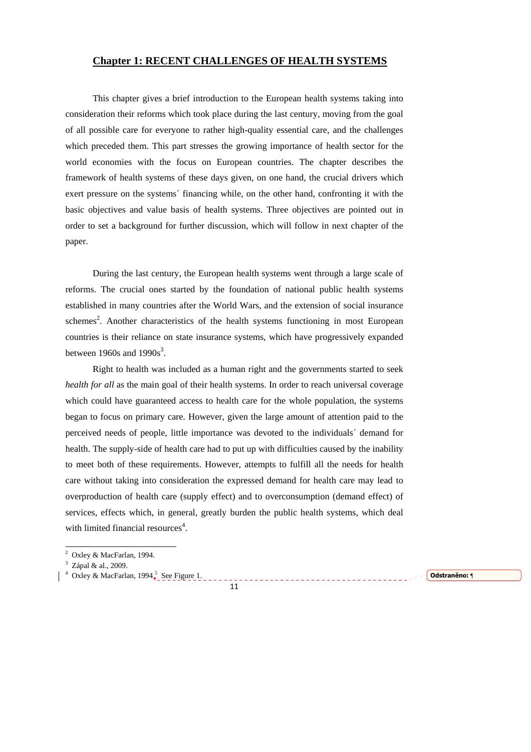#### **Chapter 1: RECENT CHALLENGES OF HEALTH SYSTEMS**

This chapter gives a brief introduction to the European health systems taking into consideration their reforms which took place during the last century, moving from the goal of all possible care for everyone to rather high-quality essential care, and the challenges which preceded them. This part stresses the growing importance of health sector for the world economies with the focus on European countries. The chapter describes the framework of health systems of these days given, on one hand, the crucial drivers which exert pressure on the systems´ financing while, on the other hand, confronting it with the basic objectives and value basis of health systems. Three objectives are pointed out in order to set a background for further discussion, which will follow in next chapter of the paper.

During the last century, the European health systems went through a large scale of reforms. The crucial ones started by the foundation of national public health systems established in many countries after the World Wars, and the extension of social insurance schemes<sup>2</sup>. Another characteristics of the health systems functioning in most European countries is their reliance on state insurance systems, which have progressively expanded between 1960s and  $1990s^3$ .

Right to health was included as a human right and the governments started to seek *health for all* as the main goal of their health systems. In order to reach universal coverage which could have guaranteed access to health care for the whole population, the systems began to focus on primary care. However, given the large amount of attention paid to the perceived needs of people, little importance was devoted to the individuals´ demand for health. The supply-side of health care had to put up with difficulties caused by the inability to meet both of these requirements. However, attempts to fulfill all the needs for health care without taking into consideration the expressed demand for health care may lead to overproduction of health care (supply effect) and to overconsumption (demand effect) of services, effects which, in general, greatly burden the public health systems, which deal with limited financial resources<sup>4</sup>.

11

<sup>4</sup> Oxley & MacFarlan, 1994 $\frac{5}{3}$  See Figure 1.  $\frac{5}{3}$  See Figure 1.

 2 Oxley & MacFarlan, 1994.

<sup>&</sup>lt;sup>3</sup> Zápal & al., 2009.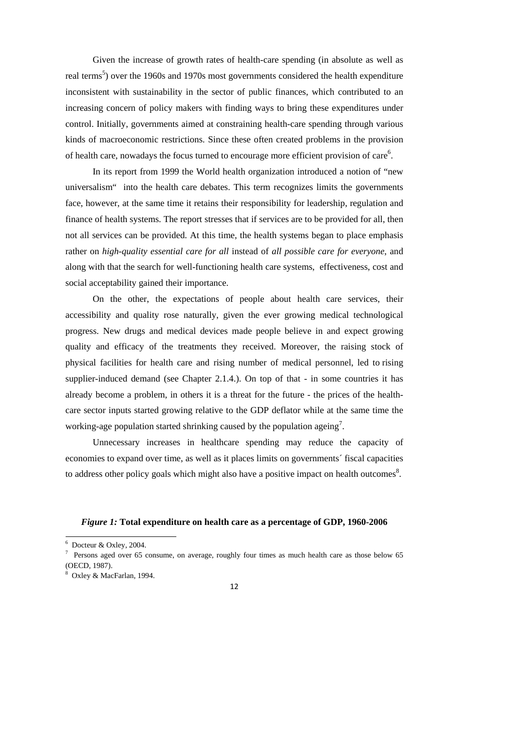Given the increase of growth rates of health-care spending (in absolute as well as real terms<sup>5</sup>) over the 1960s and 1970s most governments considered the health expenditure inconsistent with sustainability in the sector of public finances, which contributed to an increasing concern of policy makers with finding ways to bring these expenditures under control. Initially, governments aimed at constraining health-care spending through various kinds of macroeconomic restrictions. Since these often created problems in the provision of health care, nowadays the focus turned to encourage more efficient provision of care $6$ .

In its report from 1999 the World health organization introduced a notion of "new universalism" into the health care debates. This term recognizes limits the governments face, however, at the same time it retains their responsibility for leadership, regulation and finance of health systems. The report stresses that if services are to be provided for all, then not all services can be provided. At this time, the health systems began to place emphasis rather on *high-quality essential care for all* instead of *all possible care for everyone*, and along with that the search for well-functioning health care systems, effectiveness, cost and social acceptability gained their importance.

On the other, the expectations of people about health care services, their accessibility and quality rose naturally, given the ever growing medical technological progress. New drugs and medical devices made people believe in and expect growing quality and efficacy of the treatments they received. Moreover, the raising stock of physical facilities for health care and rising number of medical personnel, led to rising supplier-induced demand (see Chapter 2.1.4.). On top of that - in some countries it has already become a problem, in others it is a threat for the future - the prices of the healthcare sector inputs started growing relative to the GDP deflator while at the same time the working-age population started shrinking caused by the population ageing<sup>7</sup>.

Unnecessary increases in healthcare spending may reduce the capacity of economies to expand over time, as well as it places limits on governments´ fiscal capacities to address other policy goals which might also have a positive impact on health outcomes $8$ .

#### *Figure 1:* **Total expenditure on health care as a percentage of GDP, 1960-2006**



 $\frac{6}{6}$  Docteur & Oxley, 2004.

<sup>7</sup> Persons aged over 65 consume, on average, roughly four times as much health care as those below 65 (OECD, 1987).

<sup>8</sup> Oxley & MacFarlan, 1994.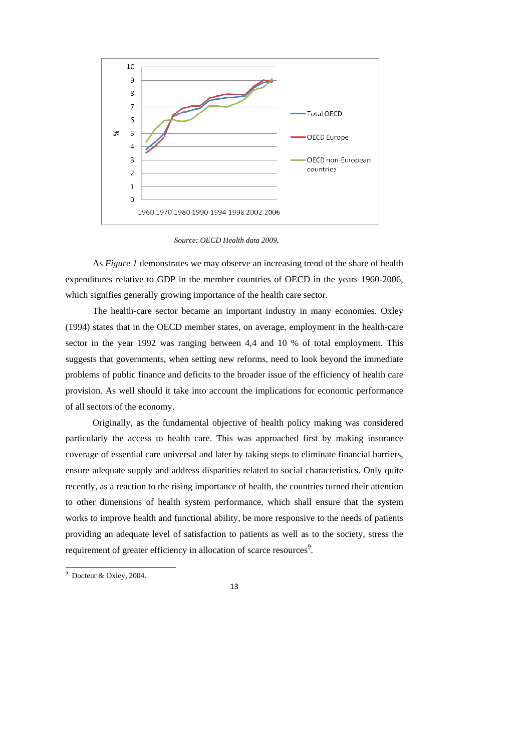

*Source: OECD Health data 2009.*

As *Figure 1* demonstrates we may observe an increasing trend of the share of health expenditures relative to GDP in the member countries of OECD in the years 1960-2006, which signifies generally growing importance of the health care sector.

The health-care sector became an important industry in many economies. Oxley (1994) states that in the OECD member states, on average, employment in the health-care sector in the year 1992 was ranging between 4,4 and 10 % of total employment. This suggests that governments, when setting new reforms, need to look beyond the immediate problems of public finance and deficits to the broader issue of the efficiency of health care provision. As well should it take into account the implications for economic performance of all sectors of the economy.

Originally, as the fundamental objective of health policy making was considered particularly the access to health care. This was approached first by making insurance coverage of essential care universal and later by taking steps to eliminate financial barriers, ensure adequate supply and address disparities related to social characteristics. Only quite recently, as a reaction to the rising importance of health, the countries turned their attention to other dimensions of health system performance, which shall ensure that the system works to improve health and functional ability, be more responsive to the needs of patients providing an adequate level of satisfaction to patients as well as to the society, stress the requirement of greater efficiency in allocation of scarce resources<sup>9</sup>.

 9 Docteur & Oxley, 2004.

<sup>13</sup>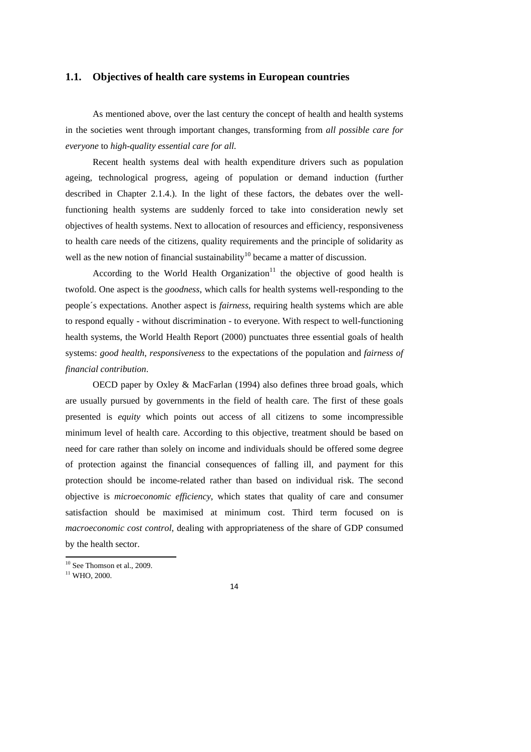#### **1.1. Objectives of health care systems in European countries**

As mentioned above, over the last century the concept of health and health systems in the societies went through important changes, transforming from *all possible care for everyone* to *high-quality essential care for all.*

Recent health systems deal with health expenditure drivers such as population ageing, technological progress, ageing of population or demand induction (further described in Chapter 2.1.4.). In the light of these factors, the debates over the wellfunctioning health systems are suddenly forced to take into consideration newly set objectives of health systems. Next to allocation of resources and efficiency, responsiveness to health care needs of the citizens, quality requirements and the principle of solidarity as well as the new notion of financial sustainability<sup>10</sup> became a matter of discussion.

According to the World Health Organization<sup>11</sup> the objective of good health is twofold. One aspect is the *goodness*, which calls for health systems well-responding to the people´s expectations. Another aspect is *fairness*, requiring health systems which are able to respond equally - without discrimination - to everyone. With respect to well-functioning health systems, the World Health Report (2000) punctuates three essential goals of health systems: *good health*, *responsiveness* to the expectations of the population and *fairness of financial contribution*.

OECD paper by Oxley & MacFarlan (1994) also defines three broad goals, which are usually pursued by governments in the field of health care. The first of these goals presented is *equity* which points out access of all citizens to some incompressible minimum level of health care. According to this objective, treatment should be based on need for care rather than solely on income and individuals should be offered some degree of protection against the financial consequences of falling ill, and payment for this protection should be income-related rather than based on individual risk. The second objective is *microeconomic efficiency*, which states that quality of care and consumer satisfaction should be maximised at minimum cost. Third term focused on is *macroeconomic cost control*, dealing with appropriateness of the share of GDP consumed by the health sector.

<sup>&</sup>lt;sup>10</sup> See Thomson et al., 2009.

<sup>&</sup>lt;sup>11</sup> WHO, 2000.

<sup>14</sup>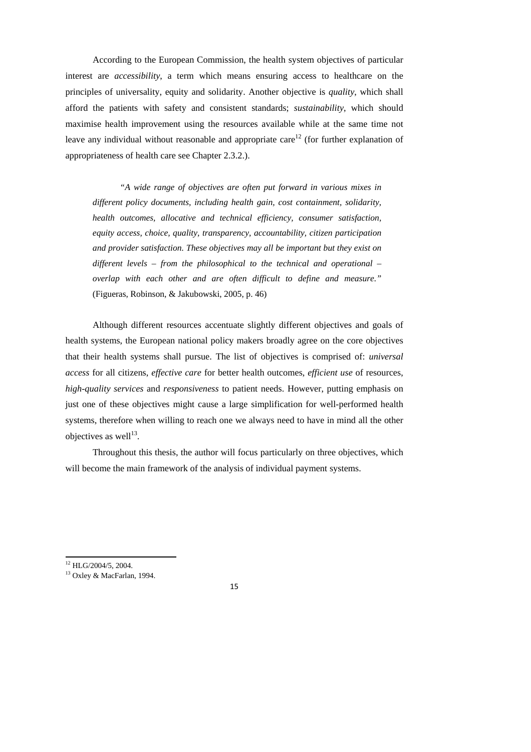According to the European Commission, the health system objectives of particular interest are *accessibility*, a term which means ensuring access to healthcare on the principles of universality, equity and solidarity. Another objective is *quality*, which shall afford the patients with safety and consistent standards; *sustainability*, which should maximise health improvement using the resources available while at the same time not leave any individual without reasonable and appropriate care<sup>12</sup> (for further explanation of appropriateness of health care see Chapter 2.3.2.).

*"A wide range of objectives are often put forward in various mixes in different policy documents, including health gain, cost containment, solidarity, health outcomes, allocative and technical efficiency, consumer satisfaction, equity access, choice, quality, transparency, accountability, citizen participation and provider satisfaction. These objectives may all be important but they exist on different levels – from the philosophical to the technical and operational – overlap with each other and are often difficult to define and measure."*  (Figueras, Robinson, & Jakubowski, 2005, p. 46)

Although different resources accentuate slightly different objectives and goals of health systems, the European national policy makers broadly agree on the core objectives that their health systems shall pursue. The list of objectives is comprised of: *universal access* for all citizens, *effective care* for better health outcomes, *efficient use* of resources, *high-quality services* and *responsiveness* to patient needs. However, putting emphasis on just one of these objectives might cause a large simplification for well-performed health systems, therefore when willing to reach one we always need to have in mind all the other objectives as well $^{13}$ .

Throughout this thesis, the author will focus particularly on three objectives, which will become the main framework of the analysis of individual payment systems.

<sup>&</sup>lt;sup>12</sup> HLG/2004/5, 2004.

<sup>&</sup>lt;sup>13</sup> Oxley & MacFarlan, 1994.

<sup>15</sup>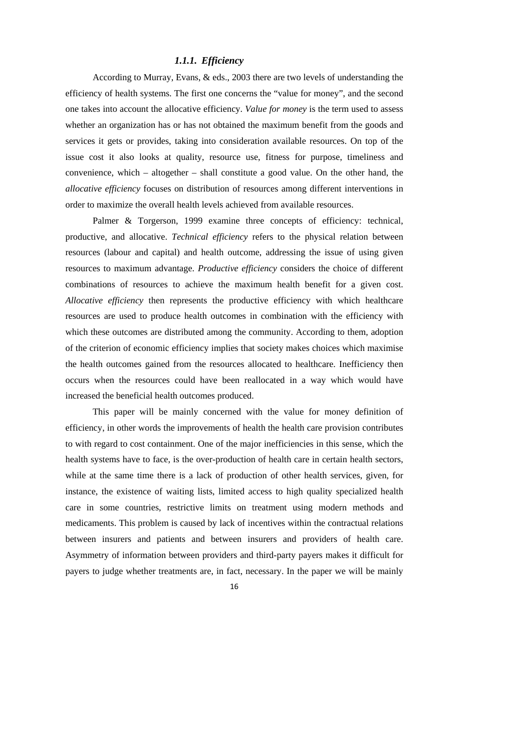#### *1.1.1. Efficiency*

According to Murray, Evans, & eds., 2003 there are two levels of understanding the efficiency of health systems. The first one concerns the "value for money", and the second one takes into account the allocative efficiency. *Value for money* is the term used to assess whether an organization has or has not obtained the maximum benefit from the goods and services it gets or provides, taking into consideration available resources. On top of the issue cost it also looks at quality, resource use, fitness for purpose, timeliness and convenience, which – altogether – shall constitute a good value. On the other hand, the *allocative efficiency* focuses on distribution of resources among different interventions in order to maximize the overall health levels achieved from available resources.

Palmer & Torgerson, 1999 examine three concepts of efficiency: technical, productive, and allocative. *Technical efficiency* refers to the physical relation between resources (labour and capital) and health outcome, addressing the issue of using given resources to maximum advantage. *Productive efficiency* considers the choice of different combinations of resources to achieve the maximum health benefit for a given cost. *Allocative efficiency* then represents the productive efficiency with which healthcare resources are used to produce health outcomes in combination with the efficiency with which these outcomes are distributed among the community. According to them, adoption of the criterion of economic efficiency implies that society makes choices which maximise the health outcomes gained from the resources allocated to healthcare. Inefficiency then occurs when the resources could have been reallocated in a way which would have increased the beneficial health outcomes produced.

This paper will be mainly concerned with the value for money definition of efficiency, in other words the improvements of health the health care provision contributes to with regard to cost containment. One of the major inefficiencies in this sense, which the health systems have to face, is the over-production of health care in certain health sectors, while at the same time there is a lack of production of other health services, given, for instance, the existence of waiting lists, limited access to high quality specialized health care in some countries, restrictive limits on treatment using modern methods and medicaments. This problem is caused by lack of incentives within the contractual relations between insurers and patients and between insurers and providers of health care. Asymmetry of information between providers and third-party payers makes it difficult for payers to judge whether treatments are, in fact, necessary. In the paper we will be mainly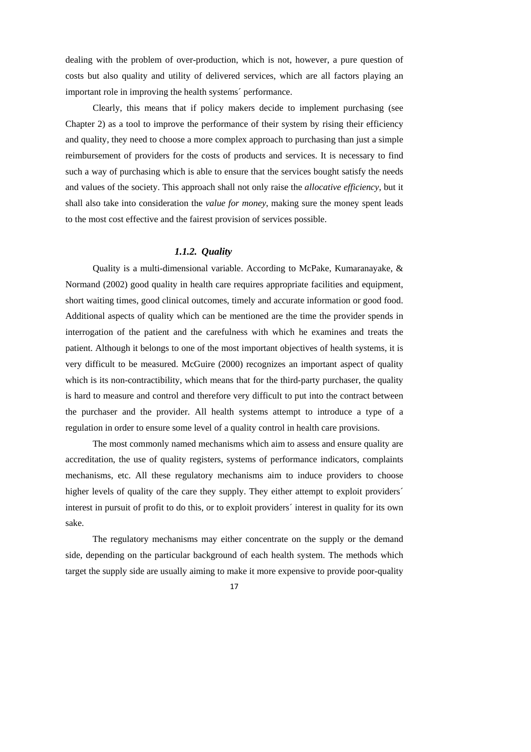dealing with the problem of over-production, which is not, however, a pure question of costs but also quality and utility of delivered services, which are all factors playing an important role in improving the health systems´ performance.

Clearly, this means that if policy makers decide to implement purchasing (see Chapter 2) as a tool to improve the performance of their system by rising their efficiency and quality, they need to choose a more complex approach to purchasing than just a simple reimbursement of providers for the costs of products and services. It is necessary to find such a way of purchasing which is able to ensure that the services bought satisfy the needs and values of the society. This approach shall not only raise the *allocative efficiency*, but it shall also take into consideration the *value for money*, making sure the money spent leads to the most cost effective and the fairest provision of services possible.

#### *1.1.2. Quality*

Quality is a multi-dimensional variable. According to McPake, Kumaranayake, & Normand (2002) good quality in health care requires appropriate facilities and equipment, short waiting times, good clinical outcomes, timely and accurate information or good food. Additional aspects of quality which can be mentioned are the time the provider spends in interrogation of the patient and the carefulness with which he examines and treats the patient. Although it belongs to one of the most important objectives of health systems, it is very difficult to be measured. McGuire (2000) recognizes an important aspect of quality which is its non-contractibility, which means that for the third-party purchaser, the quality is hard to measure and control and therefore very difficult to put into the contract between the purchaser and the provider. All health systems attempt to introduce a type of a regulation in order to ensure some level of a quality control in health care provisions.

The most commonly named mechanisms which aim to assess and ensure quality are accreditation, the use of quality registers, systems of performance indicators, complaints mechanisms, etc. All these regulatory mechanisms aim to induce providers to choose higher levels of quality of the care they supply. They either attempt to exploit providers' interest in pursuit of profit to do this, or to exploit providers´ interest in quality for its own sake.

The regulatory mechanisms may either concentrate on the supply or the demand side, depending on the particular background of each health system. The methods which target the supply side are usually aiming to make it more expensive to provide poor-quality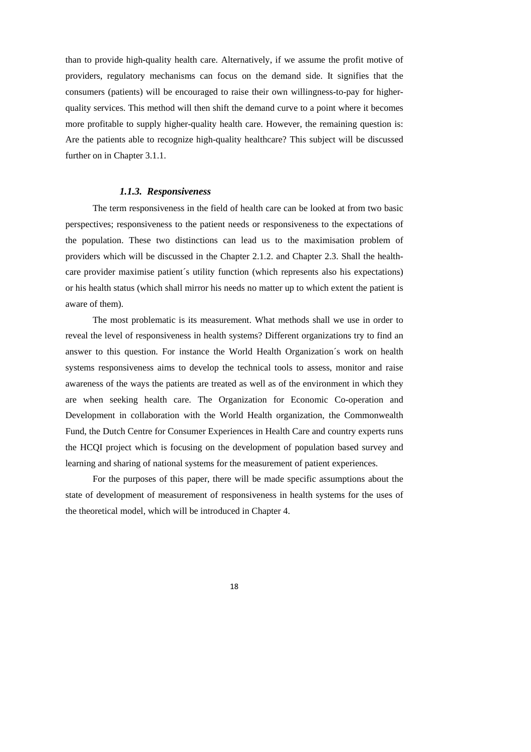than to provide high-quality health care. Alternatively, if we assume the profit motive of providers, regulatory mechanisms can focus on the demand side. It signifies that the consumers (patients) will be encouraged to raise their own willingness-to-pay for higherquality services. This method will then shift the demand curve to a point where it becomes more profitable to supply higher-quality health care. However, the remaining question is: Are the patients able to recognize high-quality healthcare? This subject will be discussed further on in Chapter 3.1.1.

#### *1.1.3. Responsiveness*

The term responsiveness in the field of health care can be looked at from two basic perspectives; responsiveness to the patient needs or responsiveness to the expectations of the population. These two distinctions can lead us to the maximisation problem of providers which will be discussed in the Chapter 2.1.2. and Chapter 2.3. Shall the healthcare provider maximise patient´s utility function (which represents also his expectations) or his health status (which shall mirror his needs no matter up to which extent the patient is aware of them).

The most problematic is its measurement. What methods shall we use in order to reveal the level of responsiveness in health systems? Different organizations try to find an answer to this question. For instance the World Health Organization´s work on health systems responsiveness aims to develop the technical tools to assess, monitor and raise awareness of the ways the patients are treated as well as of the environment in which they are when seeking health care. The Organization for Economic Co-operation and Development in collaboration with the World Health organization, the Commonwealth Fund, the Dutch Centre for Consumer Experiences in Health Care and country experts runs the HCQI project which is focusing on the development of population based survey and learning and sharing of national systems for the measurement of patient experiences.

For the purposes of this paper, there will be made specific assumptions about the state of development of measurement of responsiveness in health systems for the uses of the theoretical model, which will be introduced in Chapter 4.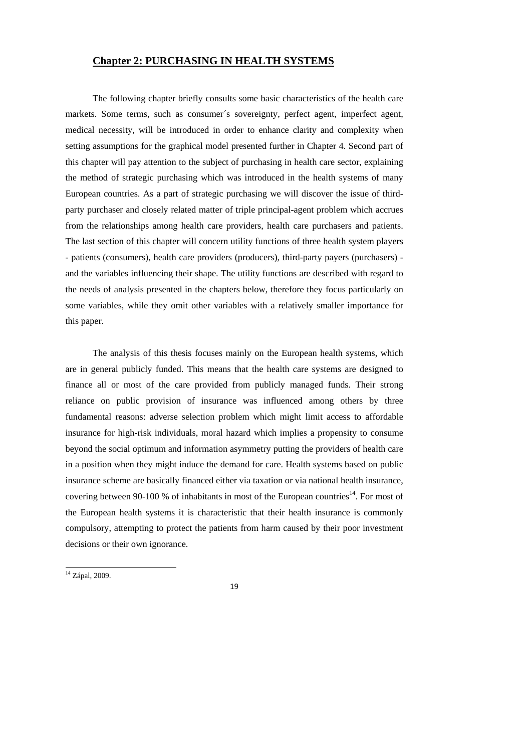#### **Chapter 2: PURCHASING IN HEALTH SYSTEMS**

The following chapter briefly consults some basic characteristics of the health care markets. Some terms, such as consumer´s sovereignty, perfect agent, imperfect agent, medical necessity, will be introduced in order to enhance clarity and complexity when setting assumptions for the graphical model presented further in Chapter 4. Second part of this chapter will pay attention to the subject of purchasing in health care sector, explaining the method of strategic purchasing which was introduced in the health systems of many European countries. As a part of strategic purchasing we will discover the issue of thirdparty purchaser and closely related matter of triple principal-agent problem which accrues from the relationships among health care providers, health care purchasers and patients. The last section of this chapter will concern utility functions of three health system players - patients (consumers), health care providers (producers), third-party payers (purchasers) and the variables influencing their shape. The utility functions are described with regard to the needs of analysis presented in the chapters below, therefore they focus particularly on some variables, while they omit other variables with a relatively smaller importance for this paper.

The analysis of this thesis focuses mainly on the European health systems, which are in general publicly funded. This means that the health care systems are designed to finance all or most of the care provided from publicly managed funds. Their strong reliance on public provision of insurance was influenced among others by three fundamental reasons: adverse selection problem which might limit access to affordable insurance for high-risk individuals, moral hazard which implies a propensity to consume beyond the social optimum and information asymmetry putting the providers of health care in a position when they might induce the demand for care. Health systems based on public insurance scheme are basically financed either via taxation or via national health insurance, covering between 90-100 % of inhabitants in most of the European countries<sup>14</sup>. For most of the European health systems it is characteristic that their health insurance is commonly compulsory, attempting to protect the patients from harm caused by their poor investment decisions or their own ignorance.

1

<sup>&</sup>lt;sup>14</sup> Zápal, 2009.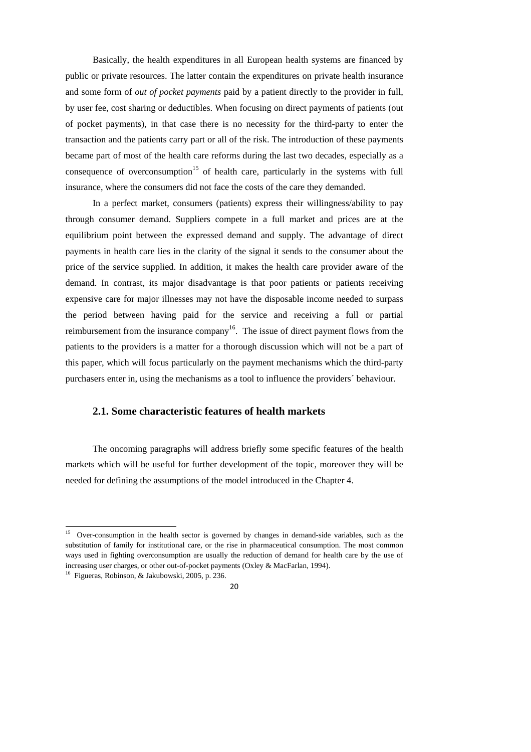Basically, the health expenditures in all European health systems are financed by public or private resources. The latter contain the expenditures on private health insurance and some form of *out of pocket payments* paid by a patient directly to the provider in full, by user fee, cost sharing or deductibles. When focusing on direct payments of patients (out of pocket payments), in that case there is no necessity for the third-party to enter the transaction and the patients carry part or all of the risk. The introduction of these payments became part of most of the health care reforms during the last two decades, especially as a consequence of overconsumption<sup>15</sup> of health care, particularly in the systems with full insurance, where the consumers did not face the costs of the care they demanded.

In a perfect market, consumers (patients) express their willingness/ability to pay through consumer demand. Suppliers compete in a full market and prices are at the equilibrium point between the expressed demand and supply. The advantage of direct payments in health care lies in the clarity of the signal it sends to the consumer about the price of the service supplied. In addition, it makes the health care provider aware of the demand. In contrast, its major disadvantage is that poor patients or patients receiving expensive care for major illnesses may not have the disposable income needed to surpass the period between having paid for the service and receiving a full or partial reimbursement from the insurance company<sup>16</sup>. The issue of direct payment flows from the patients to the providers is a matter for a thorough discussion which will not be a part of this paper, which will focus particularly on the payment mechanisms which the third-party purchasers enter in, using the mechanisms as a tool to influence the providers´ behaviour.

#### **2.1. Some characteristic features of health markets**

The oncoming paragraphs will address briefly some specific features of the health markets which will be useful for further development of the topic, moreover they will be needed for defining the assumptions of the model introduced in the Chapter 4.

<sup>&</sup>lt;sup>15</sup> Over-consumption in the health sector is governed by changes in demand-side variables, such as the substitution of family for institutional care, or the rise in pharmaceutical consumption. The most common ways used in fighting overconsumption are usually the reduction of demand for health care by the use of increasing user charges, or other out-of-pocket payments (Oxley & MacFarlan, 1994).

<sup>16</sup> Figueras, Robinson, & Jakubowski, 2005, p. 236.

 $20$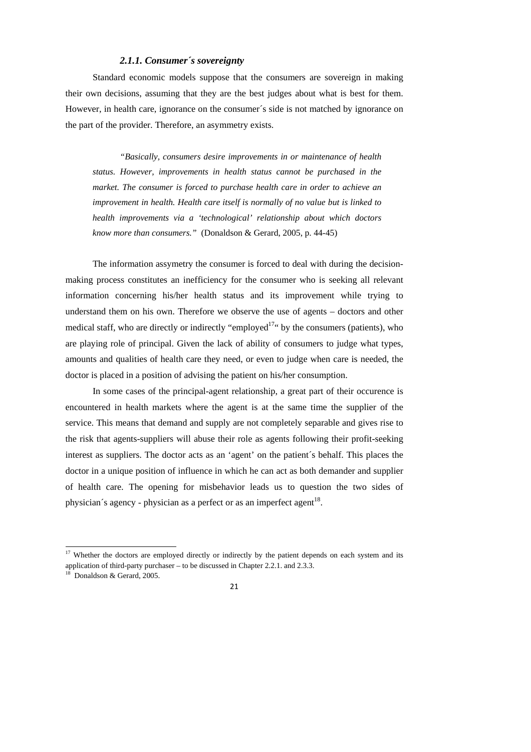#### *2.1.1. Consumer´s sovereignty*

Standard economic models suppose that the consumers are sovereign in making their own decisions, assuming that they are the best judges about what is best for them. However, in health care, ignorance on the consumer´s side is not matched by ignorance on the part of the provider. Therefore, an asymmetry exists.

*"Basically, consumers desire improvements in or maintenance of health status. However, improvements in health status cannot be purchased in the market. The consumer is forced to purchase health care in order to achieve an improvement in health. Health care itself is normally of no value but is linked to health improvements via a 'technological' relationship about which doctors know more than consumers."* (Donaldson & Gerard, 2005, p. 44-45)

The information assymetry the consumer is forced to deal with during the decisionmaking process constitutes an inefficiency for the consumer who is seeking all relevant information concerning his/her health status and its improvement while trying to understand them on his own. Therefore we observe the use of agents – doctors and other medical staff, who are directly or indirectly "employed<sup>17"</sup> by the consumers (patients), who are playing role of principal. Given the lack of ability of consumers to judge what types, amounts and qualities of health care they need, or even to judge when care is needed, the doctor is placed in a position of advising the patient on his/her consumption.

In some cases of the principal-agent relationship, a great part of their occurence is encountered in health markets where the agent is at the same time the supplier of the service. This means that demand and supply are not completely separable and gives rise to the risk that agents-suppliers will abuse their role as agents following their profit-seeking interest as suppliers. The doctor acts as an 'agent' on the patient´s behalf. This places the doctor in a unique position of influence in which he can act as both demander and supplier of health care. The opening for misbehavior leads us to question the two sides of physician´s agency - physician as a perfect or as an imperfect agent<sup>18</sup>.

 $17$  Whether the doctors are employed directly or indirectly by the patient depends on each system and its application of third-party purchaser – to be discussed in Chapter 2.2.1. and 2.3.3.

<sup>18</sup> Donaldson & Gerard, 2005.

<sup>21</sup>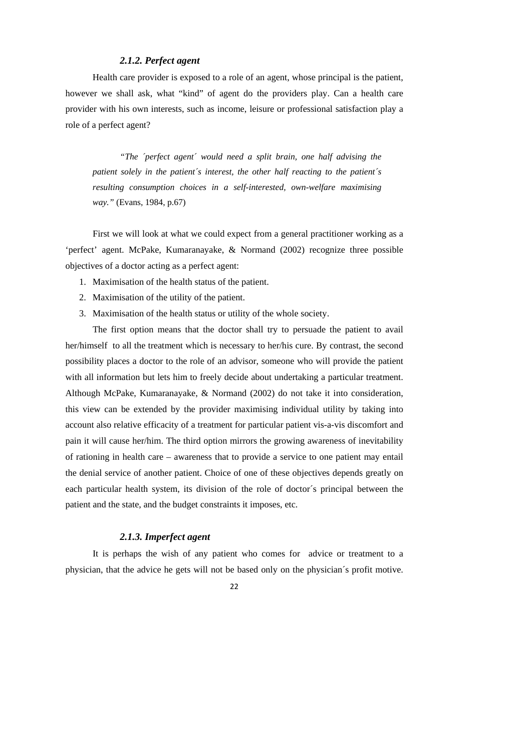#### *2.1.2. Perfect agent*

Health care provider is exposed to a role of an agent, whose principal is the patient, however we shall ask, what "kind" of agent do the providers play. Can a health care provider with his own interests, such as income, leisure or professional satisfaction play a role of a perfect agent?

*"The ´perfect agent´ would need a split brain, one half advising the patient solely in the patient´s interest, the other half reacting to the patient´s resulting consumption choices in a self-interested, own-welfare maximising way."* (Evans, 1984, p.67)

First we will look at what we could expect from a general practitioner working as a 'perfect' agent. McPake, Kumaranayake, & Normand (2002) recognize three possible objectives of a doctor acting as a perfect agent:

- 1. Maximisation of the health status of the patient.
- 2. Maximisation of the utility of the patient.
- 3. Maximisation of the health status or utility of the whole society.

The first option means that the doctor shall try to persuade the patient to avail her/himself to all the treatment which is necessary to her/his cure. By contrast, the second possibility places a doctor to the role of an advisor, someone who will provide the patient with all information but lets him to freely decide about undertaking a particular treatment. Although McPake, Kumaranayake, & Normand (2002) do not take it into consideration, this view can be extended by the provider maximising individual utility by taking into account also relative efficacity of a treatment for particular patient vis-a-vis discomfort and pain it will cause her/him. The third option mirrors the growing awareness of inevitability of rationing in health care – awareness that to provide a service to one patient may entail the denial service of another patient. Choice of one of these objectives depends greatly on each particular health system, its division of the role of doctor´s principal between the patient and the state, and the budget constraints it imposes, etc.

#### *2.1.3. Imperfect agent*

It is perhaps the wish of any patient who comes for advice or treatment to a physician, that the advice he gets will not be based only on the physician´s profit motive.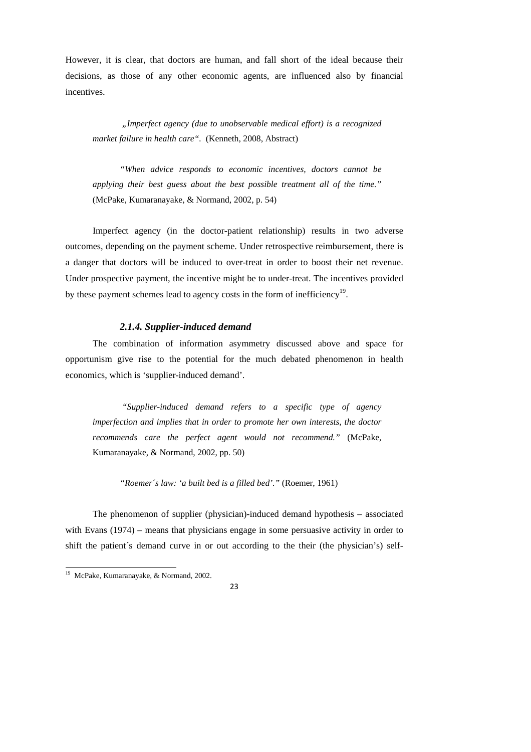However, it is clear, that doctors are human, and fall short of the ideal because their decisions, as those of any other economic agents, are influenced also by financial incentives.

 *"Imperfect agency (due to unobservable medical effort) is a recognized market failure in health care".* (Kenneth, 2008, Abstract)

*"When advice responds to economic incentives, doctors cannot be applying their best guess about the best possible treatment all of the time."* (McPake, Kumaranayake, & Normand, 2002, p. 54)

Imperfect agency (in the doctor-patient relationship) results in two adverse outcomes, depending on the payment scheme. Under retrospective reimbursement, there is a danger that doctors will be induced to over-treat in order to boost their net revenue. Under prospective payment, the incentive might be to under-treat. The incentives provided by these payment schemes lead to agency costs in the form of inefficiency<sup>19</sup>.

#### *2.1.4. Supplier-induced demand*

The combination of information asymmetry discussed above and space for opportunism give rise to the potential for the much debated phenomenon in health economics, which is 'supplier-induced demand'.

 *"Supplier-induced demand refers to a specific type of agency imperfection and implies that in order to promote her own interests, the doctor recommends care the perfect agent would not recommend."* (McPake, Kumaranayake, & Normand, 2002, pp. 50)

*"Roemer´s law: 'a built bed is a filled bed'."* (Roemer, 1961)

The phenomenon of supplier (physician)-induced demand hypothesis – associated with Evans (1974) – means that physicians engage in some persuasive activity in order to shift the patient´s demand curve in or out according to the their (the physician's) self-

<sup>&</sup>lt;sup>19</sup> McPake, Kumaranayake, & Normand, 2002.

<sup>23</sup>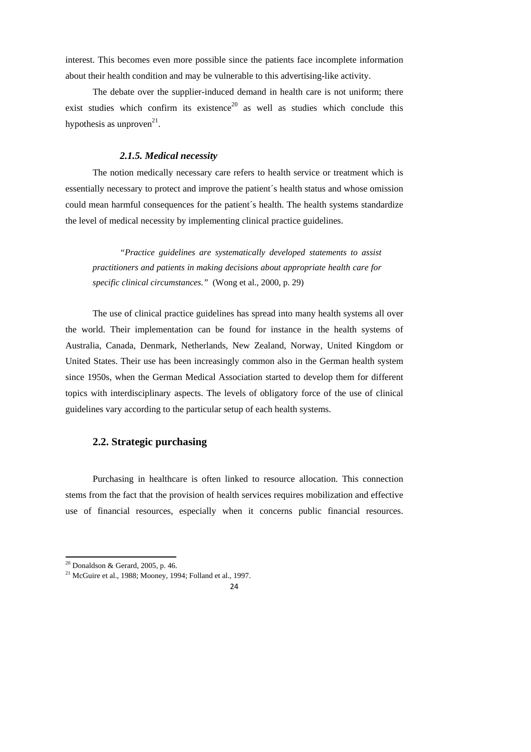interest. This becomes even more possible since the patients face incomplete information about their health condition and may be vulnerable to this advertising-like activity.

The debate over the supplier-induced demand in health care is not uniform; there exist studies which confirm its existence<sup>20</sup> as well as studies which conclude this hypothesis as unproven<sup>21</sup>.

#### *2.1.5. Medical necessity*

The notion medically necessary care refers to health service or treatment which is essentially necessary to protect and improve the patient´s health status and whose omission could mean harmful consequences for the patient´s health. The health systems standardize the level of medical necessity by implementing clinical practice guidelines.

*"Practice guidelines are systematically developed statements to assist practitioners and patients in making decisions about appropriate health care for specific clinical circumstances."* (Wong et al., 2000, p. 29)

The use of clinical practice guidelines has spread into many health systems all over the world. Their implementation can be found for instance in the health systems of Australia, Canada, Denmark, Netherlands, New Zealand, Norway, United Kingdom or United States. Their use has been increasingly common also in the German health system since 1950s, when the German Medical Association started to develop them for different topics with interdisciplinary aspects. The levels of obligatory force of the use of clinical guidelines vary according to the particular setup of each health systems.

#### **2.2. Strategic purchasing**

Purchasing in healthcare is often linked to resource allocation. This connection stems from the fact that the provision of health services requires mobilization and effective use of financial resources, especially when it concerns public financial resources.

 $20$  Donaldson & Gerard, 2005, p. 46.

 $21$  McGuire et al., 1988; Mooney, 1994; Folland et al., 1997.

 $24$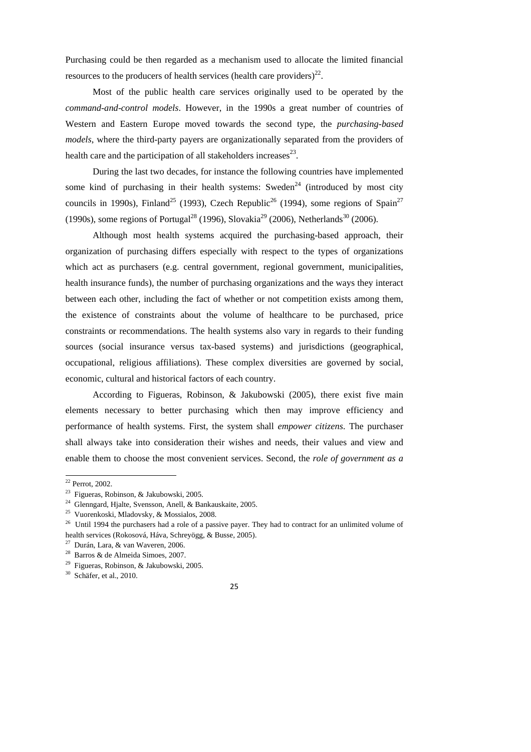Purchasing could be then regarded as a mechanism used to allocate the limited financial resources to the producers of health services (health care providers) $^{22}$ .

Most of the public health care services originally used to be operated by the *command-and-control models*. However, in the 1990s a great number of countries of Western and Eastern Europe moved towards the second type, the *purchasing-based models*, where the third-party payers are organizationally separated from the providers of health care and the participation of all stakeholders increases $^{23}$ .

During the last two decades, for instance the following countries have implemented some kind of purchasing in their health systems: Sweden<sup>24</sup> (introduced by most city councils in 1990s), Finland<sup>25</sup> (1993), Czech Republic<sup>26</sup> (1994), some regions of Spain<sup>27</sup> (1990s), some regions of Portugal<sup>28</sup> (1996), Slovakia<sup>29</sup> (2006), Netherlands<sup>30</sup> (2006).

Although most health systems acquired the purchasing-based approach, their organization of purchasing differs especially with respect to the types of organizations which act as purchasers (e.g. central government, regional government, municipalities, health insurance funds), the number of purchasing organizations and the ways they interact between each other, including the fact of whether or not competition exists among them, the existence of constraints about the volume of healthcare to be purchased, price constraints or recommendations. The health systems also vary in regards to their funding sources (social insurance versus tax-based systems) and jurisdictions (geographical, occupational, religious affiliations). These complex diversities are governed by social, economic, cultural and historical factors of each country.

According to Figueras, Robinson, & Jakubowski (2005), there exist five main elements necessary to better purchasing which then may improve efficiency and performance of health systems. First, the system shall *empower citizens*. The purchaser shall always take into consideration their wishes and needs, their values and view and enable them to choose the most convenient services. Second, the *role of government as a* 

 $22$  Perrot, 2002.

<sup>23</sup> Figueras, Robinson, & Jakubowski, 2005.

<sup>&</sup>lt;sup>24</sup> Glenngard, Hialte, Svensson, Anell, & Bankauskaite, 2005.

<sup>25</sup> Vuorenkoski, Mladovsky, & Mossialos, 2008.

<sup>&</sup>lt;sup>26</sup> Until 1994 the purchasers had a role of a passive payer. They had to contract for an unlimited volume of health services (Rokosová, Háva, Schreyögg, & Busse, 2005).

 $27$  Durán, Lara, & van Waveren, 2006.

<sup>28</sup> Barros & de Almeida Simoes, 2007.

<sup>&</sup>lt;sup>29</sup> Figueras, Robinson, & Jakubowski, 2005.

<sup>30</sup> Schäfer, et al., 2010.

<sup>25</sup>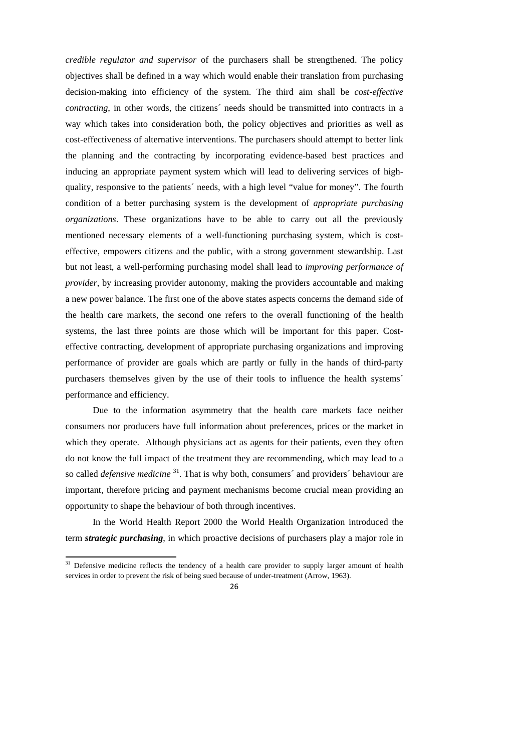*credible regulator and supervisor* of the purchasers shall be strengthened. The policy objectives shall be defined in a way which would enable their translation from purchasing decision-making into efficiency of the system. The third aim shall be *cost-effective contracting*, in other words, the citizens´ needs should be transmitted into contracts in a way which takes into consideration both, the policy objectives and priorities as well as cost-effectiveness of alternative interventions. The purchasers should attempt to better link the planning and the contracting by incorporating evidence-based best practices and inducing an appropriate payment system which will lead to delivering services of highquality, responsive to the patients´ needs, with a high level "value for money". The fourth condition of a better purchasing system is the development of *appropriate purchasing organizations*. These organizations have to be able to carry out all the previously mentioned necessary elements of a well-functioning purchasing system, which is costeffective, empowers citizens and the public, with a strong government stewardship. Last but not least, a well-performing purchasing model shall lead to *improving performance of provider*, by increasing provider autonomy, making the providers accountable and making a new power balance. The first one of the above states aspects concerns the demand side of the health care markets, the second one refers to the overall functioning of the health systems, the last three points are those which will be important for this paper. Costeffective contracting, development of appropriate purchasing organizations and improving performance of provider are goals which are partly or fully in the hands of third-party purchasers themselves given by the use of their tools to influence the health systems´ performance and efficiency.

Due to the information asymmetry that the health care markets face neither consumers nor producers have full information about preferences, prices or the market in which they operate. Although physicians act as agents for their patients, even they often do not know the full impact of the treatment they are recommending, which may lead to a so called *defensive medicine* <sup>31</sup>. That is why both, consumers´ and providers´ behaviour are important, therefore pricing and payment mechanisms become crucial mean providing an opportunity to shape the behaviour of both through incentives.

In the World Health Report 2000 the World Health Organization introduced the term *strategic purchasing*, in which proactive decisions of purchasers play a major role in

1

 $31$  Defensive medicine reflects the tendency of a health care provider to supply larger amount of health services in order to prevent the risk of being sued because of under-treatment (Arrow, 1963).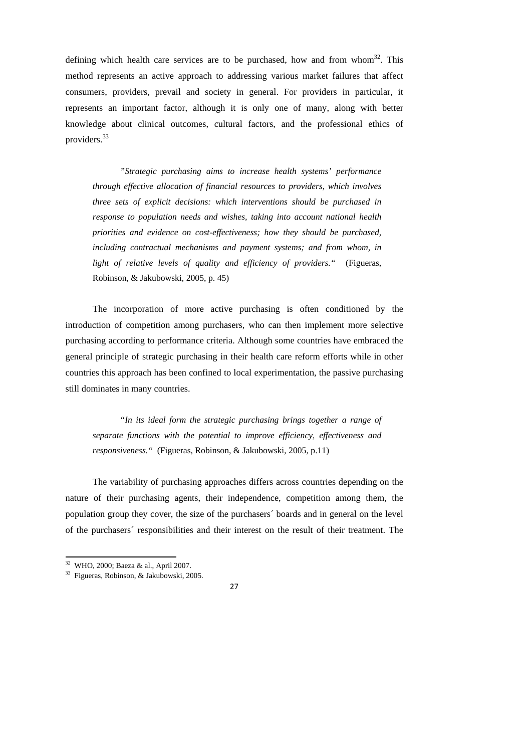defining which health care services are to be purchased, how and from whom $32$ . This method represents an active approach to addressing various market failures that affect consumers, providers, prevail and society in general. For providers in particular, it represents an important factor, although it is only one of many, along with better knowledge about clinical outcomes, cultural factors, and the professional ethics of providers.<sup>33</sup>

*"Strategic purchasing aims to increase health systems' performance through effective allocation of financial resources to providers, which involves three sets of explicit decisions: which interventions should be purchased in response to population needs and wishes, taking into account national health priorities and evidence on cost-effectiveness; how they should be purchased, including contractual mechanisms and payment systems; and from whom, in light of relative levels of quality and efficiency of providers."* (Figueras, Robinson, & Jakubowski, 2005, p. 45)

The incorporation of more active purchasing is often conditioned by the introduction of competition among purchasers, who can then implement more selective purchasing according to performance criteria. Although some countries have embraced the general principle of strategic purchasing in their health care reform efforts while in other countries this approach has been confined to local experimentation, the passive purchasing still dominates in many countries.

*"In its ideal form the strategic purchasing brings together a range of separate functions with the potential to improve efficiency, effectiveness and responsiveness."* (Figueras, Robinson, & Jakubowski, 2005, p.11)

The variability of purchasing approaches differs across countries depending on the nature of their purchasing agents, their independence, competition among them, the population group they cover, the size of the purchasers´ boards and in general on the level of the purchasers´ responsibilities and their interest on the result of their treatment. The

<sup>32</sup> WHO, 2000; Baeza & al., April 2007.

<sup>33</sup> Figueras, Robinson, & Jakubowski, 2005.

<sup>27</sup>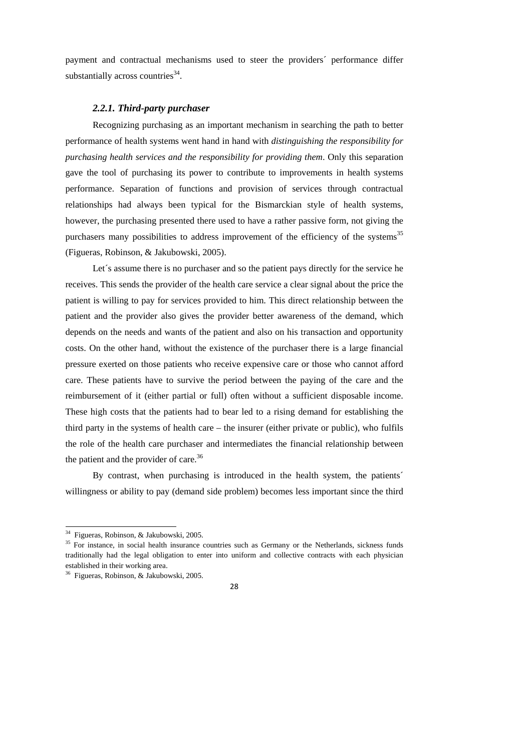payment and contractual mechanisms used to steer the providers´ performance differ substantially across countries<sup>34</sup>.

#### *2.2.1. Third-party purchaser*

Recognizing purchasing as an important mechanism in searching the path to better performance of health systems went hand in hand with *distinguishing the responsibility for purchasing health services and the responsibility for providing them*. Only this separation gave the tool of purchasing its power to contribute to improvements in health systems performance. Separation of functions and provision of services through contractual relationships had always been typical for the Bismarckian style of health systems, however, the purchasing presented there used to have a rather passive form, not giving the purchasers many possibilities to address improvement of the efficiency of the systems<sup>35</sup> (Figueras, Robinson, & Jakubowski, 2005).

Let's assume there is no purchaser and so the patient pays directly for the service he receives. This sends the provider of the health care service a clear signal about the price the patient is willing to pay for services provided to him. This direct relationship between the patient and the provider also gives the provider better awareness of the demand, which depends on the needs and wants of the patient and also on his transaction and opportunity costs. On the other hand, without the existence of the purchaser there is a large financial pressure exerted on those patients who receive expensive care or those who cannot afford care. These patients have to survive the period between the paying of the care and the reimbursement of it (either partial or full) often without a sufficient disposable income. These high costs that the patients had to bear led to a rising demand for establishing the third party in the systems of health care – the insurer (either private or public), who fulfils the role of the health care purchaser and intermediates the financial relationship between the patient and the provider of care.<sup>36</sup>

By contrast, when purchasing is introduced in the health system, the patients<sup>'</sup> willingness or ability to pay (demand side problem) becomes less important since the third

<sup>&</sup>lt;sup>34</sup> Figueras, Robinson, & Jakubowski, 2005.

<sup>&</sup>lt;sup>35</sup> For instance, in social health insurance countries such as Germany or the Netherlands, sickness funds traditionally had the legal obligation to enter into uniform and collective contracts with each physician established in their working area.

<sup>36</sup> Figueras, Robinson, & Jakubowski, 2005.

<sup>28</sup>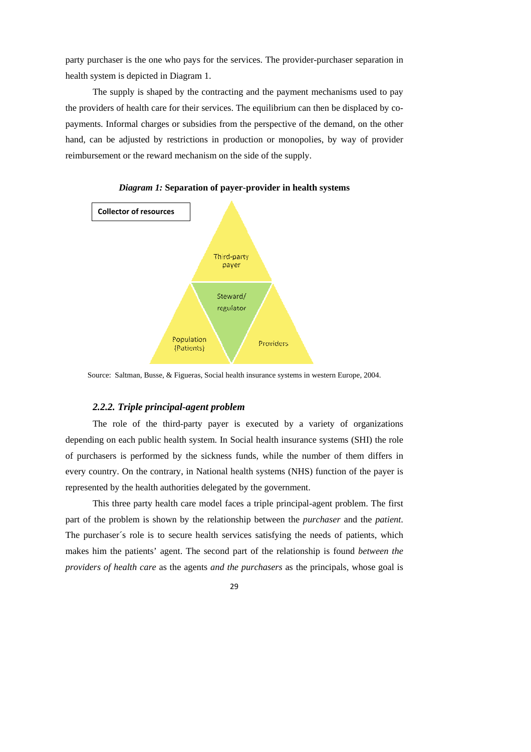party purchaser is the one who pays for the services. The provider-purchaser separation in health system is depicted in Diagram 1.

The supply is shaped by the contracting and the payment mechanisms used to pay the providers of health care for their services. The equilibrium can then be displaced by copayments. Informal charges or subsidies from the perspective of the demand, on the other hand, can be adjusted by restrictions in production or monopolies, by way of provider reimbursement or the reward mechanism on the side of the supply.



*Diagram 1:* **Separation of payer-provider in health systems** 

Source: Saltman, Busse, & Figueras, Social health insurance systems in western Europe, 2004.

#### *2.2.2. Triple principal-agent problem*

The role of the third-party payer is executed by a variety of organizations depending on each public health system. In Social health insurance systems (SHI) the role of purchasers is performed by the sickness funds, while the number of them differs in every country. On the contrary, in National health systems (NHS) function of the payer is represented by the health authorities delegated by the government.

This three party health care model faces a triple principal-agent problem. The first part of the problem is shown by the relationship between the *purchaser* and the *patient*. The purchaser´s role is to secure health services satisfying the needs of patients, which makes him the patients' agent. The second part of the relationship is found *between the providers of health care* as the agents *and the purchasers* as the principals, whose goal is

29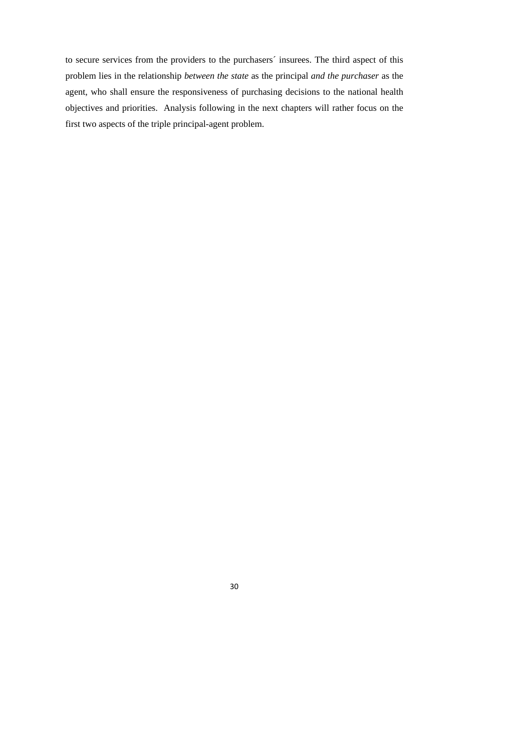to secure services from the providers to the purchasers´ insurees. The third aspect of this problem lies in the relationship *between the state* as the principal *and the purchaser* as the agent, who shall ensure the responsiveness of purchasing decisions to the national health objectives and priorities. Analysis following in the next chapters will rather focus on the first two aspects of the triple principal-agent problem.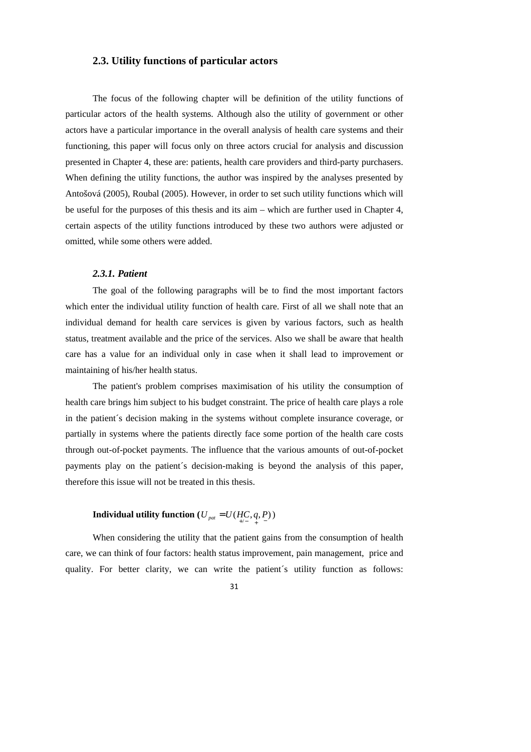#### **2.3. Utility functions of particular actors**

The focus of the following chapter will be definition of the utility functions of particular actors of the health systems. Although also the utility of government or other actors have a particular importance in the overall analysis of health care systems and their functioning, this paper will focus only on three actors crucial for analysis and discussion presented in Chapter 4, these are: patients, health care providers and third-party purchasers. When defining the utility functions, the author was inspired by the analyses presented by Antošová (2005), Roubal (2005). However, in order to set such utility functions which will be useful for the purposes of this thesis and its aim – which are further used in Chapter 4, certain aspects of the utility functions introduced by these two authors were adjusted or omitted, while some others were added.

#### *2.3.1. Patient*

The goal of the following paragraphs will be to find the most important factors which enter the individual utility function of health care. First of all we shall note that an individual demand for health care services is given by various factors, such as health status, treatment available and the price of the services. Also we shall be aware that health care has a value for an individual only in case when it shall lead to improvement or maintaining of his/her health status.

The patient's problem comprises maximisation of his utility the consumption of health care brings him subject to his budget constraint. The price of health care plays a role in the patient´s decision making in the systems without complete insurance coverage, or partially in systems where the patients directly face some portion of the health care costs through out-of-pocket payments. The influence that the various amounts of out-of-pocket payments play on the patient´s decision-making is beyond the analysis of this paper, therefore this issue will not be treated in this thesis.

## **Individual utility function**  $(U_{pat} = U(HC, q, P))$

When considering the utility that the patient gains from the consumption of health care, we can think of four factors: health status improvement, pain management, price and quality. For better clarity, we can write the patient´s utility function as follows: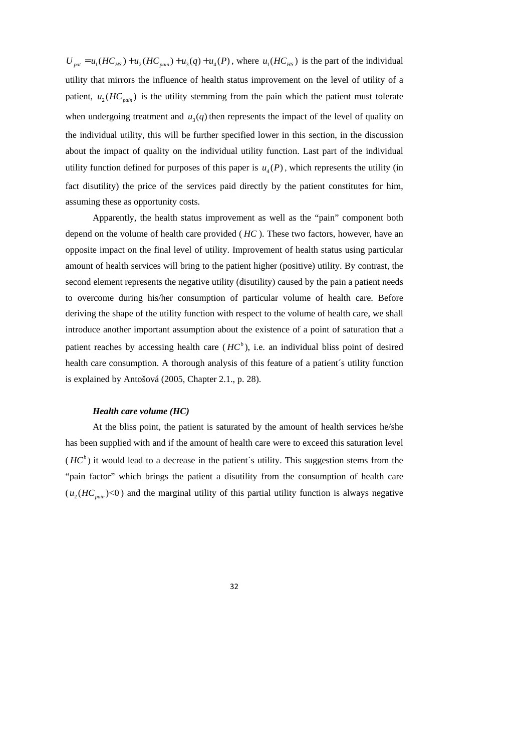$U_{\text{part}} = u_1(HC_{\text{HS}}) + u_2(HC_{\text{pair}}) + u_3(q) + u_4(P)$ , where  $u_1(HC_{\text{HS}})$  is the part of the individual utility that mirrors the influence of health status improvement on the level of utility of a patient,  $u_2(HC_{\text{pair}})$  is the utility stemming from the pain which the patient must tolerate when undergoing treatment and  $u_3(q)$  then represents the impact of the level of quality on the individual utility, this will be further specified lower in this section, in the discussion about the impact of quality on the individual utility function. Last part of the individual utility function defined for purposes of this paper is  $u_4(P)$ , which represents the utility (in fact disutility) the price of the services paid directly by the patient constitutes for him, assuming these as opportunity costs.

Apparently, the health status improvement as well as the "pain" component both depend on the volume of health care provided ( *HC* ). These two factors, however, have an opposite impact on the final level of utility. Improvement of health status using particular amount of health services will bring to the patient higher (positive) utility. By contrast, the second element represents the negative utility (disutility) caused by the pain a patient needs to overcome during his/her consumption of particular volume of health care. Before deriving the shape of the utility function with respect to the volume of health care, we shall introduce another important assumption about the existence of a point of saturation that a patient reaches by accessing health care  $(HC^b)$ , i.e. an individual bliss point of desired health care consumption. A thorough analysis of this feature of a patient´s utility function is explained by Antošová (2005, Chapter 2.1., p. 28).

#### *Health care volume (HC)*

At the bliss point, the patient is saturated by the amount of health services he/she has been supplied with and if the amount of health care were to exceed this saturation level  $(HC<sup>b</sup>)$  it would lead to a decrease in the patient's utility. This suggestion stems from the "pain factor" which brings the patient a disutility from the consumption of health care  $(u_2(HC_{\text{pair}})$ <0) and the marginal utility of this partial utility function is always negative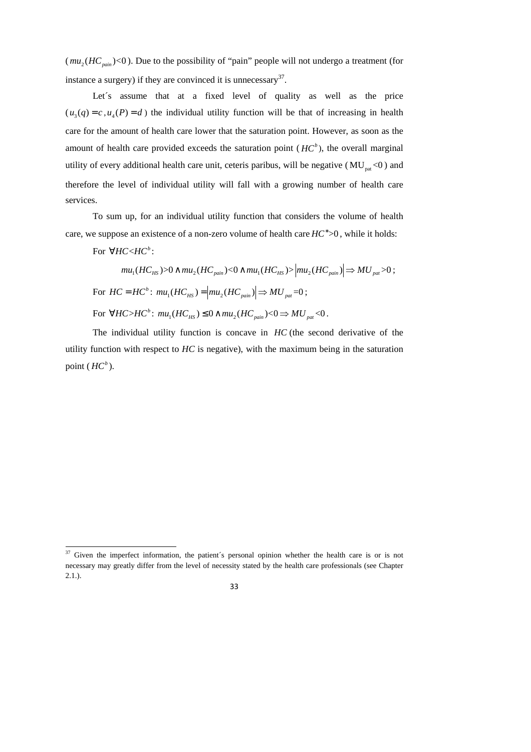$(mu_2(HC_{\text{pair}})$ <0). Due to the possibility of "pain" people will not undergo a treatment (for instance a surgery) if they are convinced it is unnecessary $37$ .

Let's assume that at a fixed level of quality as well as the price  $(u_3(q) = c, u_4(P) = d)$  the individual utility function will be that of increasing in health care for the amount of health care lower that the saturation point. However, as soon as the amount of health care provided exceeds the saturation point  $(HC^b)$ , the overall marginal utility of every additional health care unit, ceteris paribus, will be negative ( $MU<sub>nat</sub> < 0$ ) and therefore the level of individual utility will fall with a growing number of health care services.

To sum up, for an individual utility function that considers the volume of health care, we suppose an existence of a non-zero volume of health care  $HC^* > 0$ , while it holds:

For  $\forall$ *HC <HC*<sup>*b*</sup>:

 $mu_1(HC_{HS}) > 0 \land mu_2(HC_{pain}) < 0 \land mu_1(HC_{HS}) > |mu_2(HC_{pain})| \Rightarrow MU_{pal} > 0;$ For  $HC = HC^b$ :  $mu_1(HC_{HS}) = |mu_2(HC_{pain})| \Rightarrow MU_{pat} = 0$ ; For  $\forall HC > HC^b$ :  $mu_1(HC_{HS}) \leq 0 \land mu_2(HC_{pair}) < 0 \Rightarrow MU_{pat} < 0$ .

The individual utility function is concave in *HC* (the second derivative of the utility function with respect to *HC* is negative), with the maximum being in the saturation point  $(HC^b)$ .

<sup>1</sup>  $37$  Given the imperfect information, the patient's personal opinion whether the health care is or is not necessary may greatly differ from the level of necessity stated by the health care professionals (see Chapter 2.1.).

<sup>33</sup>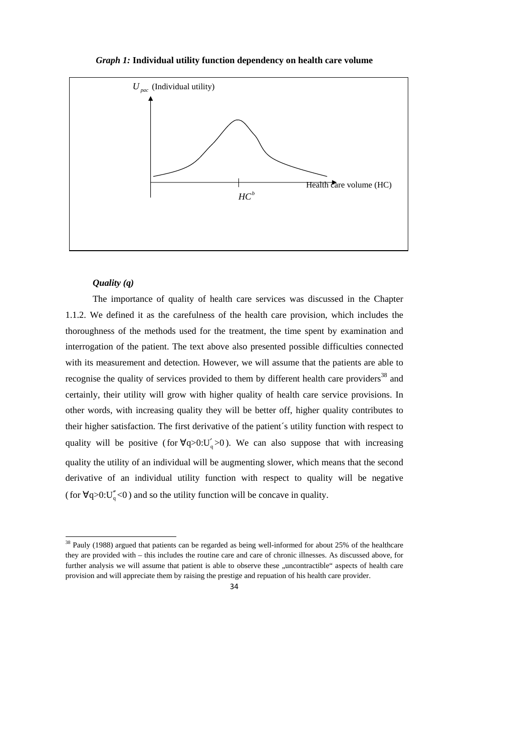#### *Graph 1:* **Individual utility function dependency on health care volume**



#### *Quality (q)*

1

The importance of quality of health care services was discussed in the Chapter 1.1.2. We defined it as the carefulness of the health care provision, which includes the thoroughness of the methods used for the treatment, the time spent by examination and interrogation of the patient. The text above also presented possible difficulties connected with its measurement and detection. However, we will assume that the patients are able to recognise the quality of services provided to them by different health care providers<sup>38</sup> and certainly, their utility will grow with higher quality of health care service provisions. In other words, with increasing quality they will be better off, higher quality contributes to their higher satisfaction. The first derivative of the patient´s utility function with respect to quality will be positive (for  $\forall q > 0$ :U'<sub>q</sub> $> 0$ ). We can also suppose that with increasing quality the utility of an individual will be augmenting slower, which means that the second derivative of an individual utility function with respect to quality will be negative ( for  $\forall q > 0$ :  $U''_q < 0$  ) and so the utility function will be concave in quality.

<sup>&</sup>lt;sup>38</sup> Pauly (1988) argued that patients can be regarded as being well-informed for about 25% of the healthcare they are provided with – this includes the routine care and care of chronic illnesses. As discussed above, for further analysis we will assume that patient is able to observe these "uncontractible" aspects of health care provision and will appreciate them by raising the prestige and repuation of his health care provider.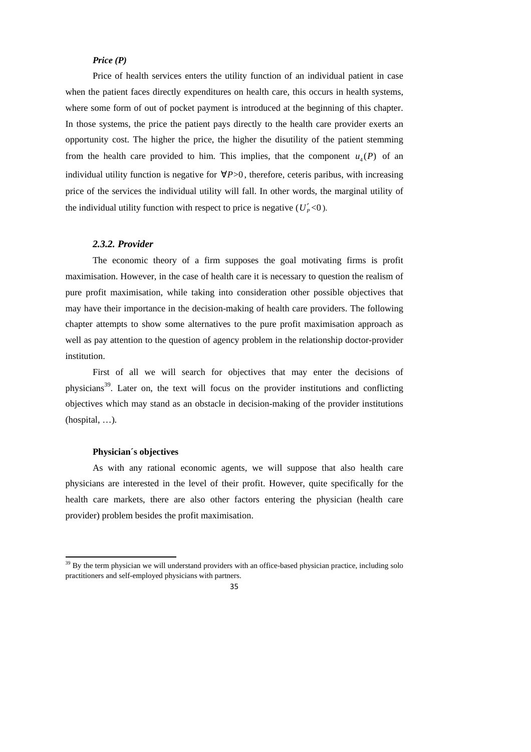#### *Price (P)*

Price of health services enters the utility function of an individual patient in case when the patient faces directly expenditures on health care, this occurs in health systems, where some form of out of pocket payment is introduced at the beginning of this chapter. In those systems, the price the patient pays directly to the health care provider exerts an opportunity cost. The higher the price, the higher the disutility of the patient stemming from the health care provided to him. This implies, that the component  $u_4(P)$  of an individual utility function is negative for ∀*P*>0 , therefore, ceteris paribus, with increasing price of the services the individual utility will fall. In other words, the marginal utility of the individual utility function with respect to price is negative  $(U_P' < 0)$ .

#### *2.3.2. Provider*

The economic theory of a firm supposes the goal motivating firms is profit maximisation. However, in the case of health care it is necessary to question the realism of pure profit maximisation, while taking into consideration other possible objectives that may have their importance in the decision-making of health care providers. The following chapter attempts to show some alternatives to the pure profit maximisation approach as well as pay attention to the question of agency problem in the relationship doctor-provider institution.

First of all we will search for objectives that may enter the decisions of physicians<sup>39</sup>. Later on, the text will focus on the provider institutions and conflicting objectives which may stand as an obstacle in decision-making of the provider institutions (hospital, …).

#### **Physician´s objectives**

1

As with any rational economic agents, we will suppose that also health care physicians are interested in the level of their profit. However, quite specifically for the health care markets, there are also other factors entering the physician (health care provider) problem besides the profit maximisation.

<sup>&</sup>lt;sup>39</sup> By the term physician we will understand providers with an office-based physician practice, including solo practitioners and self-employed physicians with partners.

<sup>35</sup>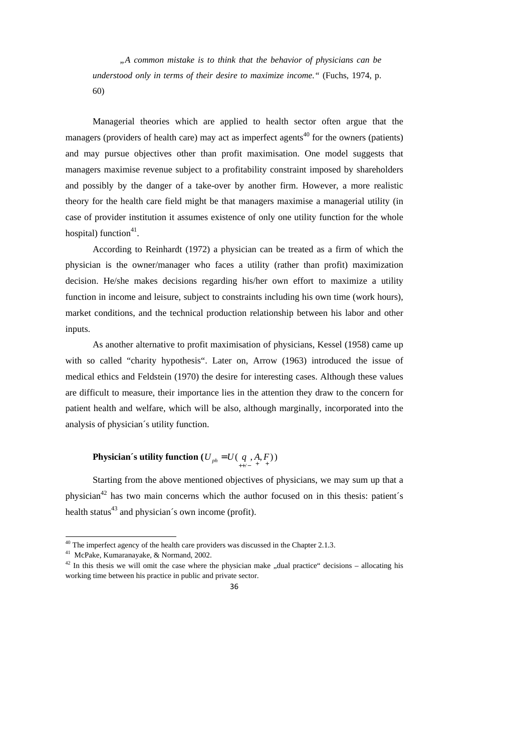*"A common mistake is to think that the behavior of physicians can be understood only in terms of their desire to maximize income."* (Fuchs, 1974, p. 60)

Managerial theories which are applied to health sector often argue that the managers (providers of health care) may act as imperfect agents<sup>40</sup> for the owners (patients) and may pursue objectives other than profit maximisation. One model suggests that managers maximise revenue subject to a profitability constraint imposed by shareholders and possibly by the danger of a take-over by another firm. However, a more realistic theory for the health care field might be that managers maximise a managerial utility (in case of provider institution it assumes existence of only one utility function for the whole hospital) function $41$ .

According to Reinhardt (1972) a physician can be treated as a firm of which the physician is the owner/manager who faces a utility (rather than profit) maximization decision. He/she makes decisions regarding his/her own effort to maximize a utility function in income and leisure, subject to constraints including his own time (work hours), market conditions, and the technical production relationship between his labor and other inputs.

As another alternative to profit maximisation of physicians, Kessel (1958) came up with so called "charity hypothesis". Later on, Arrow (1963) introduced the issue of medical ethics and Feldstein (1970) the desire for interesting cases. Although these values are difficult to measure, their importance lies in the attention they draw to the concern for patient health and welfare, which will be also, although marginally, incorporated into the analysis of physician´s utility function.

# **Physician´s utility function**  $(U_{ph} = U(q_{p}, A, F_{p}))$

Starting from the above mentioned objectives of physicians, we may sum up that a physician<sup>42</sup> has two main concerns which the author focused on in this thesis: patient's health status $43$  and physician's own income (profit).

 $42$  In this thesis we will omit the case where the physician make "dual practice" decisions – allocating his working time between his practice in public and private sector.



 $40$  The imperfect agency of the health care providers was discussed in the Chapter 2.1.3.

<sup>41</sup> McPake, Kumaranayake, & Normand, 2002.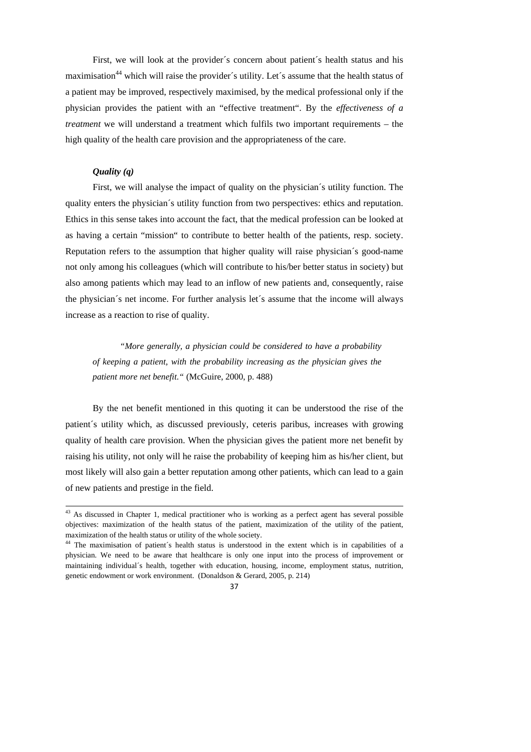First, we will look at the provider´s concern about patient´s health status and his maximisation<sup>44</sup> which will raise the provider's utility. Let's assume that the health status of a patient may be improved, respectively maximised, by the medical professional only if the physician provides the patient with an "effective treatment". By the *effectiveness of a treatment* we will understand a treatment which fulfils two important requirements – the high quality of the health care provision and the appropriateness of the care.

## *Quality (q)*

 $\overline{a}$ 

First, we will analyse the impact of quality on the physician´s utility function. The quality enters the physician´s utility function from two perspectives: ethics and reputation. Ethics in this sense takes into account the fact, that the medical profession can be looked at as having a certain "mission" to contribute to better health of the patients, resp. society. Reputation refers to the assumption that higher quality will raise physician´s good-name not only among his colleagues (which will contribute to his/ber better status in society) but also among patients which may lead to an inflow of new patients and, consequently, raise the physician´s net income. For further analysis let´s assume that the income will always increase as a reaction to rise of quality.

*"More generally, a physician could be considered to have a probability of keeping a patient, with the probability increasing as the physician gives the patient more net benefit."* (McGuire, 2000, p. 488)

By the net benefit mentioned in this quoting it can be understood the rise of the patient´s utility which, as discussed previously, ceteris paribus, increases with growing quality of health care provision. When the physician gives the patient more net benefit by raising his utility, not only will he raise the probability of keeping him as his/her client, but most likely will also gain a better reputation among other patients, which can lead to a gain of new patients and prestige in the field.

<sup>&</sup>lt;sup>44</sup> The maximisation of patient's health status is understood in the extent which is in capabilities of a physician. We need to be aware that healthcare is only one input into the process of improvement or maintaining individual´s health, together with education, housing, income, employment status, nutrition, genetic endowment or work environment. (Donaldson & Gerard, 2005, p. 214)



 $43$  As discussed in Chapter 1, medical practitioner who is working as a perfect agent has several possible objectives: maximization of the health status of the patient, maximization of the utility of the patient, maximization of the health status or utility of the whole society.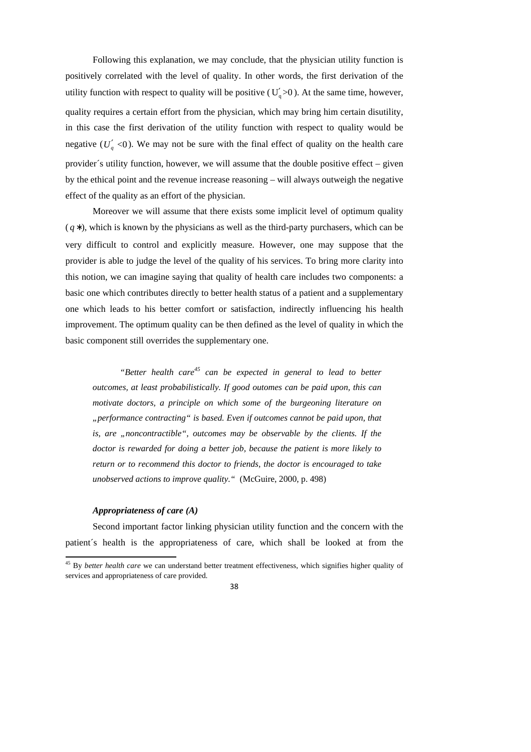Following this explanation, we may conclude, that the physician utility function is positively correlated with the level of quality. In other words, the first derivation of the utility function with respect to quality will be positive ( $U_q' > 0$ ). At the same time, however, quality requires a certain effort from the physician, which may bring him certain disutility, in this case the first derivation of the utility function with respect to quality would be negative  $(U_q' < 0)$ . We may not be sure with the final effect of quality on the health care provider´s utility function, however, we will assume that the double positive effect – given by the ethical point and the revenue increase reasoning – will always outweigh the negative effect of the quality as an effort of the physician.

Moreover we will assume that there exists some implicit level of optimum quality ( *q* ∗), which is known by the physicians as well as the third-party purchasers, which can be very difficult to control and explicitly measure. However, one may suppose that the provider is able to judge the level of the quality of his services. To bring more clarity into this notion, we can imagine saying that quality of health care includes two components: a basic one which contributes directly to better health status of a patient and a supplementary one which leads to his better comfort or satisfaction, indirectly influencing his health improvement. The optimum quality can be then defined as the level of quality in which the basic component still overrides the supplementary one.

*"Better health care<sup>45</sup> can be expected in general to lead to better outcomes, at least probabilistically. If good outomes can be paid upon, this can motivate doctors, a principle on which some of the burgeoning literature on "performance contracting" is based. Even if outcomes cannot be paid upon, that is, are "noncontractible", outcomes may be observable by the clients. If the doctor is rewarded for doing a better job, because the patient is more likely to return or to recommend this doctor to friends, the doctor is encouraged to take unobserved actions to improve quality."* (McGuire, 2000, p. 498)

#### *Appropriateness of care (A)*

1

Second important factor linking physician utility function and the concern with the patient´s health is the appropriateness of care, which shall be looked at from the

<sup>45</sup> By *better health care* we can understand better treatment effectiveness, which signifies higher quality of services and appropriateness of care provided.

<sup>38</sup>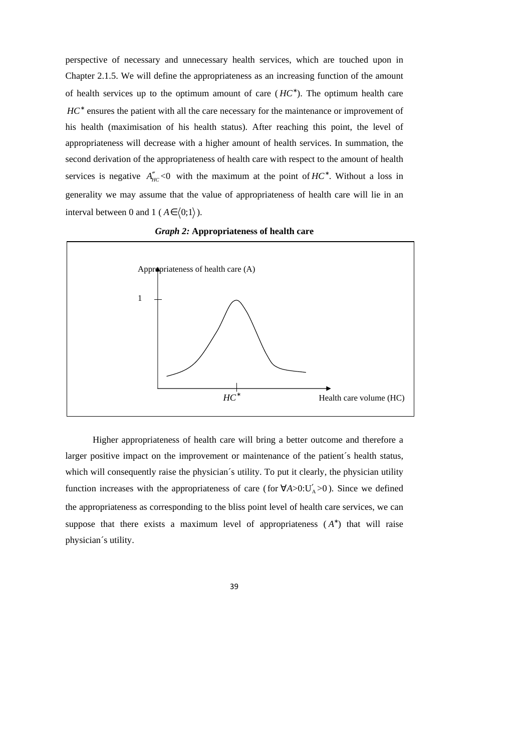perspective of necessary and unnecessary health services, which are touched upon in Chapter 2.1.5. We will define the appropriateness as an increasing function of the amount of health services up to the optimum amount of care  $(HC^*)$ . The optimum health care HC<sup>\*</sup> ensures the patient with all the care necessary for the maintenance or improvement of his health (maximisation of his health status). After reaching this point, the level of appropriateness will decrease with a higher amount of health services. In summation, the second derivation of the appropriateness of health care with respect to the amount of health services is negative  $A''_{HC}$ <0 with the maximum at the point of  $HC^*$ . Without a loss in generality we may assume that the value of appropriateness of health care will lie in an interval between 0 and 1 ( $A \in (0,1)$ ).



*Graph 2:* **Appropriateness of health care**

Higher appropriateness of health care will bring a better outcome and therefore a larger positive impact on the improvement or maintenance of the patient´s health status, which will consequently raise the physician´s utility. To put it clearly, the physician utility function increases with the appropriateness of care (for  $\forall A > 0$ : U'<sub>A</sub> > 0). Since we defined the appropriateness as corresponding to the bliss point level of health care services, we can suppose that there exists a maximum level of appropriateness  $(A^*)$  that will raise physician´s utility.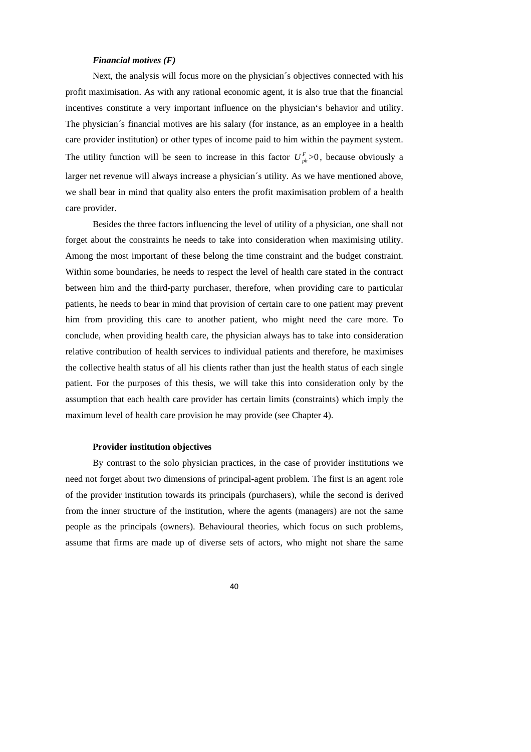#### *Financial motives (F)*

Next, the analysis will focus more on the physician´s objectives connected with his profit maximisation. As with any rational economic agent, it is also true that the financial incentives constitute a very important influence on the physician's behavior and utility. The physician´s financial motives are his salary (for instance, as an employee in a health care provider institution) or other types of income paid to him within the payment system. The utility function will be seen to increase in this factor  $U_{ph}^F$  >0, because obviously a larger net revenue will always increase a physician´s utility. As we have mentioned above, we shall bear in mind that quality also enters the profit maximisation problem of a health care provider.

Besides the three factors influencing the level of utility of a physician, one shall not forget about the constraints he needs to take into consideration when maximising utility. Among the most important of these belong the time constraint and the budget constraint. Within some boundaries, he needs to respect the level of health care stated in the contract between him and the third-party purchaser, therefore, when providing care to particular patients, he needs to bear in mind that provision of certain care to one patient may prevent him from providing this care to another patient, who might need the care more. To conclude, when providing health care, the physician always has to take into consideration relative contribution of health services to individual patients and therefore, he maximises the collective health status of all his clients rather than just the health status of each single patient. For the purposes of this thesis, we will take this into consideration only by the assumption that each health care provider has certain limits (constraints) which imply the maximum level of health care provision he may provide (see Chapter 4).

### **Provider institution objectives**

By contrast to the solo physician practices, in the case of provider institutions we need not forget about two dimensions of principal-agent problem. The first is an agent role of the provider institution towards its principals (purchasers), while the second is derived from the inner structure of the institution, where the agents (managers) are not the same people as the principals (owners). Behavioural theories, which focus on such problems, assume that firms are made up of diverse sets of actors, who might not share the same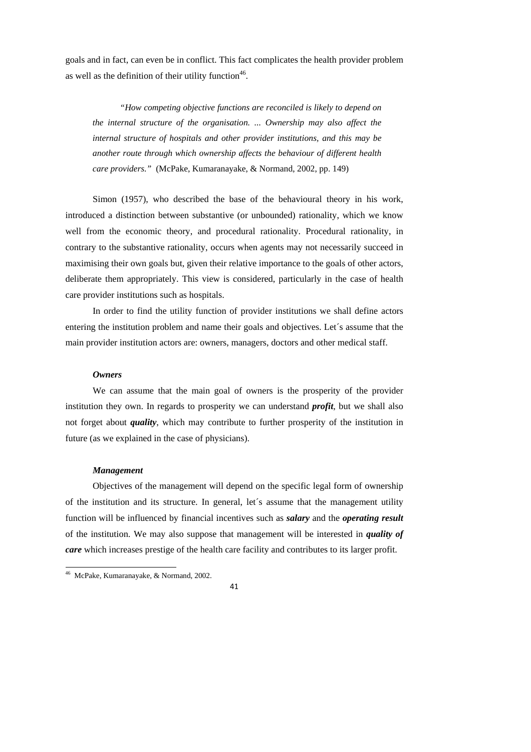goals and in fact, can even be in conflict. This fact complicates the health provider problem as well as the definition of their utility function<sup>46</sup>.

*"How competing objective functions are reconciled is likely to depend on the internal structure of the organisation. ... Ownership may also affect the internal structure of hospitals and other provider institutions, and this may be another route through which ownership affects the behaviour of different health care providers."* (McPake, Kumaranayake, & Normand, 2002, pp. 149)

Simon (1957), who described the base of the behavioural theory in his work, introduced a distinction between substantive (or unbounded) rationality, which we know well from the economic theory, and procedural rationality. Procedural rationality, in contrary to the substantive rationality, occurs when agents may not necessarily succeed in maximising their own goals but, given their relative importance to the goals of other actors, deliberate them appropriately. This view is considered, particularly in the case of health care provider institutions such as hospitals.

In order to find the utility function of provider institutions we shall define actors entering the institution problem and name their goals and objectives. Let´s assume that the main provider institution actors are: owners, managers, doctors and other medical staff.

#### *Owners*

We can assume that the main goal of owners is the prosperity of the provider institution they own. In regards to prosperity we can understand *profit*, but we shall also not forget about *quality*, which may contribute to further prosperity of the institution in future (as we explained in the case of physicians).

#### *Management*

1

Objectives of the management will depend on the specific legal form of ownership of the institution and its structure. In general, let´s assume that the management utility function will be influenced by financial incentives such as *salary* and the *operating result* of the institution. We may also suppose that management will be interested in *quality of care* which increases prestige of the health care facility and contributes to its larger profit.

<sup>46</sup> McPake, Kumaranayake, & Normand, 2002.

<sup>41</sup>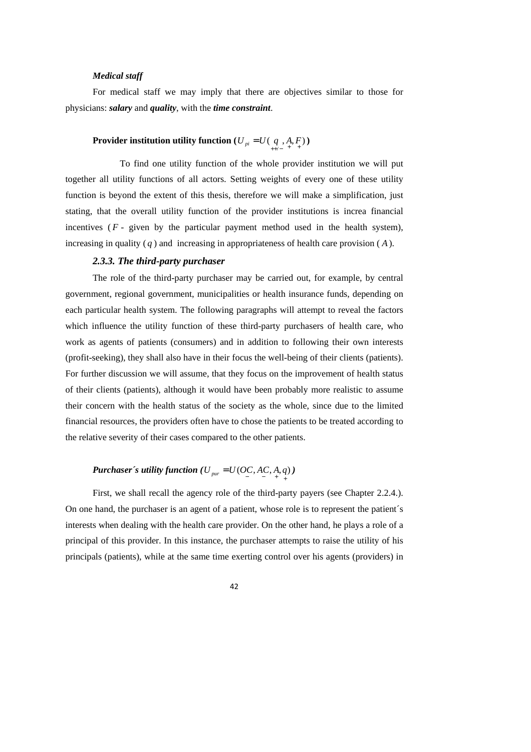## *Medical staff*

For medical staff we may imply that there are objectives similar to those for physicians: *salary* and *quality*, with the *time constraint*.

# **Provider institution utility function**  $(U_{pi} = U(q, A, F))$

 To find one utility function of the whole provider institution we will put together all utility functions of all actors. Setting weights of every one of these utility function is beyond the extent of this thesis, therefore we will make a simplification, just stating, that the overall utility function of the provider institutions is increa financial incentives  $(F - given by the particular payment method used in the health system),$ increasing in quality  $(q)$  and increasing in appropriateness of health care provision  $(A)$ .

#### *2.3.3. The third-party purchaser*

The role of the third-party purchaser may be carried out, for example, by central government, regional government, municipalities or health insurance funds, depending on each particular health system. The following paragraphs will attempt to reveal the factors which influence the utility function of these third-party purchasers of health care, who work as agents of patients (consumers) and in addition to following their own interests (profit-seeking), they shall also have in their focus the well-being of their clients (patients). For further discussion we will assume, that they focus on the improvement of health status of their clients (patients), although it would have been probably more realistic to assume their concern with the health status of the society as the whole, since due to the limited financial resources, the providers often have to chose the patients to be treated according to the relative severity of their cases compared to the other patients.

# *Purchaser´s utility function* ( $U_{\text{pur}} = U(OC, AC, A, q)$ )

First, we shall recall the agency role of the third-party payers (see Chapter 2.2.4.). On one hand, the purchaser is an agent of a patient, whose role is to represent the patient´s interests when dealing with the health care provider. On the other hand, he plays a role of a principal of this provider. In this instance, the purchaser attempts to raise the utility of his principals (patients), while at the same time exerting control over his agents (providers) in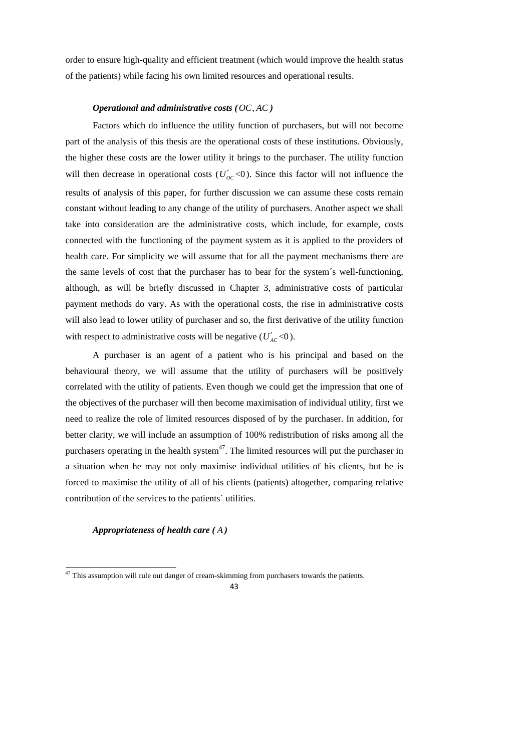order to ensure high-quality and efficient treatment (which would improve the health status of the patients) while facing his own limited resources and operational results.

### *Operational and administrative costs (OC AC* , *)*

Factors which do influence the utility function of purchasers, but will not become part of the analysis of this thesis are the operational costs of these institutions. Obviously, the higher these costs are the lower utility it brings to the purchaser. The utility function will then decrease in operational costs  $(U'_{OC} < 0)$ . Since this factor will not influence the results of analysis of this paper, for further discussion we can assume these costs remain constant without leading to any change of the utility of purchasers. Another aspect we shall take into consideration are the administrative costs, which include, for example, costs connected with the functioning of the payment system as it is applied to the providers of health care. For simplicity we will assume that for all the payment mechanisms there are the same levels of cost that the purchaser has to bear for the system´s well-functioning, although, as will be briefly discussed in Chapter 3, administrative costs of particular payment methods do vary. As with the operational costs, the rise in administrative costs will also lead to lower utility of purchaser and so, the first derivative of the utility function with respect to administrative costs will be negative  $(U'_{AC} < 0)$ .

A purchaser is an agent of a patient who is his principal and based on the behavioural theory, we will assume that the utility of purchasers will be positively correlated with the utility of patients. Even though we could get the impression that one of the objectives of the purchaser will then become maximisation of individual utility, first we need to realize the role of limited resources disposed of by the purchaser. In addition, for better clarity, we will include an assumption of 100% redistribution of risks among all the purchasers operating in the health system $47$ . The limited resources will put the purchaser in a situation when he may not only maximise individual utilities of his clients, but he is forced to maximise the utility of all of his clients (patients) altogether, comparing relative contribution of the services to the patients´ utilities.

#### *Appropriateness of health care ( A )*

1

<sup>&</sup>lt;sup>47</sup> This assumption will rule out danger of cream-skimming from purchasers towards the patients.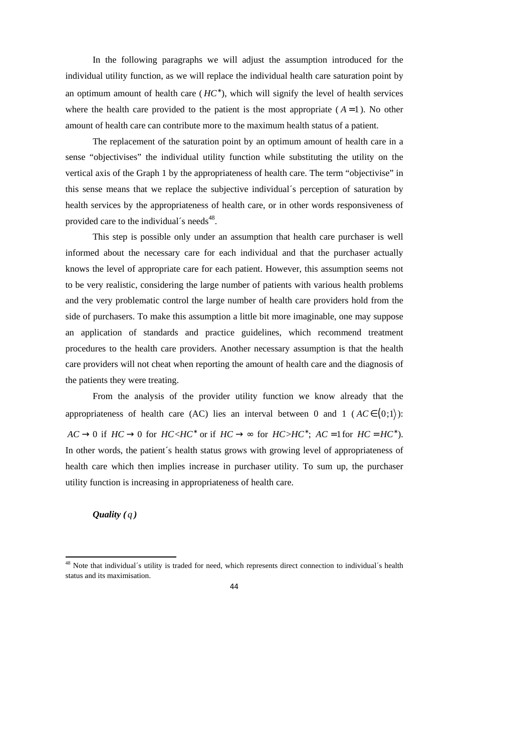In the following paragraphs we will adjust the assumption introduced for the individual utility function, as we will replace the individual health care saturation point by an optimum amount of health care  $(HC^*)$ , which will signify the level of health services where the health care provided to the patient is the most appropriate  $(A=1)$ . No other amount of health care can contribute more to the maximum health status of a patient.

The replacement of the saturation point by an optimum amount of health care in a sense "objectivises" the individual utility function while substituting the utility on the vertical axis of the Graph 1 by the appropriateness of health care. The term "objectivise" in this sense means that we replace the subjective individual´s perception of saturation by health services by the appropriateness of health care, or in other words responsiveness of provided care to the individual's needs<sup>48</sup>.

This step is possible only under an assumption that health care purchaser is well informed about the necessary care for each individual and that the purchaser actually knows the level of appropriate care for each patient. However, this assumption seems not to be very realistic, considering the large number of patients with various health problems and the very problematic control the large number of health care providers hold from the side of purchasers. To make this assumption a little bit more imaginable, one may suppose an application of standards and practice guidelines, which recommend treatment procedures to the health care providers. Another necessary assumption is that the health care providers will not cheat when reporting the amount of health care and the diagnosis of the patients they were treating.

From the analysis of the provider utility function we know already that the appropriateness of health care (AC) lies an interval between 0 and 1 ( $AC \in (0,1)$ ):  $AC \rightarrow 0$  if  $HC \rightarrow 0$  for  $HC \le HC^*$  or if  $HC \rightarrow \infty$  for  $HC \ge HC^*$ ;  $AC = 1$  for  $HC = HC^*$ ). In other words, the patient´s health status grows with growing level of appropriateness of health care which then implies increase in purchaser utility. To sum up, the purchaser utility function is increasing in appropriateness of health care.

*Quality* (*q*)

 $48$  Note that individual's utility is traded for need, which represents direct connection to individual's health status and its maximisation.

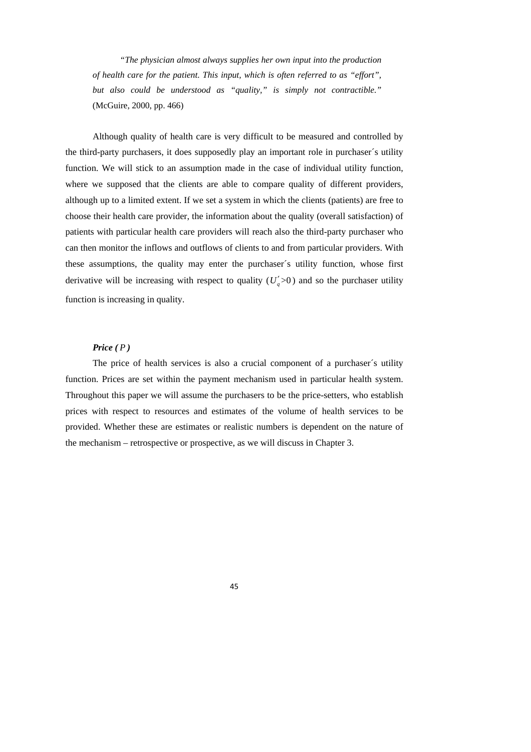*"The physician almost always supplies her own input into the production of health care for the patient. This input, which is often referred to as "effort", but also could be understood as "quality," is simply not contractible."* (McGuire, 2000, pp. 466)

Although quality of health care is very difficult to be measured and controlled by the third-party purchasers, it does supposedly play an important role in purchaser´s utility function. We will stick to an assumption made in the case of individual utility function, where we supposed that the clients are able to compare quality of different providers, although up to a limited extent. If we set a system in which the clients (patients) are free to choose their health care provider, the information about the quality (overall satisfaction) of patients with particular health care providers will reach also the third-party purchaser who can then monitor the inflows and outflows of clients to and from particular providers. With these assumptions, the quality may enter the purchaser´s utility function, whose first derivative will be increasing with respect to quality  $(U_q' > 0)$  and so the purchaser utility function is increasing in quality.

## *Price ( P )*

The price of health services is also a crucial component of a purchaser´s utility function. Prices are set within the payment mechanism used in particular health system. Throughout this paper we will assume the purchasers to be the price-setters, who establish prices with respect to resources and estimates of the volume of health services to be provided. Whether these are estimates or realistic numbers is dependent on the nature of the mechanism – retrospective or prospective, as we will discuss in Chapter 3.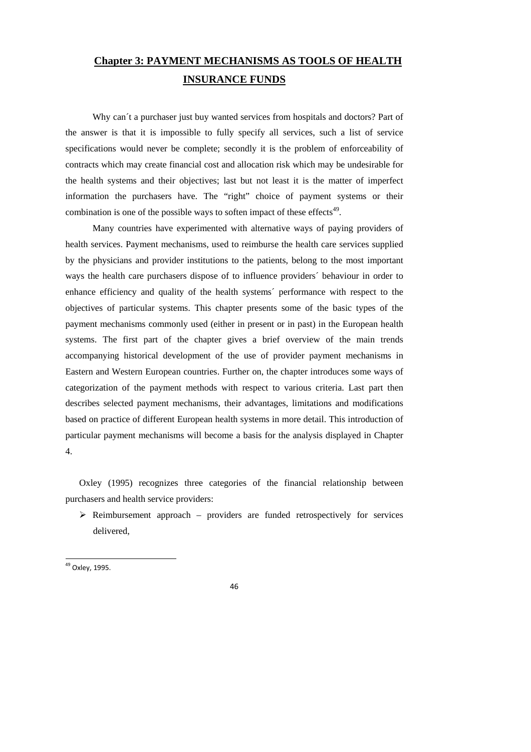# **Chapter 3: PAYMENT MECHANISMS AS TOOLS OF HEALTH INSURANCE FUNDS**

Why can't a purchaser just buy wanted services from hospitals and doctors? Part of the answer is that it is impossible to fully specify all services, such a list of service specifications would never be complete; secondly it is the problem of enforceability of contracts which may create financial cost and allocation risk which may be undesirable for the health systems and their objectives; last but not least it is the matter of imperfect information the purchasers have. The "right" choice of payment systems or their combination is one of the possible ways to soften impact of these effects $49$ .

Many countries have experimented with alternative ways of paying providers of health services. Payment mechanisms, used to reimburse the health care services supplied by the physicians and provider institutions to the patients, belong to the most important ways the health care purchasers dispose of to influence providers´ behaviour in order to enhance efficiency and quality of the health systems´ performance with respect to the objectives of particular systems. This chapter presents some of the basic types of the payment mechanisms commonly used (either in present or in past) in the European health systems. The first part of the chapter gives a brief overview of the main trends accompanying historical development of the use of provider payment mechanisms in Eastern and Western European countries. Further on, the chapter introduces some ways of categorization of the payment methods with respect to various criteria. Last part then describes selected payment mechanisms, their advantages, limitations and modifications based on practice of different European health systems in more detail. This introduction of particular payment mechanisms will become a basis for the analysis displayed in Chapter 4.

Oxley (1995) recognizes three categories of the financial relationship between purchasers and health service providers:

 $\triangleright$  Reimbursement approach – providers are funded retrospectively for services delivered,

1

<sup>&</sup>lt;sup>49</sup> Oxley, 1995.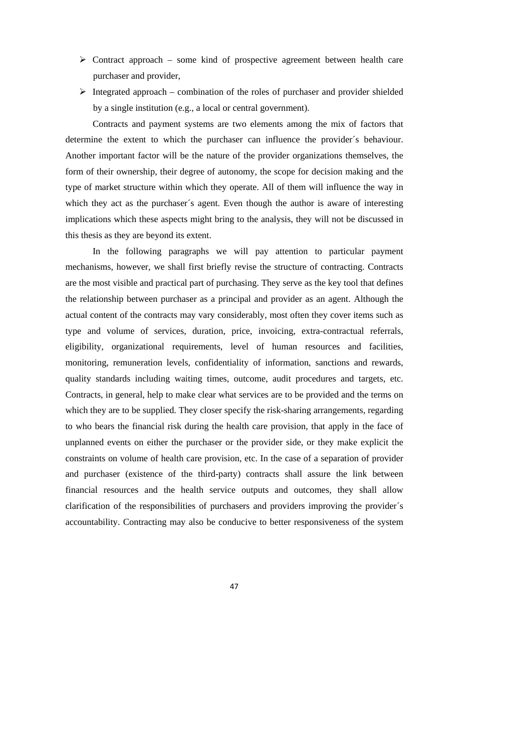- $\triangleright$  Contract approach some kind of prospective agreement between health care purchaser and provider,
- $\triangleright$  Integrated approach combination of the roles of purchaser and provider shielded by a single institution (e.g., a local or central government).

Contracts and payment systems are two elements among the mix of factors that determine the extent to which the purchaser can influence the provider´s behaviour. Another important factor will be the nature of the provider organizations themselves, the form of their ownership, their degree of autonomy, the scope for decision making and the type of market structure within which they operate. All of them will influence the way in which they act as the purchaser's agent. Even though the author is aware of interesting implications which these aspects might bring to the analysis, they will not be discussed in this thesis as they are beyond its extent.

In the following paragraphs we will pay attention to particular payment mechanisms, however, we shall first briefly revise the structure of contracting. Contracts are the most visible and practical part of purchasing. They serve as the key tool that defines the relationship between purchaser as a principal and provider as an agent. Although the actual content of the contracts may vary considerably, most often they cover items such as type and volume of services, duration, price, invoicing, extra-contractual referrals, eligibility, organizational requirements, level of human resources and facilities, monitoring, remuneration levels, confidentiality of information, sanctions and rewards, quality standards including waiting times, outcome, audit procedures and targets, etc. Contracts, in general, help to make clear what services are to be provided and the terms on which they are to be supplied. They closer specify the risk-sharing arrangements, regarding to who bears the financial risk during the health care provision, that apply in the face of unplanned events on either the purchaser or the provider side, or they make explicit the constraints on volume of health care provision, etc. In the case of a separation of provider and purchaser (existence of the third-party) contracts shall assure the link between financial resources and the health service outputs and outcomes, they shall allow clarification of the responsibilities of purchasers and providers improving the provider´s accountability. Contracting may also be conducive to better responsiveness of the system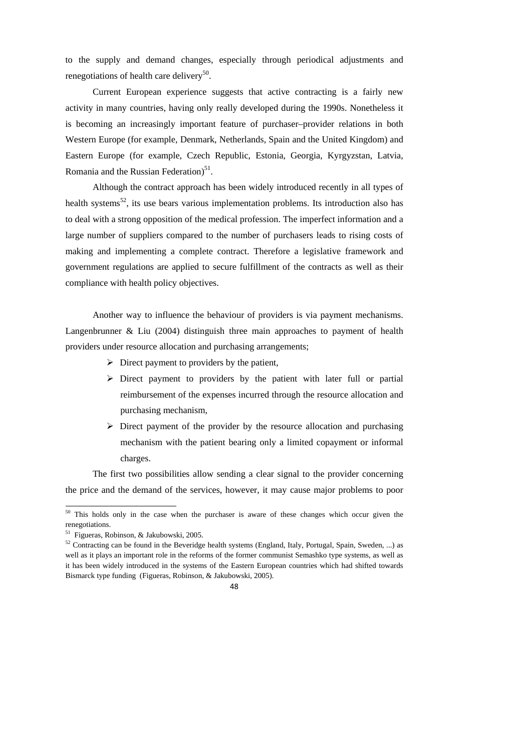to the supply and demand changes, especially through periodical adjustments and renegotiations of health care delivery<sup>50</sup>.

Current European experience suggests that active contracting is a fairly new activity in many countries, having only really developed during the 1990s. Nonetheless it is becoming an increasingly important feature of purchaser–provider relations in both Western Europe (for example, Denmark, Netherlands, Spain and the United Kingdom) and Eastern Europe (for example, Czech Republic, Estonia, Georgia, Kyrgyzstan, Latvia, Romania and the Russian Federation)<sup>51</sup>.

Although the contract approach has been widely introduced recently in all types of health systems<sup>52</sup>, its use bears various implementation problems. Its introduction also has to deal with a strong opposition of the medical profession. The imperfect information and a large number of suppliers compared to the number of purchasers leads to rising costs of making and implementing a complete contract. Therefore a legislative framework and government regulations are applied to secure fulfillment of the contracts as well as their compliance with health policy objectives.

Another way to influence the behaviour of providers is via payment mechanisms. Langenbrunner & Liu (2004) distinguish three main approaches to payment of health providers under resource allocation and purchasing arrangements;

- $\triangleright$  Direct payment to providers by the patient,
- $\triangleright$  Direct payment to providers by the patient with later full or partial reimbursement of the expenses incurred through the resource allocation and purchasing mechanism,
- $\triangleright$  Direct payment of the provider by the resource allocation and purchasing mechanism with the patient bearing only a limited copayment or informal charges.

The first two possibilities allow sending a clear signal to the provider concerning the price and the demand of the services, however, it may cause major problems to poor

 $50$  This holds only in the case when the purchaser is aware of these changes which occur given the renegotiations.

<sup>51</sup> Figueras, Robinson, & Jakubowski, 2005.

 $52$  Contracting can be found in the Beveridge health systems (England, Italy, Portugal, Spain, Sweden, ...) as well as it plays an important role in the reforms of the former communist Semashko type systems, as well as it has been widely introduced in the systems of the Eastern European countries which had shifted towards Bismarck type funding (Figueras, Robinson, & Jakubowski, 2005).

<sup>48</sup>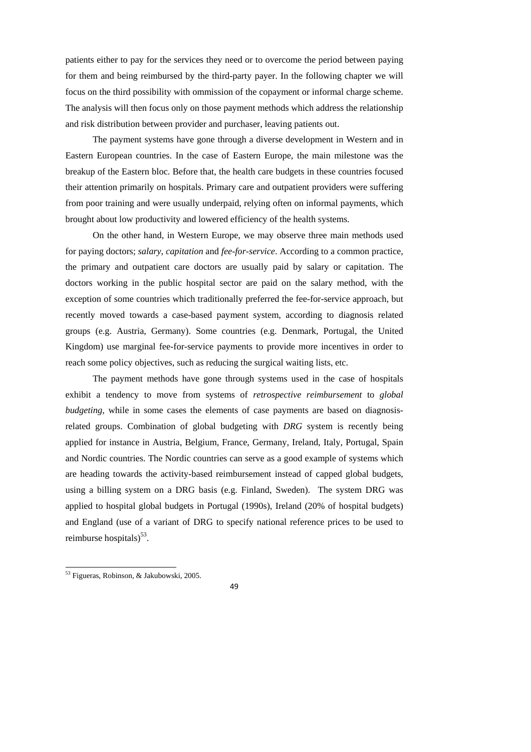patients either to pay for the services they need or to overcome the period between paying for them and being reimbursed by the third-party payer. In the following chapter we will focus on the third possibility with ommission of the copayment or informal charge scheme. The analysis will then focus only on those payment methods which address the relationship and risk distribution between provider and purchaser, leaving patients out.

The payment systems have gone through a diverse development in Western and in Eastern European countries. In the case of Eastern Europe, the main milestone was the breakup of the Eastern bloc. Before that, the health care budgets in these countries focused their attention primarily on hospitals. Primary care and outpatient providers were suffering from poor training and were usually underpaid, relying often on informal payments, which brought about low productivity and lowered efficiency of the health systems.

On the other hand, in Western Europe, we may observe three main methods used for paying doctors; *salary*, *capitation* and *fee-for-service*. According to a common practice, the primary and outpatient care doctors are usually paid by salary or capitation. The doctors working in the public hospital sector are paid on the salary method, with the exception of some countries which traditionally preferred the fee-for-service approach, but recently moved towards a case-based payment system, according to diagnosis related groups (e.g. Austria, Germany). Some countries (e.g. Denmark, Portugal, the United Kingdom) use marginal fee-for-service payments to provide more incentives in order to reach some policy objectives, such as reducing the surgical waiting lists, etc.

The payment methods have gone through systems used in the case of hospitals exhibit a tendency to move from systems of *retrospective reimbursement* to *global budgeting*, while in some cases the elements of case payments are based on diagnosisrelated groups. Combination of global budgeting with *DRG* system is recently being applied for instance in Austria, Belgium, France, Germany, Ireland, Italy, Portugal, Spain and Nordic countries. The Nordic countries can serve as a good example of systems which are heading towards the activity-based reimbursement instead of capped global budgets, using a billing system on a DRG basis (e.g. Finland, Sweden). The system DRG was applied to hospital global budgets in Portugal (1990s), Ireland (20% of hospital budgets) and England (use of a variant of DRG to specify national reference prices to be used to reimburse hospitals)<sup>53</sup>.

1

<sup>&</sup>lt;sup>53</sup> Figueras, Robinson, & Jakubowski, 2005.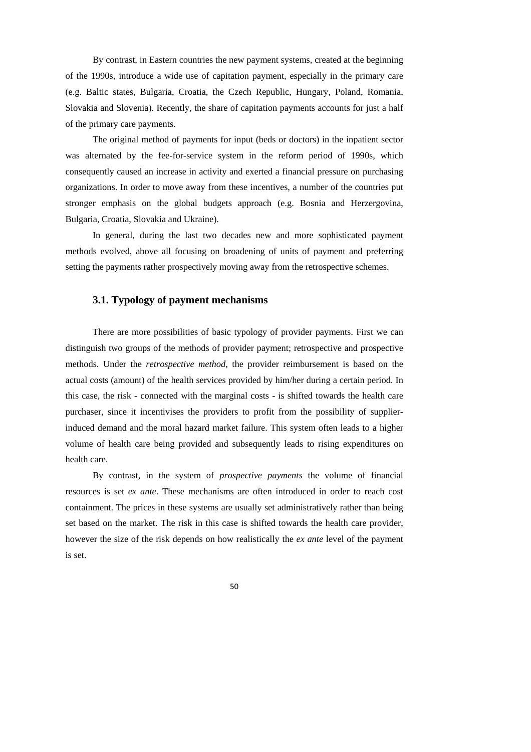By contrast, in Eastern countries the new payment systems, created at the beginning of the 1990s, introduce a wide use of capitation payment, especially in the primary care (e.g. Baltic states, Bulgaria, Croatia, the Czech Republic, Hungary, Poland, Romania, Slovakia and Slovenia). Recently, the share of capitation payments accounts for just a half of the primary care payments.

The original method of payments for input (beds or doctors) in the inpatient sector was alternated by the fee-for-service system in the reform period of 1990s, which consequently caused an increase in activity and exerted a financial pressure on purchasing organizations. In order to move away from these incentives, a number of the countries put stronger emphasis on the global budgets approach (e.g. Bosnia and Herzergovina, Bulgaria, Croatia, Slovakia and Ukraine).

In general, during the last two decades new and more sophisticated payment methods evolved, above all focusing on broadening of units of payment and preferring setting the payments rather prospectively moving away from the retrospective schemes.

## **3.1. Typology of payment mechanisms**

There are more possibilities of basic typology of provider payments. First we can distinguish two groups of the methods of provider payment; retrospective and prospective methods. Under the *retrospective method*, the provider reimbursement is based on the actual costs (amount) of the health services provided by him/her during a certain period. In this case, the risk - connected with the marginal costs - is shifted towards the health care purchaser, since it incentivises the providers to profit from the possibility of supplierinduced demand and the moral hazard market failure. This system often leads to a higher volume of health care being provided and subsequently leads to rising expenditures on health care.

By contrast, in the system of *prospective payments* the volume of financial resources is set *ex ante*. These mechanisms are often introduced in order to reach cost containment. The prices in these systems are usually set administratively rather than being set based on the market. The risk in this case is shifted towards the health care provider, however the size of the risk depends on how realistically the *ex ante* level of the payment is set.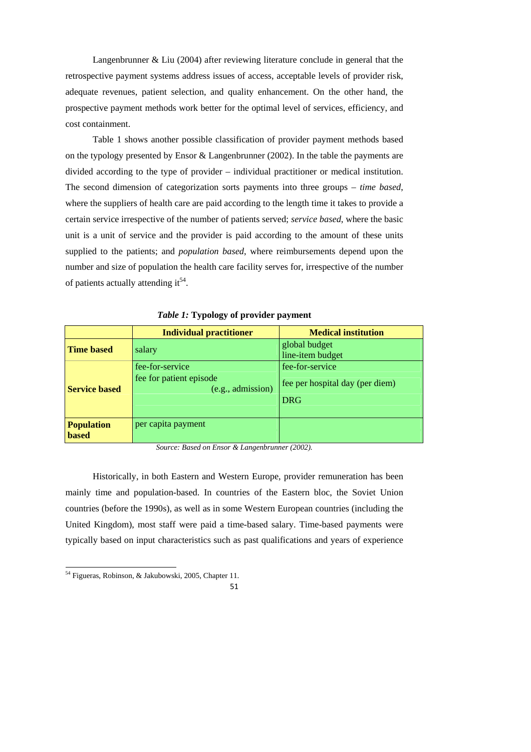Langenbrunner & Liu (2004) after reviewing literature conclude in general that the retrospective payment systems address issues of access, acceptable levels of provider risk, adequate revenues, patient selection, and quality enhancement. On the other hand, the prospective payment methods work better for the optimal level of services, efficiency, and cost containment.

Table 1 shows another possible classification of provider payment methods based on the typology presented by Ensor & Langenbrunner (2002). In the table the payments are divided according to the type of provider – individual practitioner or medical institution. The second dimension of categorization sorts payments into three groups – *time based*, where the suppliers of health care are paid according to the length time it takes to provide a certain service irrespective of the number of patients served; *service based*, where the basic unit is a unit of service and the provider is paid according to the amount of these units supplied to the patients; and *population based*, where reimbursements depend upon the number and size of population the health care facility serves for, irrespective of the number of patients actually attending it<sup>54</sup>.

|                                   | <b>Individual practitioner</b>                                  | <b>Medical institution</b>                                       |
|-----------------------------------|-----------------------------------------------------------------|------------------------------------------------------------------|
| <b>Time based</b>                 | salary                                                          | global budget<br>line-item budget                                |
| <b>Service based</b>              | fee-for-service<br>fee for patient episode<br>(e.g., admission) | fee-for-service<br>fee per hospital day (per diem)<br><b>DRG</b> |
| <b>Population</b><br><b>based</b> | per capita payment                                              |                                                                  |

*Table 1:* **Typology of provider payment** 

*Source: Based on Ensor & Langenbrunner (2002).* 

Historically, in both Eastern and Western Europe, provider remuneration has been mainly time and population-based. In countries of the Eastern bloc, the Soviet Union countries (before the 1990s), as well as in some Western European countries (including the United Kingdom), most staff were paid a time-based salary. Time-based payments were typically based on input characteristics such as past qualifications and years of experience

<sup>54</sup> Figueras, Robinson, & Jakubowski, 2005, Chapter 11.

<sup>51</sup>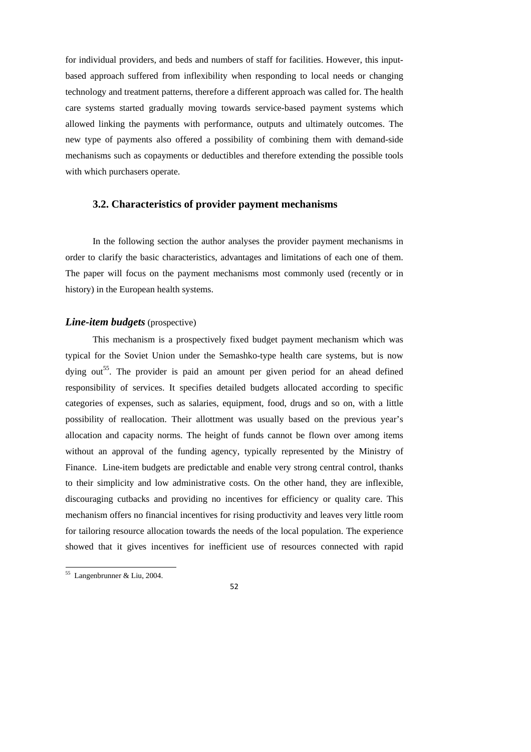for individual providers, and beds and numbers of staff for facilities. However, this inputbased approach suffered from inflexibility when responding to local needs or changing technology and treatment patterns, therefore a different approach was called for. The health care systems started gradually moving towards service-based payment systems which allowed linking the payments with performance, outputs and ultimately outcomes. The new type of payments also offered a possibility of combining them with demand-side mechanisms such as copayments or deductibles and therefore extending the possible tools with which purchasers operate.

## **3.2. Characteristics of provider payment mechanisms**

In the following section the author analyses the provider payment mechanisms in order to clarify the basic characteristics, advantages and limitations of each one of them. The paper will focus on the payment mechanisms most commonly used (recently or in history) in the European health systems.

#### *Line-item budgets* (prospective)

This mechanism is a prospectively fixed budget payment mechanism which was typical for the Soviet Union under the Semashko-type health care systems, but is now dying out<sup>55</sup>. The provider is paid an amount per given period for an ahead defined responsibility of services. It specifies detailed budgets allocated according to specific categories of expenses, such as salaries, equipment, food, drugs and so on, with a little possibility of reallocation. Their allottment was usually based on the previous year's allocation and capacity norms. The height of funds cannot be flown over among items without an approval of the funding agency, typically represented by the Ministry of Finance. Line-item budgets are predictable and enable very strong central control, thanks to their simplicity and low administrative costs. On the other hand, they are inflexible, discouraging cutbacks and providing no incentives for efficiency or quality care. This mechanism offers no financial incentives for rising productivity and leaves very little room for tailoring resource allocation towards the needs of the local population. The experience showed that it gives incentives for inefficient use of resources connected with rapid

<sup>55</sup> Langenbrunner & Liu, 2004.

<sup>52</sup>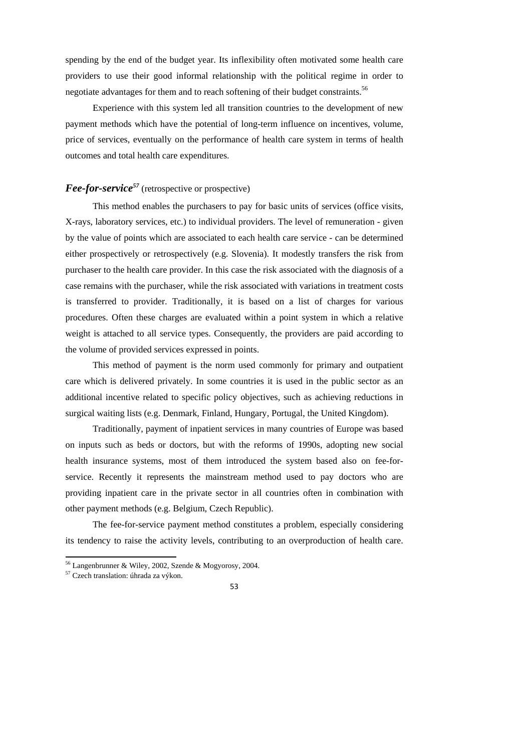spending by the end of the budget year. Its inflexibility often motivated some health care providers to use their good informal relationship with the political regime in order to negotiate advantages for them and to reach softening of their budget constraints.<sup>56</sup>

Experience with this system led all transition countries to the development of new payment methods which have the potential of long-term influence on incentives, volume, price of services, eventually on the performance of health care system in terms of health outcomes and total health care expenditures.

# *Fee-for-service<sup>57</sup>* (retrospective or prospective)

This method enables the purchasers to pay for basic units of services (office visits, X-rays, laboratory services, etc.) to individual providers. The level of remuneration - given by the value of points which are associated to each health care service - can be determined either prospectively or retrospectively (e.g. Slovenia). It modestly transfers the risk from purchaser to the health care provider. In this case the risk associated with the diagnosis of a case remains with the purchaser, while the risk associated with variations in treatment costs is transferred to provider. Traditionally, it is based on a list of charges for various procedures. Often these charges are evaluated within a point system in which a relative weight is attached to all service types. Consequently, the providers are paid according to the volume of provided services expressed in points.

This method of payment is the norm used commonly for primary and outpatient care which is delivered privately. In some countries it is used in the public sector as an additional incentive related to specific policy objectives, such as achieving reductions in surgical waiting lists (e.g. Denmark, Finland, Hungary, Portugal, the United Kingdom).

Traditionally, payment of inpatient services in many countries of Europe was based on inputs such as beds or doctors, but with the reforms of 1990s, adopting new social health insurance systems, most of them introduced the system based also on fee-forservice. Recently it represents the mainstream method used to pay doctors who are providing inpatient care in the private sector in all countries often in combination with other payment methods (e.g. Belgium, Czech Republic).

The fee-for-service payment method constitutes a problem, especially considering its tendency to raise the activity levels, contributing to an overproduction of health care.

 $56$  Langenbrunner & Wiley, 2002, Szende & Mogyorosy, 2004.

<sup>57</sup> Czech translation: úhrada za výkon.

<sup>53</sup>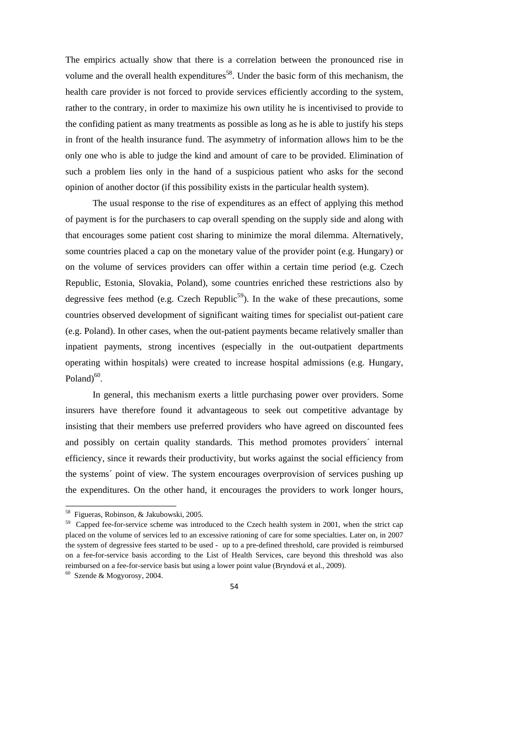The empirics actually show that there is a correlation between the pronounced rise in volume and the overall health expenditures<sup>58</sup>. Under the basic form of this mechanism, the health care provider is not forced to provide services efficiently according to the system, rather to the contrary, in order to maximize his own utility he is incentivised to provide to the confiding patient as many treatments as possible as long as he is able to justify his steps in front of the health insurance fund. The asymmetry of information allows him to be the only one who is able to judge the kind and amount of care to be provided. Elimination of such a problem lies only in the hand of a suspicious patient who asks for the second opinion of another doctor (if this possibility exists in the particular health system).

The usual response to the rise of expenditures as an effect of applying this method of payment is for the purchasers to cap overall spending on the supply side and along with that encourages some patient cost sharing to minimize the moral dilemma. Alternatively, some countries placed a cap on the monetary value of the provider point (e.g. Hungary) or on the volume of services providers can offer within a certain time period (e.g. Czech Republic, Estonia, Slovakia, Poland), some countries enriched these restrictions also by degressive fees method (e.g. Czech Republic<sup>59</sup>). In the wake of these precautions, some countries observed development of significant waiting times for specialist out-patient care (e.g. Poland). In other cases, when the out-patient payments became relatively smaller than inpatient payments, strong incentives (especially in the out-outpatient departments operating within hospitals) were created to increase hospital admissions (e.g. Hungary, Poland $)^{60}$ .

In general, this mechanism exerts a little purchasing power over providers. Some insurers have therefore found it advantageous to seek out competitive advantage by insisting that their members use preferred providers who have agreed on discounted fees and possibly on certain quality standards. This method promotes providers´ internal efficiency, since it rewards their productivity, but works against the social efficiency from the systems´ point of view. The system encourages overprovision of services pushing up the expenditures. On the other hand, it encourages the providers to work longer hours,

<sup>&</sup>lt;sup>58</sup> Figueras, Robinson, & Jakubowski, 2005.

<sup>&</sup>lt;sup>59</sup> Capped fee-for-service scheme was introduced to the Czech health system in 2001, when the strict cap placed on the volume of services led to an excessive rationing of care for some specialties. Later on, in 2007 the system of degressive fees started to be used - up to a pre-defined threshold, care provided is reimbursed on a fee-for-service basis according to the List of Health Services, care beyond this threshold was also reimbursed on a fee-for-service basis but using a lower point value (Bryndová et al., 2009).

<sup>60</sup> Szende & Mogyorosy, 2004.

<sup>54</sup>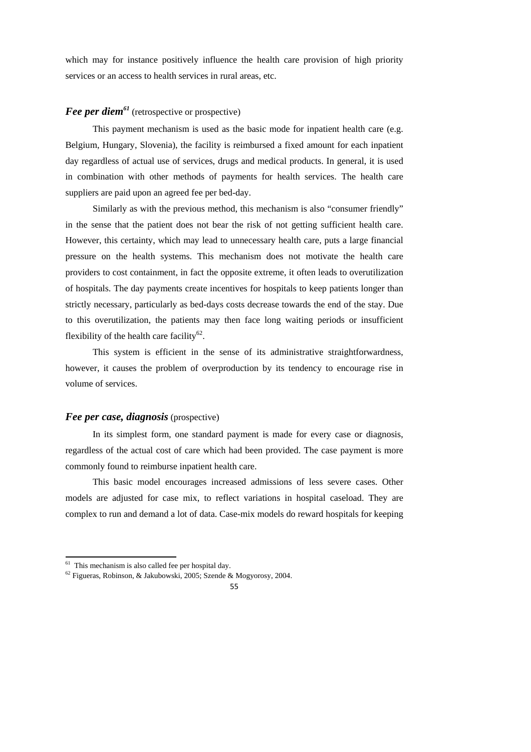which may for instance positively influence the health care provision of high priority services or an access to health services in rural areas, etc.

# *Fee per diem<sup>61</sup>* (retrospective or prospective)

This payment mechanism is used as the basic mode for inpatient health care (e.g. Belgium, Hungary, Slovenia), the facility is reimbursed a fixed amount for each inpatient day regardless of actual use of services, drugs and medical products. In general, it is used in combination with other methods of payments for health services. The health care suppliers are paid upon an agreed fee per bed-day.

Similarly as with the previous method, this mechanism is also "consumer friendly" in the sense that the patient does not bear the risk of not getting sufficient health care. However, this certainty, which may lead to unnecessary health care, puts a large financial pressure on the health systems. This mechanism does not motivate the health care providers to cost containment, in fact the opposite extreme, it often leads to overutilization of hospitals. The day payments create incentives for hospitals to keep patients longer than strictly necessary, particularly as bed-days costs decrease towards the end of the stay. Due to this overutilization, the patients may then face long waiting periods or insufficient flexibility of the health care facility<sup>62</sup>.

This system is efficient in the sense of its administrative straightforwardness, however, it causes the problem of overproduction by its tendency to encourage rise in volume of services.

## *Fee per case, diagnosis* (prospective)

In its simplest form, one standard payment is made for every case or diagnosis, regardless of the actual cost of care which had been provided. The case payment is more commonly found to reimburse inpatient health care.

This basic model encourages increased admissions of less severe cases. Other models are adjusted for case mix, to reflect variations in hospital caseload. They are complex to run and demand a lot of data. Case-mix models do reward hospitals for keeping

 $61$  This mechanism is also called fee per hospital day.

<sup>62</sup> Figueras, Robinson, & Jakubowski, 2005; Szende & Mogyorosy, 2004.

<sup>55</sup>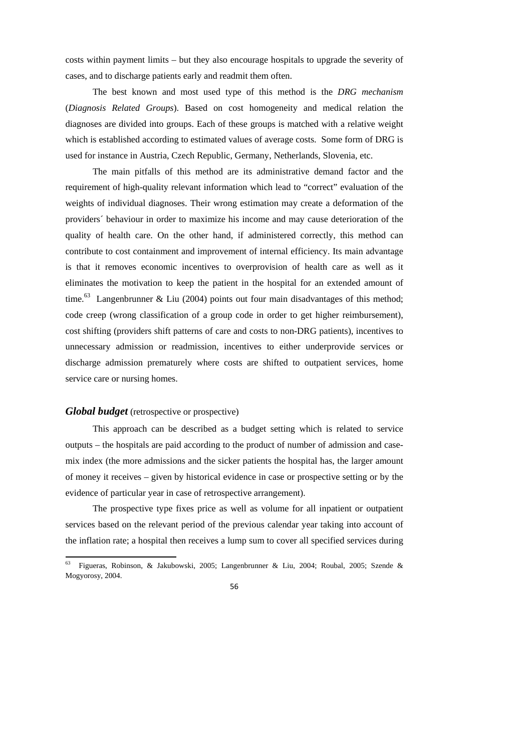costs within payment limits – but they also encourage hospitals to upgrade the severity of cases, and to discharge patients early and readmit them often.

The best known and most used type of this method is the *DRG mechanism* (*Diagnosis Related Groups*). Based on cost homogeneity and medical relation the diagnoses are divided into groups. Each of these groups is matched with a relative weight which is established according to estimated values of average costs. Some form of DRG is used for instance in Austria, Czech Republic, Germany, Netherlands, Slovenia, etc.

The main pitfalls of this method are its administrative demand factor and the requirement of high-quality relevant information which lead to "correct" evaluation of the weights of individual diagnoses. Their wrong estimation may create a deformation of the providers´ behaviour in order to maximize his income and may cause deterioration of the quality of health care. On the other hand, if administered correctly, this method can contribute to cost containment and improvement of internal efficiency. Its main advantage is that it removes economic incentives to overprovision of health care as well as it eliminates the motivation to keep the patient in the hospital for an extended amount of time.<sup>63</sup> Langenbrunner & Liu (2004) points out four main disadvantages of this method; code creep (wrong classification of a group code in order to get higher reimbursement), cost shifting (providers shift patterns of care and costs to non-DRG patients), incentives to unnecessary admission or readmission, incentives to either underprovide services or discharge admission prematurely where costs are shifted to outpatient services, home service care or nursing homes.

## *Global budget* (retrospective or prospective)

This approach can be described as a budget setting which is related to service outputs – the hospitals are paid according to the product of number of admission and casemix index (the more admissions and the sicker patients the hospital has, the larger amount of money it receives – given by historical evidence in case or prospective setting or by the evidence of particular year in case of retrospective arrangement).

The prospective type fixes price as well as volume for all inpatient or outpatient services based on the relevant period of the previous calendar year taking into account of the inflation rate; a hospital then receives a lump sum to cover all specified services during

<sup>63</sup> <sup>63</sup> Figueras, Robinson, & Jakubowski, 2005; Langenbrunner & Liu, 2004; Roubal, 2005; Szende & Mogyorosy, 2004.

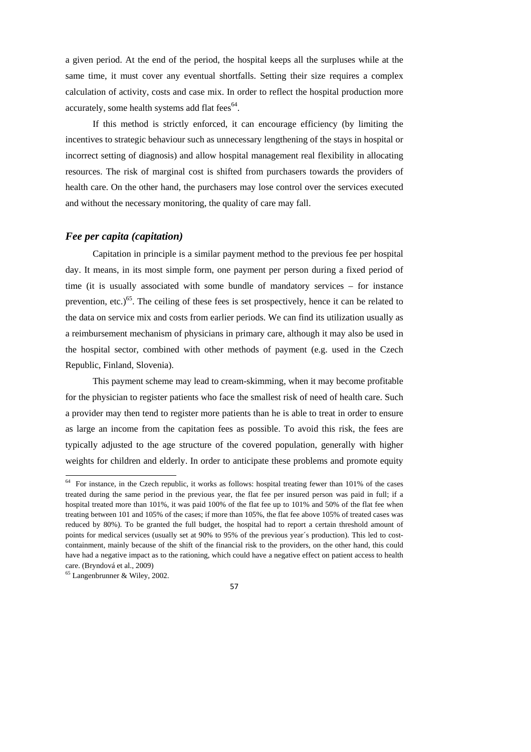a given period. At the end of the period, the hospital keeps all the surpluses while at the same time, it must cover any eventual shortfalls. Setting their size requires a complex calculation of activity, costs and case mix. In order to reflect the hospital production more accurately, some health systems add flat fees $<sup>64</sup>$ .</sup>

If this method is strictly enforced, it can encourage efficiency (by limiting the incentives to strategic behaviour such as unnecessary lengthening of the stays in hospital or incorrect setting of diagnosis) and allow hospital management real flexibility in allocating resources. The risk of marginal cost is shifted from purchasers towards the providers of health care. On the other hand, the purchasers may lose control over the services executed and without the necessary monitoring, the quality of care may fall.

## *Fee per capita (capitation)*

Capitation in principle is a similar payment method to the previous fee per hospital day. It means, in its most simple form, one payment per person during a fixed period of time (it is usually associated with some bundle of mandatory services – for instance prevention, etc.)<sup>65</sup>. The ceiling of these fees is set prospectively, hence it can be related to the data on service mix and costs from earlier periods. We can find its utilization usually as a reimbursement mechanism of physicians in primary care, although it may also be used in the hospital sector, combined with other methods of payment (e.g. used in the Czech Republic, Finland, Slovenia).

This payment scheme may lead to cream-skimming, when it may become profitable for the physician to register patients who face the smallest risk of need of health care. Such a provider may then tend to register more patients than he is able to treat in order to ensure as large an income from the capitation fees as possible. To avoid this risk, the fees are typically adjusted to the age structure of the covered population, generally with higher weights for children and elderly. In order to anticipate these problems and promote equity



 $64$  For instance, in the Czech republic, it works as follows: hospital treating fewer than 101% of the cases treated during the same period in the previous year, the flat fee per insured person was paid in full; if a hospital treated more than 101%, it was paid 100% of the flat fee up to 101% and 50% of the flat fee when treating between 101 and 105% of the cases; if more than 105%, the flat fee above 105% of treated cases was reduced by 80%). To be granted the full budget, the hospital had to report a certain threshold amount of points for medical services (usually set at 90% to 95% of the previous year´s production). This led to costcontainment, mainly because of the shift of the financial risk to the providers, on the other hand, this could have had a negative impact as to the rationing, which could have a negative effect on patient access to health care. (Bryndová et al., 2009)

<sup>65</sup> Langenbrunner & Wiley, 2002.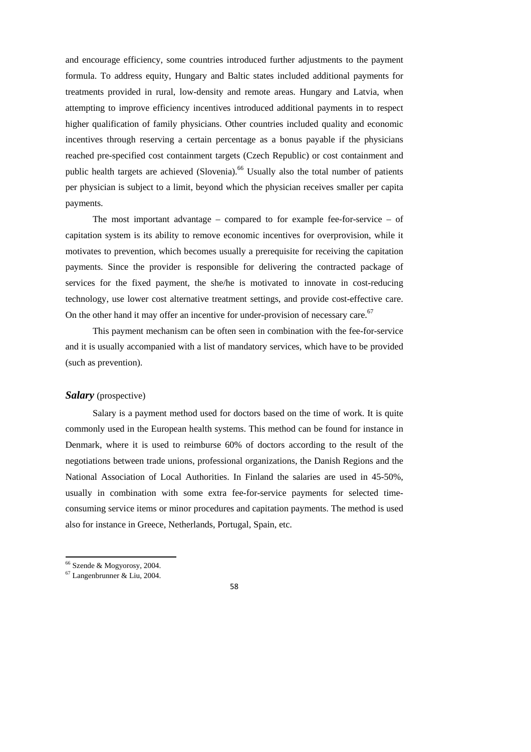and encourage efficiency, some countries introduced further adjustments to the payment formula. To address equity, Hungary and Baltic states included additional payments for treatments provided in rural, low-density and remote areas. Hungary and Latvia, when attempting to improve efficiency incentives introduced additional payments in to respect higher qualification of family physicians. Other countries included quality and economic incentives through reserving a certain percentage as a bonus payable if the physicians reached pre-specified cost containment targets (Czech Republic) or cost containment and public health targets are achieved (Slovenia).<sup>66</sup> Usually also the total number of patients per physician is subject to a limit, beyond which the physician receives smaller per capita payments.

The most important advantage – compared to for example fee-for-service – of capitation system is its ability to remove economic incentives for overprovision, while it motivates to prevention, which becomes usually a prerequisite for receiving the capitation payments. Since the provider is responsible for delivering the contracted package of services for the fixed payment, the she/he is motivated to innovate in cost-reducing technology, use lower cost alternative treatment settings, and provide cost-effective care. On the other hand it may offer an incentive for under-provision of necessary care.<sup>67</sup>

This payment mechanism can be often seen in combination with the fee-for-service and it is usually accompanied with a list of mandatory services, which have to be provided (such as prevention).

## *Salary* (prospective)

Salary is a payment method used for doctors based on the time of work. It is quite commonly used in the European health systems. This method can be found for instance in Denmark, where it is used to reimburse 60% of doctors according to the result of the negotiations between trade unions, professional organizations, the Danish Regions and the National Association of Local Authorities. In Finland the salaries are used in 45-50%, usually in combination with some extra fee-for-service payments for selected timeconsuming service items or minor procedures and capitation payments. The method is used also for instance in Greece, Netherlands, Portugal, Spain, etc.

1

<sup>66</sup> Szende & Mogyorosy, 2004.

<sup>67</sup> Langenbrunner & Liu, 2004.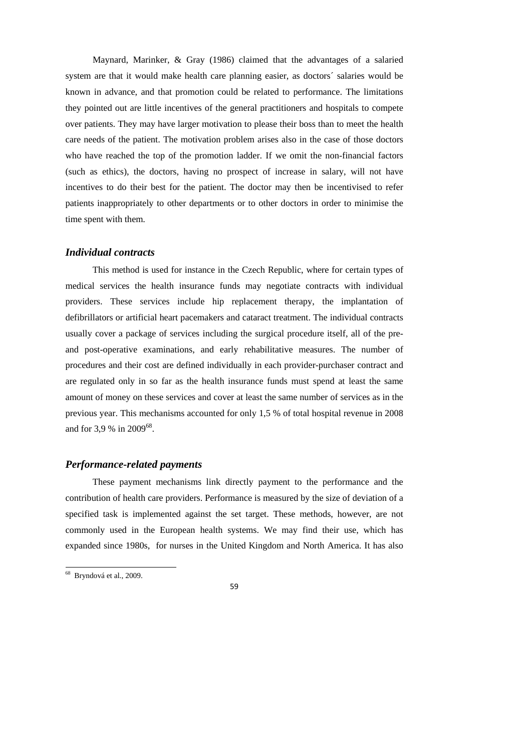Maynard, Marinker, & Gray (1986) claimed that the advantages of a salaried system are that it would make health care planning easier, as doctors´ salaries would be known in advance, and that promotion could be related to performance. The limitations they pointed out are little incentives of the general practitioners and hospitals to compete over patients. They may have larger motivation to please their boss than to meet the health care needs of the patient. The motivation problem arises also in the case of those doctors who have reached the top of the promotion ladder. If we omit the non-financial factors (such as ethics), the doctors, having no prospect of increase in salary, will not have incentives to do their best for the patient. The doctor may then be incentivised to refer patients inappropriately to other departments or to other doctors in order to minimise the time spent with them.

#### *Individual contracts*

This method is used for instance in the Czech Republic, where for certain types of medical services the health insurance funds may negotiate contracts with individual providers. These services include hip replacement therapy, the implantation of defibrillators or artificial heart pacemakers and cataract treatment. The individual contracts usually cover a package of services including the surgical procedure itself, all of the preand post-operative examinations, and early rehabilitative measures. The number of procedures and their cost are defined individually in each provider-purchaser contract and are regulated only in so far as the health insurance funds must spend at least the same amount of money on these services and cover at least the same number of services as in the previous year. This mechanisms accounted for only 1,5 % of total hospital revenue in 2008 and for 3,9 % in 2009<sup>68</sup>.

## *Performance-related payments*

These payment mechanisms link directly payment to the performance and the contribution of health care providers. Performance is measured by the size of deviation of a specified task is implemented against the set target. These methods, however, are not commonly used in the European health systems. We may find their use, which has expanded since 1980s, for nurses in the United Kingdom and North America. It has also

<sup>68</sup> Bryndová et al., 2009.

<sup>59</sup>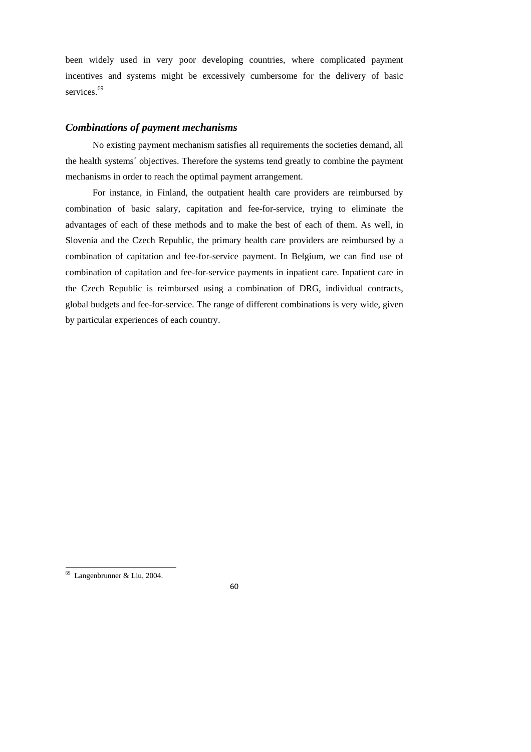been widely used in very poor developing countries, where complicated payment incentives and systems might be excessively cumbersome for the delivery of basic services.<sup>69</sup>

## *Combinations of payment mechanisms*

No existing payment mechanism satisfies all requirements the societies demand, all the health systems´ objectives. Therefore the systems tend greatly to combine the payment mechanisms in order to reach the optimal payment arrangement.

For instance, in Finland, the outpatient health care providers are reimbursed by combination of basic salary, capitation and fee-for-service, trying to eliminate the advantages of each of these methods and to make the best of each of them. As well, in Slovenia and the Czech Republic, the primary health care providers are reimbursed by a combination of capitation and fee-for-service payment. In Belgium, we can find use of combination of capitation and fee-for-service payments in inpatient care. Inpatient care in the Czech Republic is reimbursed using a combination of DRG, individual contracts, global budgets and fee-for-service. The range of different combinations is very wide, given by particular experiences of each country.

<sup>69</sup> Langenbrunner & Liu, 2004.

<sup>60</sup>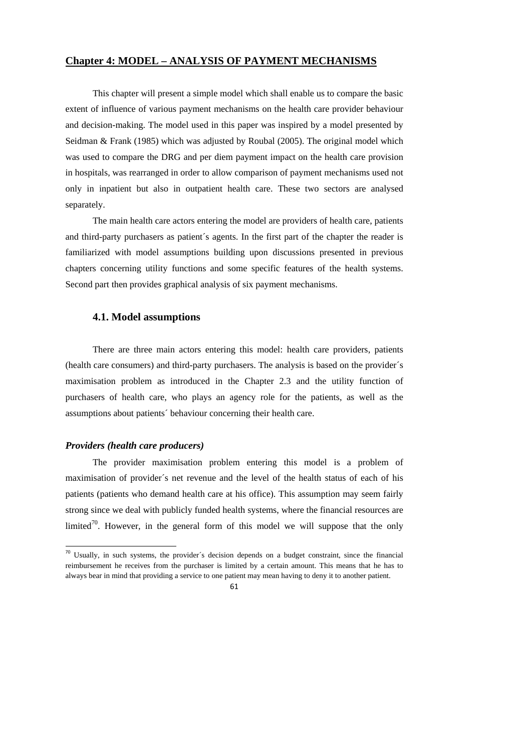#### **Chapter 4: MODEL – ANALYSIS OF PAYMENT MECHANISMS**

This chapter will present a simple model which shall enable us to compare the basic extent of influence of various payment mechanisms on the health care provider behaviour and decision-making. The model used in this paper was inspired by a model presented by Seidman & Frank (1985) which was adjusted by Roubal (2005). The original model which was used to compare the DRG and per diem payment impact on the health care provision in hospitals, was rearranged in order to allow comparison of payment mechanisms used not only in inpatient but also in outpatient health care. These two sectors are analysed separately.

The main health care actors entering the model are providers of health care, patients and third-party purchasers as patient´s agents. In the first part of the chapter the reader is familiarized with model assumptions building upon discussions presented in previous chapters concerning utility functions and some specific features of the health systems. Second part then provides graphical analysis of six payment mechanisms.

## **4.1. Model assumptions**

There are three main actors entering this model: health care providers, patients (health care consumers) and third-party purchasers. The analysis is based on the provider´s maximisation problem as introduced in the Chapter 2.3 and the utility function of purchasers of health care, who plays an agency role for the patients, as well as the assumptions about patients´ behaviour concerning their health care.

#### *Providers (health care producers)*

1

The provider maximisation problem entering this model is a problem of maximisation of provider´s net revenue and the level of the health status of each of his patients (patients who demand health care at his office). This assumption may seem fairly strong since we deal with publicly funded health systems, where the financial resources are limited<sup>70</sup>. However, in the general form of this model we will suppose that the only

 $70$  Usually, in such systems, the provider's decision depends on a budget constraint, since the financial reimbursement he receives from the purchaser is limited by a certain amount. This means that he has to always bear in mind that providing a service to one patient may mean having to deny it to another patient.

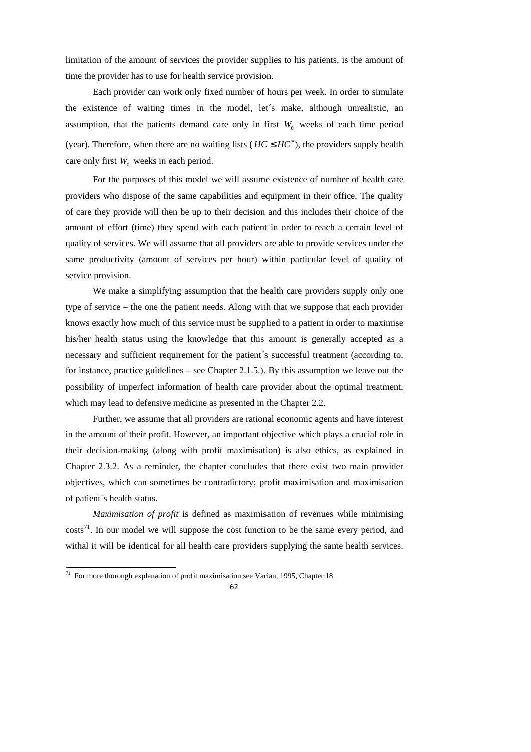limitation of the amount of services the provider supplies to his patients, is the amount of time the provider has to use for health service provision.

Each provider can work only fixed number of hours per week. In order to simulate the existence of waiting times in the model, let´s make, although unrealistic, an assumption, that the patients demand care only in first  $W_0$  weeks of each time period (year). Therefore, when there are no waiting lists ( $HC \leq HC^*$ ), the providers supply health care only first  $W_0$  weeks in each period.

For the purposes of this model we will assume existence of number of health care providers who dispose of the same capabilities and equipment in their office. The quality of care they provide will then be up to their decision and this includes their choice of the amount of effort (time) they spend with each patient in order to reach a certain level of quality of services. We will assume that all providers are able to provide services under the same productivity (amount of services per hour) within particular level of quality of service provision.

We make a simplifying assumption that the health care providers supply only one type of service – the one the patient needs. Along with that we suppose that each provider knows exactly how much of this service must be supplied to a patient in order to maximise his/her health status using the knowledge that this amount is generally accepted as a necessary and sufficient requirement for the patient´s successful treatment (according to, for instance, practice guidelines – see Chapter 2.1.5.). By this assumption we leave out the possibility of imperfect information of health care provider about the optimal treatment, which may lead to defensive medicine as presented in the Chapter 2.2.

Further, we assume that all providers are rational economic agents and have interest in the amount of their profit. However, an important objective which plays a crucial role in their decision-making (along with profit maximisation) is also ethics, as explained in Chapter 2.3.2. As a reminder, the chapter concludes that there exist two main provider objectives, which can sometimes be contradictory; profit maximisation and maximisation of patient´s health status.

*Maximisation of profit* is defined as maximisation of revenues while minimising  $costs<sup>71</sup>$ . In our model we will suppose the cost function to be the same every period, and withal it will be identical for all health care providers supplying the same health services.

1

 $71$  For more thorough explanation of profit maximisation see Varian, 1995, Chapter 18.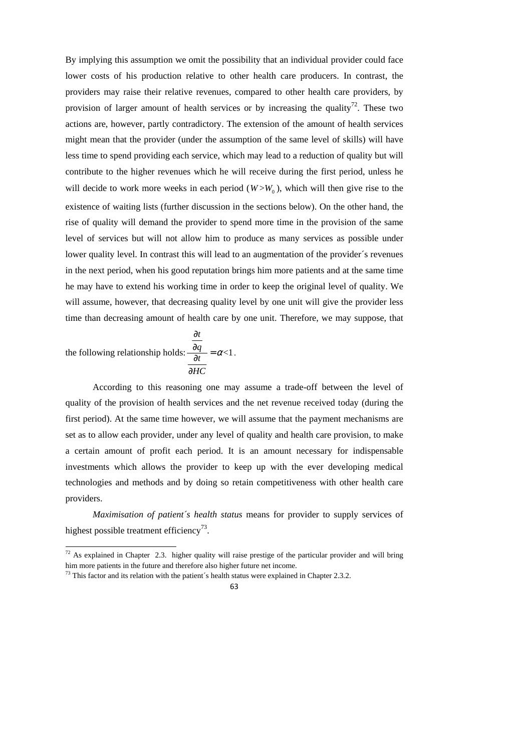By implying this assumption we omit the possibility that an individual provider could face lower costs of his production relative to other health care producers. In contrast, the providers may raise their relative revenues, compared to other health care providers, by provision of larger amount of health services or by increasing the quality<sup>72</sup>. These two actions are, however, partly contradictory. The extension of the amount of health services might mean that the provider (under the assumption of the same level of skills) will have less time to spend providing each service, which may lead to a reduction of quality but will contribute to the higher revenues which he will receive during the first period, unless he will decide to work more weeks in each period  $(W > W_0)$ , which will then give rise to the existence of waiting lists (further discussion in the sections below). On the other hand, the rise of quality will demand the provider to spend more time in the provision of the same level of services but will not allow him to produce as many services as possible under lower quality level. In contrast this will lead to an augmentation of the provider´s revenues in the next period, when his good reputation brings him more patients and at the same time he may have to extend his working time in order to keep the original level of quality. We will assume, however, that decreasing quality level by one unit will give the provider less time than decreasing amount of health care by one unit. Therefore, we may suppose, that

the following relationship holds: 
$$
\frac{\frac{\partial t}{\partial q}}{\frac{\partial t}{\partial HC}} = \alpha < 1
$$

1

According to this reasoning one may assume a trade-off between the level of quality of the provision of health services and the net revenue received today (during the first period). At the same time however, we will assume that the payment mechanisms are set as to allow each provider, under any level of quality and health care provision, to make a certain amount of profit each period. It is an amount necessary for indispensable investments which allows the provider to keep up with the ever developing medical technologies and methods and by doing so retain competitiveness with other health care providers.

.

*Maximisation of patient´s health status* means for provider to supply services of highest possible treatment efficiency<sup>73</sup>.

 $72$  As explained in Chapter 2.3. higher quality will raise prestige of the particular provider and will bring him more patients in the future and therefore also higher future net income.

 $73$  This factor and its relation with the patient's health status were explained in Chapter 2.3.2.

<sup>63</sup>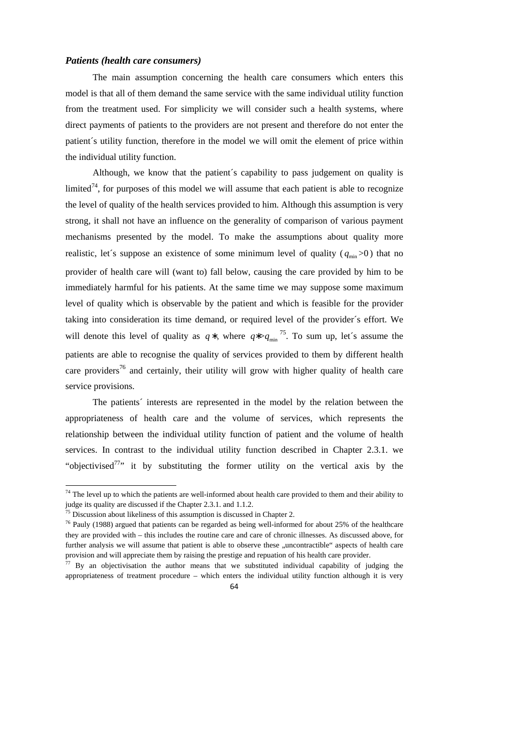#### *Patients (health care consumers)*

The main assumption concerning the health care consumers which enters this model is that all of them demand the same service with the same individual utility function from the treatment used. For simplicity we will consider such a health systems, where direct payments of patients to the providers are not present and therefore do not enter the patient´s utility function, therefore in the model we will omit the element of price within the individual utility function.

Although, we know that the patient´s capability to pass judgement on quality is limited<sup> $74$ </sup>, for purposes of this model we will assume that each patient is able to recognize the level of quality of the health services provided to him. Although this assumption is very strong, it shall not have an influence on the generality of comparison of various payment mechanisms presented by the model. To make the assumptions about quality more realistic, let's suppose an existence of some minimum level of quality ( $q_{\text{min}}$  >0) that no provider of health care will (want to) fall below, causing the care provided by him to be immediately harmful for his patients. At the same time we may suppose some maximum level of quality which is observable by the patient and which is feasible for the provider taking into consideration its time demand, or required level of the provider´s effort. We will denote this level of quality as  $q^*$ , where  $q^{*} > q_{min}^{75}$ . To sum up, let's assume the patients are able to recognise the quality of services provided to them by different health care providers<sup>76</sup> and certainly, their utility will grow with higher quality of health care service provisions.

The patients´ interests are represented in the model by the relation between the appropriateness of health care and the volume of services, which represents the relationship between the individual utility function of patient and the volume of health services. In contrast to the individual utility function described in Chapter 2.3.1. we "objectivised<sup>77</sup>" it by substituting the former utility on the vertical axis by the

1

 $74$  The level up to which the patients are well-informed about health care provided to them and their ability to judge its quality are discussed if the Chapter 2.3.1. and 1.1.2.

 $75$  Discussion about likeliness of this assumption is discussed in Chapter 2.

 $76$  Pauly (1988) argued that patients can be regarded as being well-informed for about 25% of the healthcare they are provided with – this includes the routine care and care of chronic illnesses. As discussed above, for further analysis we will assume that patient is able to observe these "uncontractible" aspects of health care provision and will appreciate them by raising the prestige and repuation of his health care provider.

 $77$  By an objectivisation the author means that we substituted individual capability of judging the appropriateness of treatment procedure – which enters the individual utility function although it is very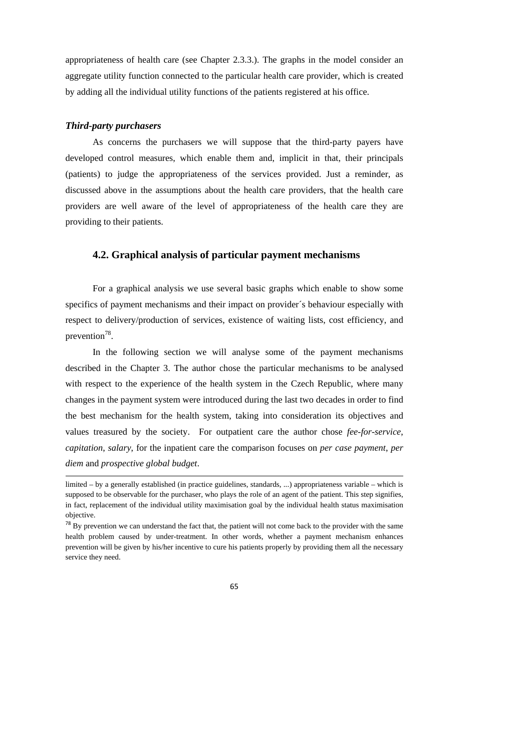appropriateness of health care (see Chapter 2.3.3.). The graphs in the model consider an aggregate utility function connected to the particular health care provider, which is created by adding all the individual utility functions of the patients registered at his office.

#### *Third-party purchasers*

 $\overline{a}$ 

As concerns the purchasers we will suppose that the third-party payers have developed control measures, which enable them and, implicit in that, their principals (patients) to judge the appropriateness of the services provided. Just a reminder, as discussed above in the assumptions about the health care providers, that the health care providers are well aware of the level of appropriateness of the health care they are providing to their patients.

## **4.2. Graphical analysis of particular payment mechanisms**

For a graphical analysis we use several basic graphs which enable to show some specifics of payment mechanisms and their impact on provider´s behaviour especially with respect to delivery/production of services, existence of waiting lists, cost efficiency, and prevention<sup>78</sup>.

In the following section we will analyse some of the payment mechanisms described in the Chapter 3. The author chose the particular mechanisms to be analysed with respect to the experience of the health system in the Czech Republic, where many changes in the payment system were introduced during the last two decades in order to find the best mechanism for the health system, taking into consideration its objectives and values treasured by the society. For outpatient care the author chose *fee-for-service*, *capitation*, *salary*, for the inpatient care the comparison focuses on *per case payment*, *per diem* and *prospective global budget*.

<sup>&</sup>lt;sup>78</sup> By prevention we can understand the fact that, the patient will not come back to the provider with the same health problem caused by under-treatment. In other words, whether a payment mechanism enhances prevention will be given by his/her incentive to cure his patients properly by providing them all the necessary service they need.



limited – by a generally established (in practice guidelines, standards, ...) appropriateness variable – which is supposed to be observable for the purchaser, who plays the role of an agent of the patient. This step signifies, in fact, replacement of the individual utility maximisation goal by the individual health status maximisation objective.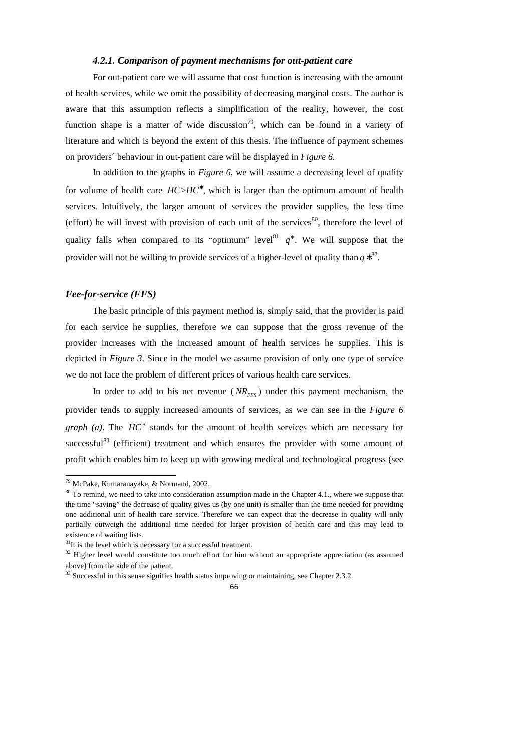### *4.2.1. Comparison of payment mechanisms for out-patient care*

For out-patient care we will assume that cost function is increasing with the amount of health services, while we omit the possibility of decreasing marginal costs. The author is aware that this assumption reflects a simplification of the reality, however, the cost function shape is a matter of wide discussion<sup>79</sup>, which can be found in a variety of literature and which is beyond the extent of this thesis. The influence of payment schemes on providers´ behaviour in out-patient care will be displayed in *Figure 6.* 

In addition to the graphs in *Figure 6*, we will assume a decreasing level of quality for volume of health care  $HC > HC^*$ , which is larger than the optimum amount of health services. Intuitively, the larger amount of services the provider supplies, the less time (effort) he will invest with provision of each unit of the services $80$ , therefore the level of quality falls when compared to its "optimum" level<sup>81</sup>  $q^*$ . We will suppose that the provider will not be willing to provide services of a higher-level of quality than  $q * ^{82}$ .

## *Fee-for-service (FFS)*

The basic principle of this payment method is, simply said, that the provider is paid for each service he supplies, therefore we can suppose that the gross revenue of the provider increases with the increased amount of health services he supplies. This is depicted in *Figure 3*. Since in the model we assume provision of only one type of service we do not face the problem of different prices of various health care services.

In order to add to his net revenue ( $NR_{FFS}$ ) under this payment mechanism, the provider tends to supply increased amounts of services, as we can see in the *Figure 6 graph (a)*. The *HC*<sup>\*</sup> stands for the amount of health services which are necessary for successful<sup>83</sup> (efficient) treatment and which ensures the provider with some amount of profit which enables him to keep up with growing medical and technological progress (see

<sup>79</sup> McPake, Kumaranayake, & Normand, 2002.

 $80$  To remind, we need to take into consideration assumption made in the Chapter 4.1., where we suppose that the time "saving" the decrease of quality gives us (by one unit) is smaller than the time needed for providing one additional unit of health care service. Therefore we can expect that the decrease in quality will only partially outweigh the additional time needed for larger provision of health care and this may lead to existence of waiting lists.

 ${}^{81}$ It is the level which is necessary for a successful treatment.

<sup>&</sup>lt;sup>82</sup> Higher level would constitute too much effort for him without an appropriate appreciation (as assumed above) from the side of the patient.

<sup>&</sup>lt;sup>83</sup> Successful in this sense signifies health status improving or maintaining, see Chapter 2.3.2.

<sup>66</sup>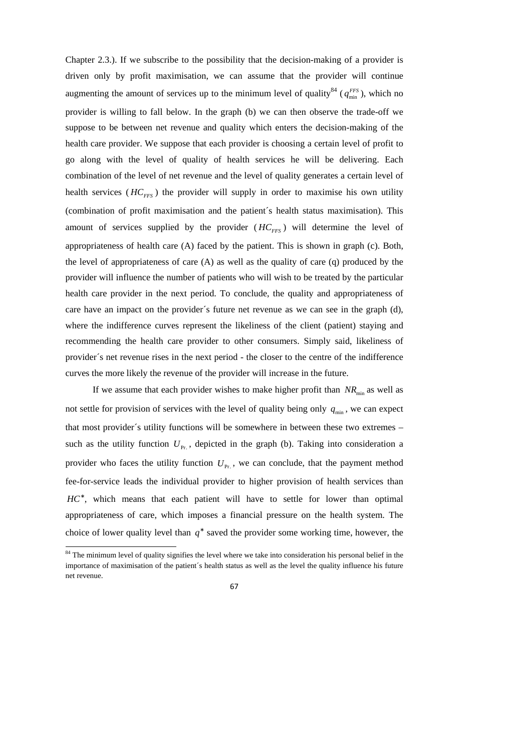Chapter 2.3.). If we subscribe to the possibility that the decision-making of a provider is driven only by profit maximisation, we can assume that the provider will continue augmenting the amount of services up to the minimum level of quality<sup>84</sup> ( $q_{min}^{FFS}$ ), which no provider is willing to fall below. In the graph (b) we can then observe the trade-off we suppose to be between net revenue and quality which enters the decision-making of the health care provider. We suppose that each provider is choosing a certain level of profit to go along with the level of quality of health services he will be delivering. Each combination of the level of net revenue and the level of quality generates a certain level of health services ( $HC_{FFS}$ ) the provider will supply in order to maximise his own utility (combination of profit maximisation and the patient´s health status maximisation). This amount of services supplied by the provider  $(HC<sub>FFS</sub>)$  will determine the level of appropriateness of health care (A) faced by the patient. This is shown in graph (c). Both, the level of appropriateness of care  $(A)$  as well as the quality of care  $(q)$  produced by the provider will influence the number of patients who will wish to be treated by the particular health care provider in the next period. To conclude, the quality and appropriateness of care have an impact on the provider´s future net revenue as we can see in the graph (d), where the indifference curves represent the likeliness of the client (patient) staying and recommending the health care provider to other consumers. Simply said, likeliness of provider´s net revenue rises in the next period - the closer to the centre of the indifference curves the more likely the revenue of the provider will increase in the future.

If we assume that each provider wishes to make higher profit than  $NR_{\text{min}}$  as well as not settle for provision of services with the level of quality being only  $q_{\text{min}}$ , we can expect that most provider´s utility functions will be somewhere in between these two extremes – such as the utility function  $U_{\text{Pr}}$ , depicted in the graph (b). Taking into consideration a provider who faces the utility function  $U_{p_r}$ , we can conclude, that the payment method fee-for-service leads the individual provider to higher provision of health services than HC<sup>\*</sup>, which means that each patient will have to settle for lower than optimal appropriateness of care, which imposes a financial pressure on the health system. The choice of lower quality level than  $q^*$  saved the provider some working time, however, the

<sup>&</sup>lt;sup>84</sup> The minimum level of quality signifies the level where we take into consideration his personal belief in the importance of maximisation of the patient´s health status as well as the level the quality influence his future net revenue.

<sup>67</sup>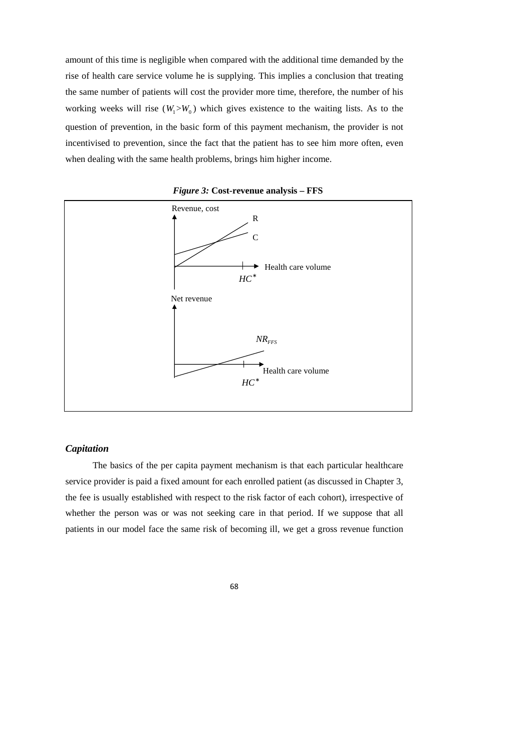amount of this time is negligible when compared with the additional time demanded by the rise of health care service volume he is supplying. This implies a conclusion that treating the same number of patients will cost the provider more time, therefore, the number of his working weeks will rise  $(W_1 > W_0)$  which gives existence to the waiting lists. As to the question of prevention, in the basic form of this payment mechanism, the provider is not incentivised to prevention, since the fact that the patient has to see him more often, even when dealing with the same health problems, brings him higher income.



*Figure 3:* **Cost-revenue analysis – FFS** 

#### *Capitation*

The basics of the per capita payment mechanism is that each particular healthcare service provider is paid a fixed amount for each enrolled patient (as discussed in Chapter 3, the fee is usually established with respect to the risk factor of each cohort), irrespective of whether the person was or was not seeking care in that period. If we suppose that all patients in our model face the same risk of becoming ill, we get a gross revenue function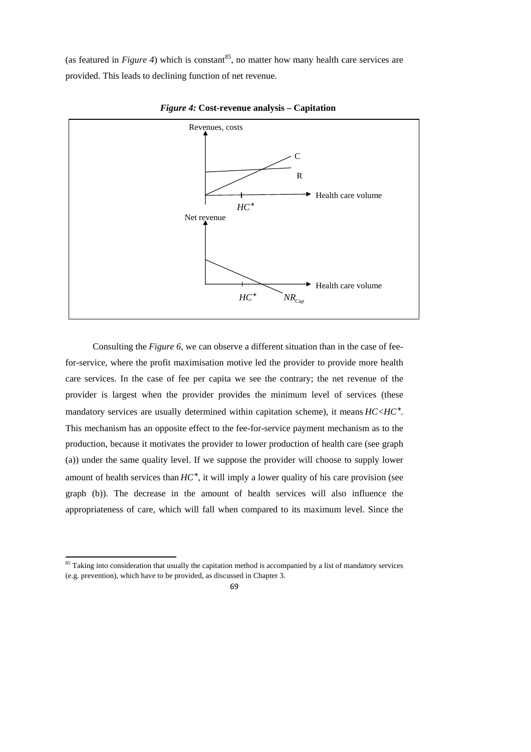(as featured in *Figure 4*) which is constant<sup>85</sup>, no matter how many health care services are provided. This leads to declining function of net revenue.



*Figure 4:* **Cost-revenue analysis – Capitation** 

Consulting the *Figure 6*, we can observe a different situation than in the case of feefor-service, where the profit maximisation motive led the provider to provide more health care services. In the case of fee per capita we see the contrary; the net revenue of the provider is largest when the provider provides the minimum level of services (these mandatory services are usually determined within capitation scheme), it means  $HC .$ This mechanism has an opposite effect to the fee-for-service payment mechanism as to the production, because it motivates the provider to lower production of health care (see graph (a)) under the same quality level. If we suppose the provider will choose to supply lower amount of health services than  $HC^*$ , it will imply a lower quality of his care provision (see graph (b)). The decrease in the amount of health services will also influence the appropriateness of care, which will fall when compared to its maximum level. Since the

1

<sup>&</sup>lt;sup>85</sup> Taking into consideration that usually the capitation method is accompanied by a list of mandatory services (e.g. prevention), which have to be provided, as discussed in Chapter 3.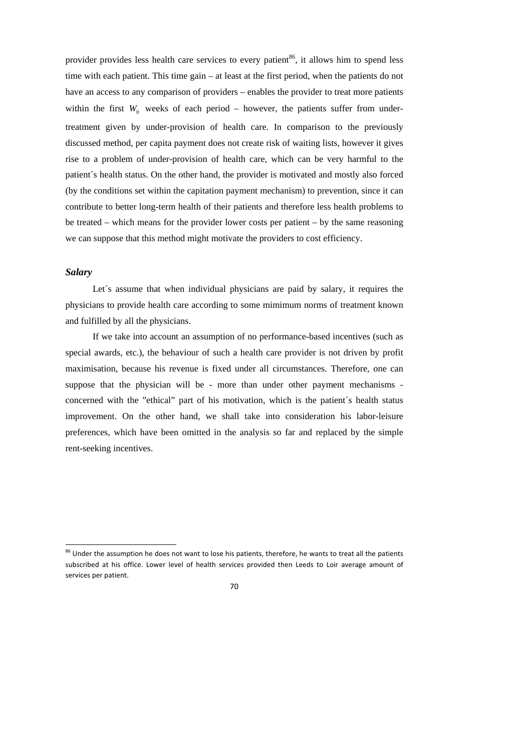provider provides less health care services to every patient<sup>86</sup>, it allows him to spend less time with each patient. This time gain – at least at the first period, when the patients do not have an access to any comparison of providers – enables the provider to treat more patients within the first  $W_0$  weeks of each period – however, the patients suffer from undertreatment given by under-provision of health care. In comparison to the previously discussed method, per capita payment does not create risk of waiting lists, however it gives rise to a problem of under-provision of health care, which can be very harmful to the patient´s health status. On the other hand, the provider is motivated and mostly also forced (by the conditions set within the capitation payment mechanism) to prevention, since it can contribute to better long-term health of their patients and therefore less health problems to be treated – which means for the provider lower costs per patient – by the same reasoning we can suppose that this method might motivate the providers to cost efficiency.

## *Salary*

1

Let's assume that when individual physicians are paid by salary, it requires the physicians to provide health care according to some mimimum norms of treatment known and fulfilled by all the physicians.

If we take into account an assumption of no performance-based incentives (such as special awards, etc.), the behaviour of such a health care provider is not driven by profit maximisation, because his revenue is fixed under all circumstances. Therefore, one can suppose that the physician will be - more than under other payment mechanisms concerned with the "ethical" part of his motivation, which is the patient´s health status improvement. On the other hand, we shall take into consideration his labor-leisure preferences, which have been omitted in the analysis so far and replaced by the simple rent-seeking incentives.

 $86$  Under the assumption he does not want to lose his patients, therefore, he wants to treat all the patients subscribed at his office. Lower level of health services provided then Leeds to Loir average amount of services per patient.

<sup>70</sup>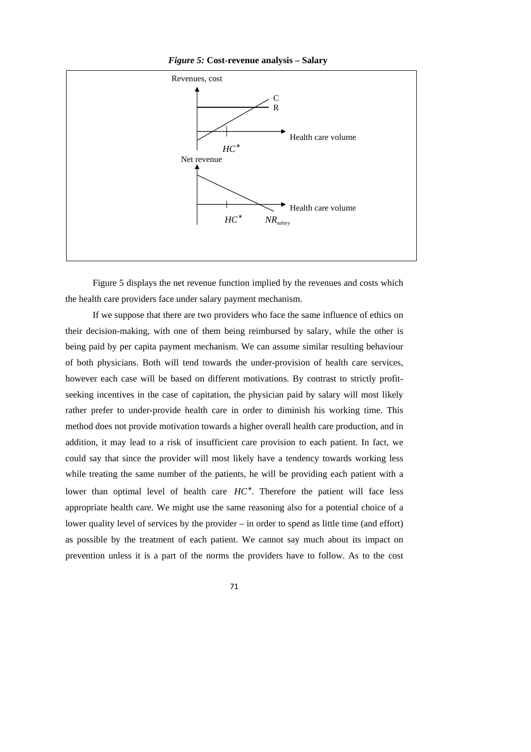

*Figure 5:* **Cost-revenue analysis – Salary** 

Figure 5 displays the net revenue function implied by the revenues and costs which the health care providers face under salary payment mechanism.

If we suppose that there are two providers who face the same influence of ethics on their decision-making, with one of them being reimbursed by salary, while the other is being paid by per capita payment mechanism. We can assume similar resulting behaviour of both physicians. Both will tend towards the under-provision of health care services, however each case will be based on different motivations. By contrast to strictly profitseeking incentives in the case of capitation, the physician paid by salary will most likely rather prefer to under-provide health care in order to diminish his working time. This method does not provide motivation towards a higher overall health care production, and in addition, it may lead to a risk of insufficient care provision to each patient. In fact, we could say that since the provider will most likely have a tendency towards working less while treating the same number of the patients, he will be providing each patient with a lower than optimal level of health care *HC*<sup>∗</sup> . Therefore the patient will face less appropriate health care. We might use the same reasoning also for a potential choice of a lower quality level of services by the provider – in order to spend as little time (and effort) as possible by the treatment of each patient. We cannot say much about its impact on prevention unless it is a part of the norms the providers have to follow. As to the cost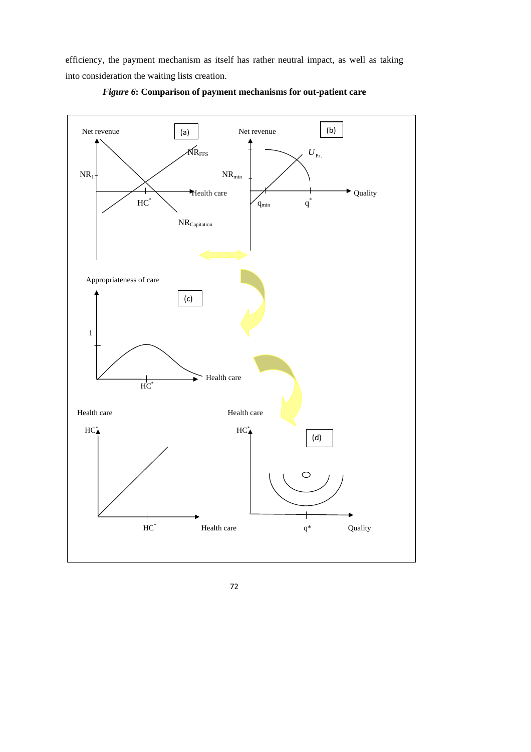efficiency, the payment mechanism as itself has rather neutral impact, as well as taking into consideration the waiting lists creation.



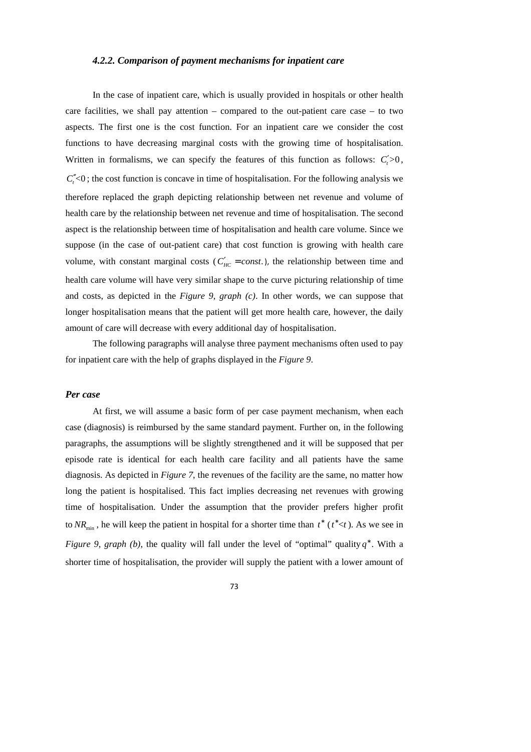#### *4.2.2. Comparison of payment mechanisms for inpatient care*

In the case of inpatient care, which is usually provided in hospitals or other health care facilities, we shall pay attention – compared to the out-patient care case – to two aspects. The first one is the cost function. For an inpatient care we consider the cost functions to have decreasing marginal costs with the growing time of hospitalisation. Written in formalisms, we can specify the features of this function as follows:  $C'_i > 0$ ,  $C^{\prime}_{t}$ <0; the cost function is concave in time of hospitalisation. For the following analysis we therefore replaced the graph depicting relationship between net revenue and volume of health care by the relationship between net revenue and time of hospitalisation. The second aspect is the relationship between time of hospitalisation and health care volume. Since we suppose (in the case of out-patient care) that cost function is growing with health care volume, with constant marginal costs ( $C'_{HC} = const.$ ), the relationship between time and health care volume will have very similar shape to the curve picturing relationship of time and costs, as depicted in the *Figure 9, graph (c)*. In other words, we can suppose that longer hospitalisation means that the patient will get more health care, however, the daily amount of care will decrease with every additional day of hospitalisation.

The following paragraphs will analyse three payment mechanisms often used to pay for inpatient care with the help of graphs displayed in the *Figure 9*.

#### *Per case*

At first, we will assume a basic form of per case payment mechanism, when each case (diagnosis) is reimbursed by the same standard payment. Further on, in the following paragraphs, the assumptions will be slightly strengthened and it will be supposed that per episode rate is identical for each health care facility and all patients have the same diagnosis. As depicted in *Figure 7*, the revenues of the facility are the same, no matter how long the patient is hospitalised. This fact implies decreasing net revenues with growing time of hospitalisation. Under the assumption that the provider prefers higher profit to  $NR_{\text{min}}$ , he will keep the patient in hospital for a shorter time than  $t^*$  ( $t^*$  < t). As we see in *Figure 9, graph (b),* the quality will fall under the level of "optimal" quality  $q^*$ . With a shorter time of hospitalisation, the provider will supply the patient with a lower amount of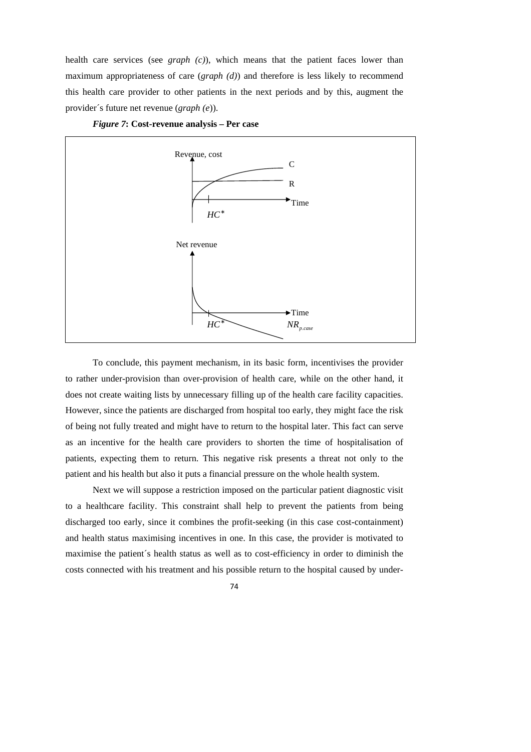health care services (see *graph (c)*), which means that the patient faces lower than maximum appropriateness of care (*graph (d)*) and therefore is less likely to recommend this health care provider to other patients in the next periods and by this, augment the provider´s future net revenue (*graph (e*)).



*Figure 7***: Cost-revenue analysis – Per case** 

To conclude, this payment mechanism, in its basic form, incentivises the provider to rather under-provision than over-provision of health care, while on the other hand, it does not create waiting lists by unnecessary filling up of the health care facility capacities. However, since the patients are discharged from hospital too early, they might face the risk of being not fully treated and might have to return to the hospital later. This fact can serve as an incentive for the health care providers to shorten the time of hospitalisation of patients, expecting them to return. This negative risk presents a threat not only to the patient and his health but also it puts a financial pressure on the whole health system.

Next we will suppose a restriction imposed on the particular patient diagnostic visit to a healthcare facility. This constraint shall help to prevent the patients from being discharged too early, since it combines the profit-seeking (in this case cost-containment) and health status maximising incentives in one. In this case, the provider is motivated to maximise the patient´s health status as well as to cost-efficiency in order to diminish the costs connected with his treatment and his possible return to the hospital caused by under-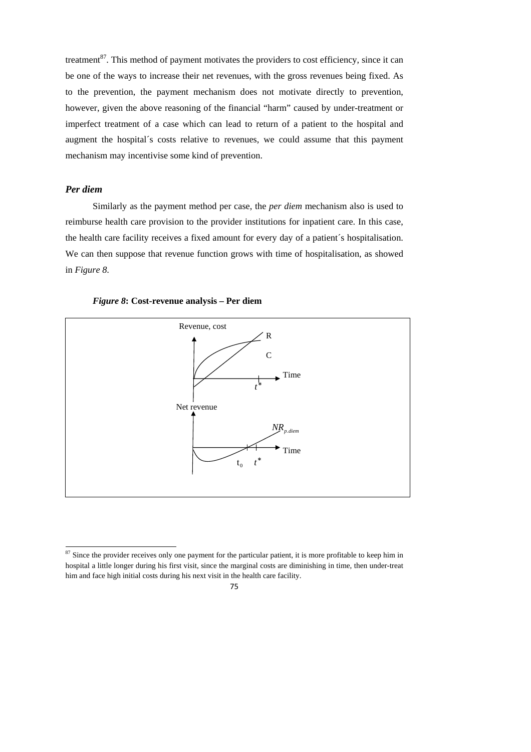treatment $^{87}$ . This method of payment motivates the providers to cost efficiency, since it can be one of the ways to increase their net revenues, with the gross revenues being fixed. As to the prevention, the payment mechanism does not motivate directly to prevention, however, given the above reasoning of the financial "harm" caused by under-treatment or imperfect treatment of a case which can lead to return of a patient to the hospital and augment the hospital´s costs relative to revenues, we could assume that this payment mechanism may incentivise some kind of prevention.

## *Per diem*

1

Similarly as the payment method per case, the *per diem* mechanism also is used to reimburse health care provision to the provider institutions for inpatient care. In this case, the health care facility receives a fixed amount for every day of a patient´s hospitalisation. We can then suppose that revenue function grows with time of hospitalisation, as showed in *Figure 8*.





 $87$  Since the provider receives only one payment for the particular patient, it is more profitable to keep him in hospital a little longer during his first visit, since the marginal costs are diminishing in time, then under-treat him and face high initial costs during his next visit in the health care facility.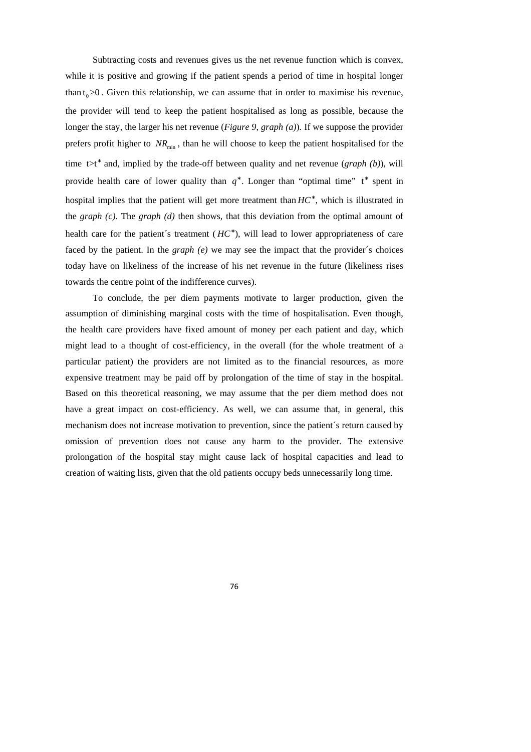Subtracting costs and revenues gives us the net revenue function which is convex, while it is positive and growing if the patient spends a period of time in hospital longer than  $t_0$  >0. Given this relationship, we can assume that in order to maximise his revenue, the provider will tend to keep the patient hospitalised as long as possible, because the longer the stay, the larger his net revenue (*Figure 9, graph (a)*). If we suppose the provider prefers profit higher to  $NR_{\text{min}}$ , than he will choose to keep the patient hospitalised for the time t>t<sup>\*</sup> and, implied by the trade-off between quality and net revenue (*graph (b)*), will provide health care of lower quality than  $q^*$ . Longer than "optimal time" t\* spent in hospital implies that the patient will get more treatment than *HC*<sup>∗</sup> , which is illustrated in the *graph (c)*. The *graph (d)* then shows, that this deviation from the optimal amount of health care for the patient's treatment  $(HC^*)$ , will lead to lower appropriateness of care faced by the patient. In the *graph (e)* we may see the impact that the provider´s choices today have on likeliness of the increase of his net revenue in the future (likeliness rises towards the centre point of the indifference curves).

To conclude, the per diem payments motivate to larger production, given the assumption of diminishing marginal costs with the time of hospitalisation. Even though, the health care providers have fixed amount of money per each patient and day, which might lead to a thought of cost-efficiency, in the overall (for the whole treatment of a particular patient) the providers are not limited as to the financial resources, as more expensive treatment may be paid off by prolongation of the time of stay in the hospital. Based on this theoretical reasoning, we may assume that the per diem method does not have a great impact on cost-efficiency. As well, we can assume that, in general, this mechanism does not increase motivation to prevention, since the patient´s return caused by omission of prevention does not cause any harm to the provider. The extensive prolongation of the hospital stay might cause lack of hospital capacities and lead to creation of waiting lists, given that the old patients occupy beds unnecessarily long time.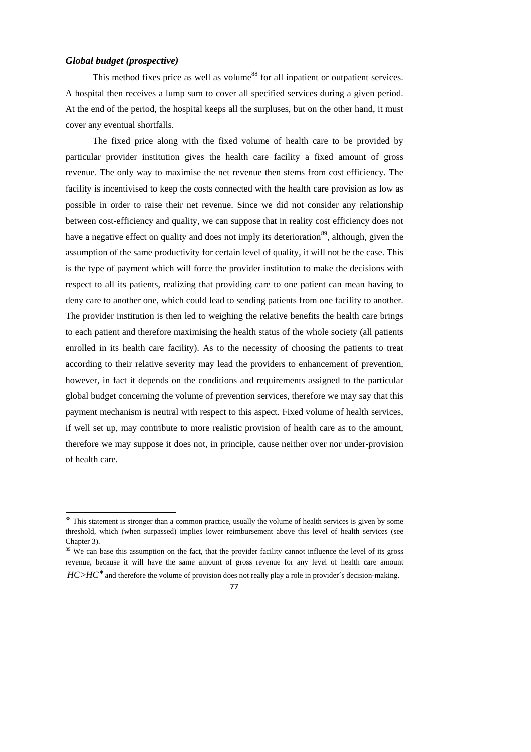#### *Global budget (prospective)*

1

This method fixes price as well as volume<sup>88</sup> for all inpatient or outpatient services. A hospital then receives a lump sum to cover all specified services during a given period. At the end of the period, the hospital keeps all the surpluses, but on the other hand, it must cover any eventual shortfalls.

The fixed price along with the fixed volume of health care to be provided by particular provider institution gives the health care facility a fixed amount of gross revenue. The only way to maximise the net revenue then stems from cost efficiency. The facility is incentivised to keep the costs connected with the health care provision as low as possible in order to raise their net revenue. Since we did not consider any relationship between cost-efficiency and quality, we can suppose that in reality cost efficiency does not have a negative effect on quality and does not imply its deterioration<sup>89</sup>, although, given the assumption of the same productivity for certain level of quality, it will not be the case. This is the type of payment which will force the provider institution to make the decisions with respect to all its patients, realizing that providing care to one patient can mean having to deny care to another one, which could lead to sending patients from one facility to another. The provider institution is then led to weighing the relative benefits the health care brings to each patient and therefore maximising the health status of the whole society (all patients enrolled in its health care facility). As to the necessity of choosing the patients to treat according to their relative severity may lead the providers to enhancement of prevention, however, in fact it depends on the conditions and requirements assigned to the particular global budget concerning the volume of prevention services, therefore we may say that this payment mechanism is neutral with respect to this aspect. Fixed volume of health services, if well set up, may contribute to more realistic provision of health care as to the amount, therefore we may suppose it does not, in principle, cause neither over nor under-provision of health care.

 $HC > HC^*$  and therefore the volume of provision does not really play a role in provider's decision-making.



<sup>&</sup>lt;sup>88</sup> This statement is stronger than a common practice, usually the volume of health services is given by some threshold, which (when surpassed) implies lower reimbursement above this level of health services (see Chapter 3).

<sup>&</sup>lt;sup>89</sup> We can base this assumption on the fact, that the provider facility cannot influence the level of its gross revenue, because it will have the same amount of gross revenue for any level of health care amount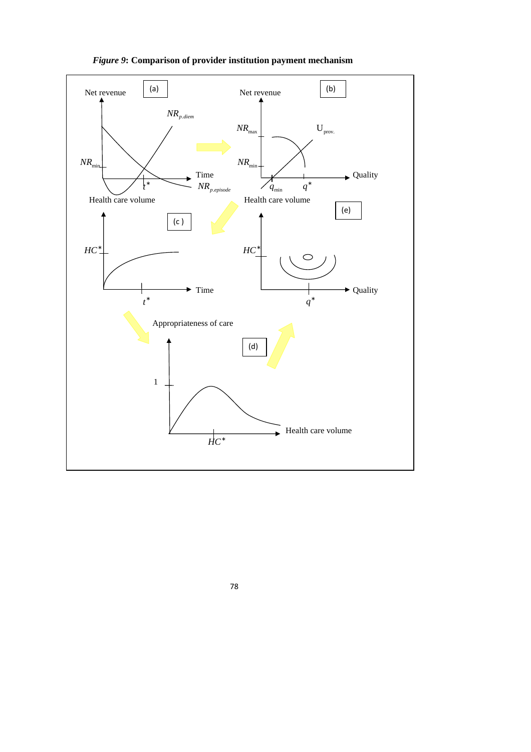

*Figure 9***: Comparison of provider institution payment mechanism**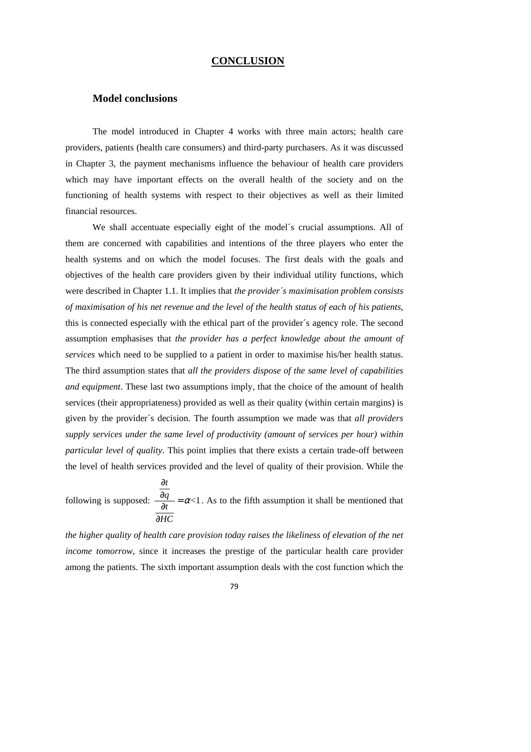#### **CONCLUSION**

### **Model conclusions**

The model introduced in Chapter 4 works with three main actors; health care providers, patients (health care consumers) and third-party purchasers. As it was discussed in Chapter 3, the payment mechanisms influence the behaviour of health care providers which may have important effects on the overall health of the society and on the functioning of health systems with respect to their objectives as well as their limited financial resources.

 We shall accentuate especially eight of the model´s crucial assumptions. All of them are concerned with capabilities and intentions of the three players who enter the health systems and on which the model focuses. The first deals with the goals and objectives of the health care providers given by their individual utility functions, which were described in Chapter 1.1. It implies that *the provider´s maximisation problem consists of maximisation of his net revenue and the level of the health status of each of his patients*, this is connected especially with the ethical part of the provider´s agency role. The second assumption emphasises that *the provider has a perfect knowledge about the amount of services* which need to be supplied to a patient in order to maximise his/her health status. The third assumption states that *all the providers dispose of the same level of capabilities and equipment*. These last two assumptions imply, that the choice of the amount of health services (their appropriateness) provided as well as their quality (within certain margins) is given by the provider´s decision. The fourth assumption we made was that *all providers supply services under the same level of productivity (amount of services per hour) within particular level of quality*. This point implies that there exists a certain trade-off between the level of health services provided and the level of quality of their provision. While the

following is supposed:  $\frac{dq}{dx} = \alpha <1$ *t q t HC* α ∂  $\frac{\partial q}{\partial t} =$ ∂ . As to the fifth assumption it shall be mentioned that

*the higher quality of health care provision today raises the likeliness of elevation of the net income tomorrow*, since it increases the prestige of the particular health care provider among the patients. The sixth important assumption deals with the cost function which the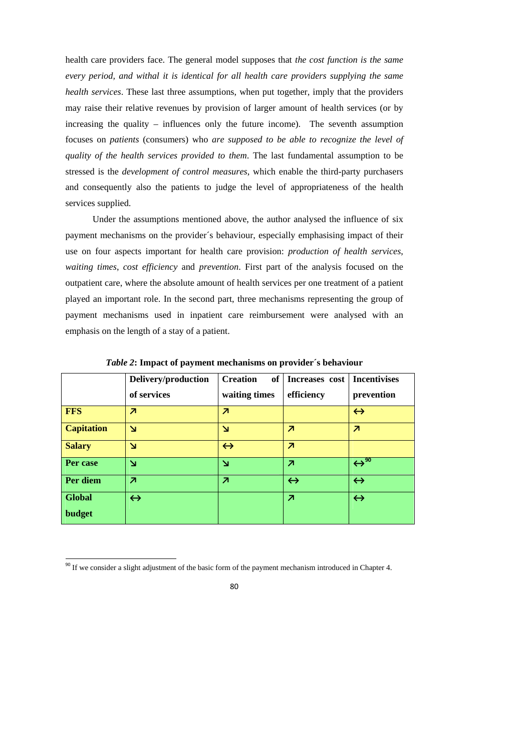health care providers face. The general model supposes that *the cost function is the same every period, and withal it is identical for all health care providers supplying the same health services*. These last three assumptions, when put together, imply that the providers may raise their relative revenues by provision of larger amount of health services (or by increasing the quality – influences only the future income). The seventh assumption focuses on *patients* (consumers) who *are supposed to be able to recognize the level of quality of the health services provided to them*. The last fundamental assumption to be stressed is the *development of control measures*, which enable the third-party purchasers and consequently also the patients to judge the level of appropriateness of the health services supplied.

Under the assumptions mentioned above, the author analysed the influence of six payment mechanisms on the provider´s behaviour, especially emphasising impact of their use on four aspects important for health care provision: *production of health services*, *waiting times*, *cost efficiency* and *prevention*. First part of the analysis focused on the outpatient care, where the absolute amount of health services per one treatment of a patient played an important role. In the second part, three mechanisms representing the group of payment mechanisms used in inpatient care reimbursement were analysed with an emphasis on the length of a stay of a patient.

|                   | Delivery/production      | <b>Creation</b><br>of    | Increases cost           | <b>Incentivises</b>             |
|-------------------|--------------------------|--------------------------|--------------------------|---------------------------------|
|                   | of services              | waiting times            | efficiency               | prevention                      |
| <b>FFS</b>        | $\overline{\mathbf{z}}$  | $\overline{\phantom{a}}$ |                          | $\leftrightarrow$               |
| <b>Capitation</b> | N                        | $\mathbf{N}$             | $\overline{\phantom{a}}$ | $\overline{\phantom{a}}$        |
| <b>Salary</b>     | N                        | $\leftrightarrow$        | $\overline{\mathbf{z}}$  |                                 |
| Per case          | N                        | $\mathbf{N}$             | $\overline{\mathbf{z}}$  | $\leftrightarrow$ <sup>90</sup> |
| Per diem          | $\overline{\phantom{a}}$ | $\overline{\mathbf{z}}$  | $\leftrightarrow$        | $\leftrightarrow$               |
| <b>Global</b>     | $\leftrightarrow$        |                          | $\overline{\phantom{a}}$ | $\leftrightarrow$               |
| budget            |                          |                          |                          |                                 |

*Table 2***: Impact of payment mechanisms on provider´s behaviour** 

1

<sup>&</sup>lt;sup>90</sup> If we consider a slight adjustment of the basic form of the payment mechanism introduced in Chapter 4.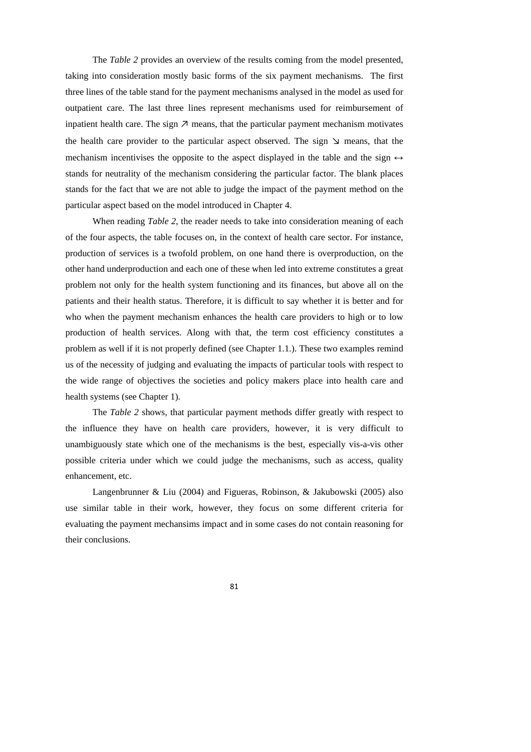The *Table 2* provides an overview of the results coming from the model presented, taking into consideration mostly basic forms of the six payment mechanisms. The first three lines of the table stand for the payment mechanisms analysed in the model as used for outpatient care. The last three lines represent mechanisms used for reimbursement of inpatient health care. The sign  $\nabla$  means, that the particular payment mechanism motivates the health care provider to the particular aspect observed. The sign  $\vee$  means, that the mechanism incentivises the opposite to the aspect displayed in the table and the sign  $\leftrightarrow$ stands for neutrality of the mechanism considering the particular factor. The blank places stands for the fact that we are not able to judge the impact of the payment method on the particular aspect based on the model introduced in Chapter 4.

When reading *Table 2*, the reader needs to take into consideration meaning of each of the four aspects, the table focuses on, in the context of health care sector. For instance, production of services is a twofold problem, on one hand there is overproduction, on the other hand underproduction and each one of these when led into extreme constitutes a great problem not only for the health system functioning and its finances, but above all on the patients and their health status. Therefore, it is difficult to say whether it is better and for who when the payment mechanism enhances the health care providers to high or to low production of health services. Along with that, the term cost efficiency constitutes a problem as well if it is not properly defined (see Chapter 1.1.). These two examples remind us of the necessity of judging and evaluating the impacts of particular tools with respect to the wide range of objectives the societies and policy makers place into health care and health systems (see Chapter 1).

The *Table 2* shows, that particular payment methods differ greatly with respect to the influence they have on health care providers, however, it is very difficult to unambiguously state which one of the mechanisms is the best, especially vis-a-vis other possible criteria under which we could judge the mechanisms, such as access, quality enhancement, etc.

Langenbrunner & Liu (2004) and Figueras, Robinson, & Jakubowski (2005) also use similar table in their work, however, they focus on some different criteria for evaluating the payment mechansims impact and in some cases do not contain reasoning for their conclusions.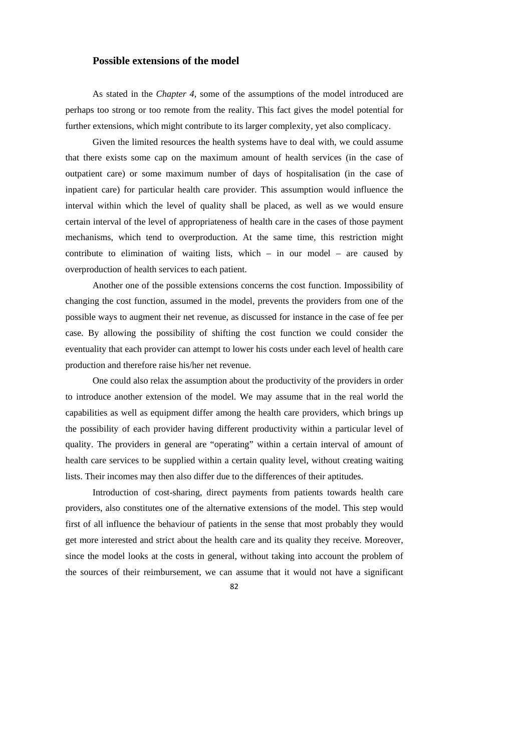### **Possible extensions of the model**

As stated in the *Chapter 4*, some of the assumptions of the model introduced are perhaps too strong or too remote from the reality. This fact gives the model potential for further extensions, which might contribute to its larger complexity, yet also complicacy.

 Given the limited resources the health systems have to deal with, we could assume that there exists some cap on the maximum amount of health services (in the case of outpatient care) or some maximum number of days of hospitalisation (in the case of inpatient care) for particular health care provider. This assumption would influence the interval within which the level of quality shall be placed, as well as we would ensure certain interval of the level of appropriateness of health care in the cases of those payment mechanisms, which tend to overproduction. At the same time, this restriction might contribute to elimination of waiting lists, which  $-$  in our model  $-$  are caused by overproduction of health services to each patient.

Another one of the possible extensions concerns the cost function. Impossibility of changing the cost function, assumed in the model, prevents the providers from one of the possible ways to augment their net revenue, as discussed for instance in the case of fee per case. By allowing the possibility of shifting the cost function we could consider the eventuality that each provider can attempt to lower his costs under each level of health care production and therefore raise his/her net revenue.

One could also relax the assumption about the productivity of the providers in order to introduce another extension of the model. We may assume that in the real world the capabilities as well as equipment differ among the health care providers, which brings up the possibility of each provider having different productivity within a particular level of quality. The providers in general are "operating" within a certain interval of amount of health care services to be supplied within a certain quality level, without creating waiting lists. Their incomes may then also differ due to the differences of their aptitudes.

Introduction of cost-sharing, direct payments from patients towards health care providers, also constitutes one of the alternative extensions of the model. This step would first of all influence the behaviour of patients in the sense that most probably they would get more interested and strict about the health care and its quality they receive. Moreover, since the model looks at the costs in general, without taking into account the problem of the sources of their reimbursement, we can assume that it would not have a significant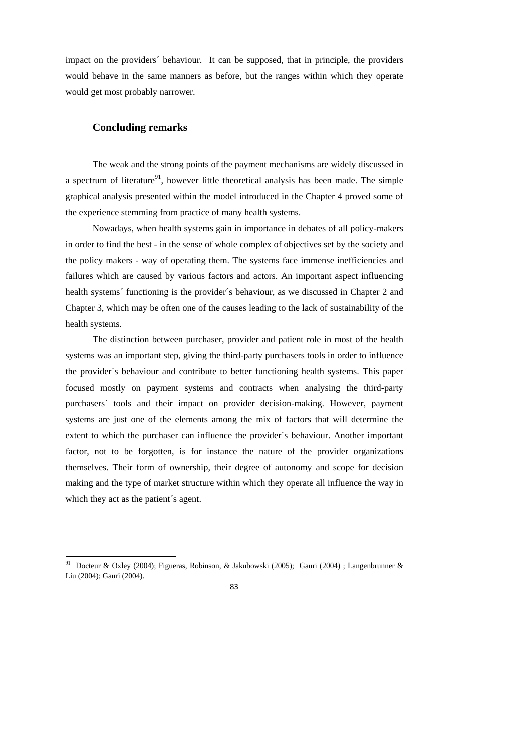impact on the providers´ behaviour. It can be supposed, that in principle, the providers would behave in the same manners as before, but the ranges within which they operate would get most probably narrower.

## **Concluding remarks**

1

The weak and the strong points of the payment mechanisms are widely discussed in a spectrum of literature<sup>91</sup>, however little theoretical analysis has been made. The simple graphical analysis presented within the model introduced in the Chapter 4 proved some of the experience stemming from practice of many health systems.

Nowadays, when health systems gain in importance in debates of all policy-makers in order to find the best - in the sense of whole complex of objectives set by the society and the policy makers - way of operating them. The systems face immense inefficiencies and failures which are caused by various factors and actors. An important aspect influencing health systems´ functioning is the provider´s behaviour, as we discussed in Chapter 2 and Chapter 3, which may be often one of the causes leading to the lack of sustainability of the health systems.

The distinction between purchaser, provider and patient role in most of the health systems was an important step, giving the third-party purchasers tools in order to influence the provider´s behaviour and contribute to better functioning health systems. This paper focused mostly on payment systems and contracts when analysing the third-party purchasers´ tools and their impact on provider decision-making. However, payment systems are just one of the elements among the mix of factors that will determine the extent to which the purchaser can influence the provider´s behaviour. Another important factor, not to be forgotten, is for instance the nature of the provider organizations themselves. Their form of ownership, their degree of autonomy and scope for decision making and the type of market structure within which they operate all influence the way in which they act as the patient's agent.

<sup>&</sup>lt;sup>91</sup> Docteur & Oxley (2004); Figueras, Robinson, & Jakubowski (2005); Gauri (2004) ; Langenbrunner & Liu (2004); Gauri (2004).

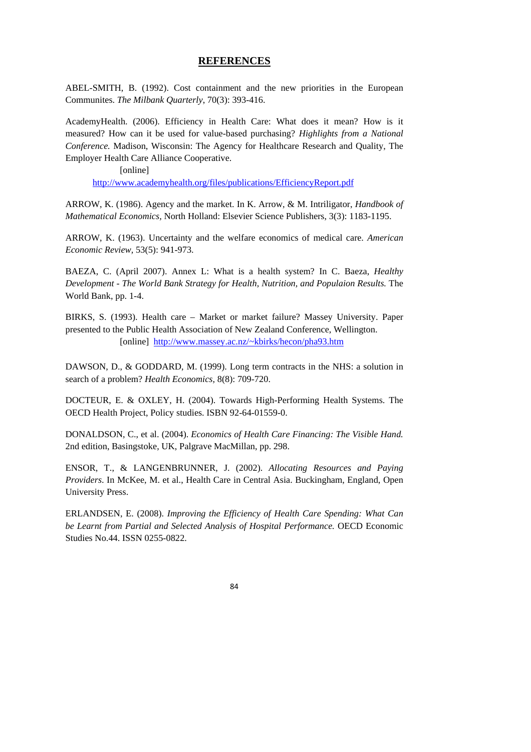#### **REFERENCES**

ABEL-SMITH, B. (1992). Cost containment and the new priorities in the European Communites. *The Milbank Quarterly*, 70(3): 393-416.

AcademyHealth. (2006). Efficiency in Health Care: What does it mean? How is it measured? How can it be used for value-based purchasing? *Highlights from a National Conference.* Madison, Wisconsin: The Agency for Healthcare Research and Quality, The Employer Health Care Alliance Cooperative.

[online]

http://www.academyhealth.org/files/publications/EfficiencyReport.pdf

ARROW, K. (1986). Agency and the market. In K. Arrow, & M. Intriligator, *Handbook of Mathematical Economics,* North Holland: Elsevier Science Publishers, 3(3): 1183-1195.

ARROW, K. (1963). Uncertainty and the welfare economics of medical care. *American Economic Review,* 53(5): 941-973.

BAEZA, C. (April 2007). Annex L: What is a health system? In C. Baeza, *Healthy Development - The World Bank Strategy for Health, Nutrition, and Populaion Results.* The World Bank, pp. 1-4.

BIRKS, S. (1993). Health care – Market or market failure? Massey University. Paper presented to the Public Health Association of New Zealand Conference, Wellington. [online] http://www.massey.ac.nz/~kbirks/hecon/pha93.htm

DAWSON, D., & GODDARD, M. (1999). Long term contracts in the NHS: a solution in search of a problem? *Health Economics,* 8(8): 709-720.

DOCTEUR, E. & OXLEY, H. (2004). Towards High-Performing Health Systems. The OECD Health Project, Policy studies. ISBN 92-64-01559-0.

DONALDSON, C., et al. (2004). *Economics of Health Care Financing: The Visible Hand.* 2nd edition, Basingstoke, UK, Palgrave MacMillan, pp. 298.

ENSOR, T., & LANGENBRUNNER, J. (2002). *Allocating Resources and Paying Providers*. In McKee, M. et al., Health Care in Central Asia. Buckingham, England, Open University Press.

ERLANDSEN, E. (2008). *Improving the Efficiency of Health Care Spending: What Can be Learnt from Partial and Selected Analysis of Hospital Performance.* OECD Economic Studies No.44. ISSN 0255-0822.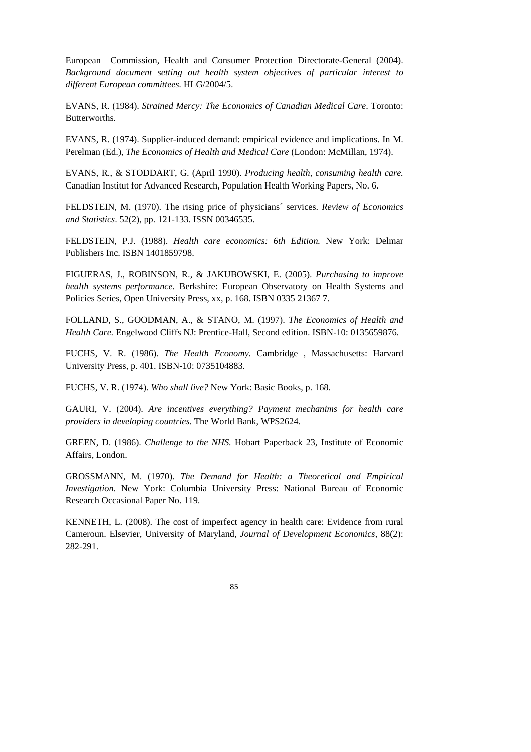European Commission, Health and Consumer Protection Directorate-General (2004). *Background document setting out health system objectives of particular interest to different European committees.* HLG/2004/5.

EVANS, R. (1984). *Strained Mercy: The Economics of Canadian Medical Care*. Toronto: Butterworths.

EVANS, R. (1974). Supplier-induced demand: empirical evidence and implications. In M. Perelman (Ed.), *The Economics of Health and Medical Care* (London: McMillan, 1974).

EVANS, R., & STODDART, G. (April 1990). *Producing health, consuming health care.* Canadian Institut for Advanced Research, Population Health Working Papers, No. 6.

FELDSTEIN, M. (1970). The rising price of physicians´ services. *Review of Economics and Statistics*. 52(2), pp. 121-133. ISSN 00346535.

FELDSTEIN, P.J. (1988). *Health care economics: 6th Edition.* New York: Delmar Publishers Inc. ISBN 1401859798.

FIGUERAS, J., ROBINSON, R., & JAKUBOWSKI, E. (2005). *Purchasing to improve health systems performance.* Berkshire: European Observatory on Health Systems and Policies Series, Open University Press, xx, p. 168. ISBN 0335 21367 7.

FOLLAND, S., GOODMAN, A., & STANO, M. (1997). *The Economics of Health and Health Care.* Engelwood Cliffs NJ: Prentice-Hall, Second edition. ISBN-10: 0135659876.

FUCHS, V. R. (1986). *The Health Economy.* Cambridge , Massachusetts: Harvard University Press, p. 401. ISBN-10: 0735104883.

FUCHS, V. R. (1974). *Who shall live?* New York: Basic Books, p. 168.

GAURI, V. (2004). *Are incentives everything? Payment mechanims for health care providers in developing countries.* The World Bank, WPS2624.

GREEN, D. (1986). *Challenge to the NHS.* Hobart Paperback 23, Institute of Economic Affairs, London.

GROSSMANN, M. (1970). *The Demand for Health: a Theoretical and Empirical Investigation.* New York: Columbia University Press: National Bureau of Economic Research Occasional Paper No. 119.

KENNETH, L. (2008). The cost of imperfect agency in health care: Evidence from rural Cameroun. Elsevier, University of Maryland, *Journal of Development Economics*, 88(2): 282-291.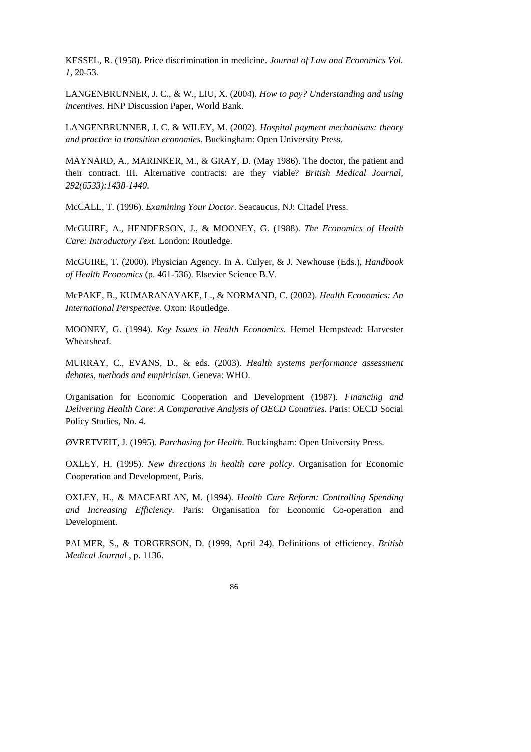KESSEL, R. (1958). Price discrimination in medicine. *Journal of Law and Economics Vol. 1,* 20-53.

LANGENBRUNNER, J. C., & W., LIU, X. (2004). *How to pay? Understanding and using incentives*. HNP Discussion Paper, World Bank.

LANGENBRUNNER, J. C. & WILEY, M. (2002). *Hospital payment mechanisms: theory and practice in transition economies.* Buckingham: Open University Press.

MAYNARD, A., MARINKER, M., & GRAY, D. (May 1986). The doctor, the patient and their contract. III. Alternative contracts: are they viable? *British Medical Journal, 292(6533):1438-1440*.

McCALL, T. (1996). *Examining Your Doctor.* Seacaucus, NJ: Citadel Press.

McGUIRE, A., HENDERSON, J., & MOONEY, G. (1988). *The Economics of Health Care: Introductory Text.* London: Routledge.

McGUIRE, T. (2000). Physician Agency. In A. Culyer, & J. Newhouse (Eds.), *Handbook of Health Economics* (p. 461-536). Elsevier Science B.V.

McPAKE, B., KUMARANAYAKE, L., & NORMAND, C. (2002). *Health Economics: An International Perspective.* Oxon: Routledge.

MOONEY, G. (1994). *Key Issues in Health Economics.* Hemel Hempstead: Harvester Wheatsheaf.

MURRAY, C., EVANS, D., & eds. (2003). *Health systems performance assessment debates, methods and empiricism.* Geneva: WHO.

Organisation for Economic Cooperation and Development (1987). *Financing and Delivering Health Care: A Comparative Analysis of OECD Countries.* Paris: OECD Social Policy Studies, No. 4.

ØVRETVEIT, J. (1995). *Purchasing for Health.* Buckingham: Open University Press.

OXLEY, H. (1995). *New directions in health care policy*. Organisation for Economic Cooperation and Development, Paris.

OXLEY, H., & MACFARLAN, M. (1994). *Health Care Reform: Controlling Spending and Increasing Efficiency.* Paris: Organisation for Economic Co-operation and Development.

PALMER, S., & TORGERSON, D. (1999, April 24). Definitions of efficiency. *British Medical Journal* , p. 1136.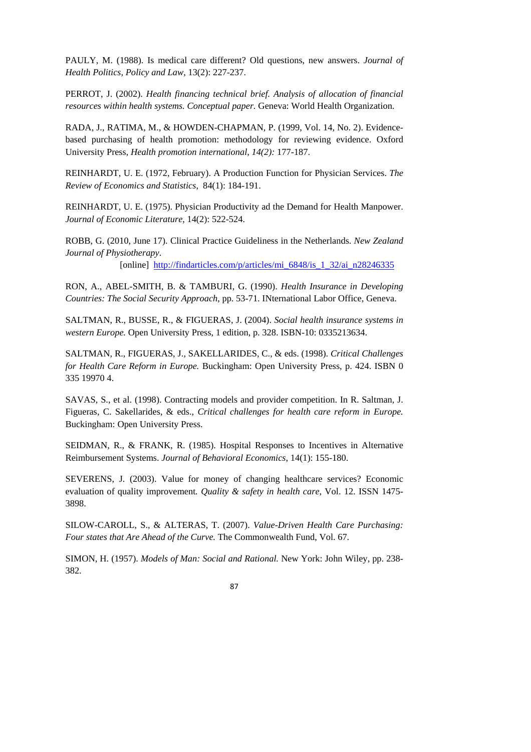PAULY, M. (1988). Is medical care different? Old questions, new answers. *Journal of Health Politics, Policy and Law*, 13(2): 227-237.

PERROT, J. (2002). *Health financing technical brief. Analysis of allocation of financial resources within health systems. Conceptual paper.* Geneva: World Health Organization.

RADA, J., RATIMA, M., & HOWDEN-CHAPMAN, P. (1999, Vol. 14, No. 2). Evidencebased purchasing of health promotion: methodology for reviewing evidence. Oxford University Press, *Health promotion international, 14(2):* 177-187.

REINHARDT, U. E. (1972, February). A Production Function for Physician Services. *The Review of Economics and Statistics*, 84(1): 184-191.

REINHARDT, U. E. (1975). Physician Productivity ad the Demand for Health Manpower. *Journal of Economic Literature*, 14(2): 522-524.

ROBB, G. (2010, June 17). Clinical Practice Guideliness in the Netherlands. *New Zealand Journal of Physiotherapy*.

[online] http://findarticles.com/p/articles/mi\_6848/is\_1\_32/ai\_n28246335

RON, A., ABEL-SMITH, B. & TAMBURI, G. (1990). *Health Insurance in Developing Countries: The Social Security Approach*, pp. 53-71. INternational Labor Office, Geneva.

SALTMAN, R., BUSSE, R., & FIGUERAS, J. (2004). *Social health insurance systems in western Europe.* Open University Press, 1 edition, p. 328. ISBN-10: 0335213634.

SALTMAN, R., FIGUERAS, J., SAKELLARIDES, C., & eds. (1998). *Critical Challenges for Health Care Reform in Europe.* Buckingham: Open University Press, p. 424. ISBN 0 335 19970 4.

SAVAS, S., et al. (1998). Contracting models and provider competition. In R. Saltman, J. Figueras, C. Sakellarides, & eds., *Critical challenges for health care reform in Europe.* Buckingham: Open University Press.

SEIDMAN, R., & FRANK, R. (1985). Hospital Responses to Incentives in Alternative Reimbursement Systems. *Journal of Behavioral Economics*, 14(1): 155-180.

SEVERENS, J. (2003). Value for money of changing healthcare services? Economic evaluation of quality improvement*. Quality & safety in health care*, Vol. 12. ISSN 1475- 3898.

SILOW-CAROLL, S., & ALTERAS, T. (2007). *Value-Driven Health Care Purchasing: Four states that Are Ahead of the Curve.* The Commonwealth Fund, Vol. 67.

SIMON, H. (1957). *Models of Man: Social and Rational.* New York: John Wiley, pp. 238- 382.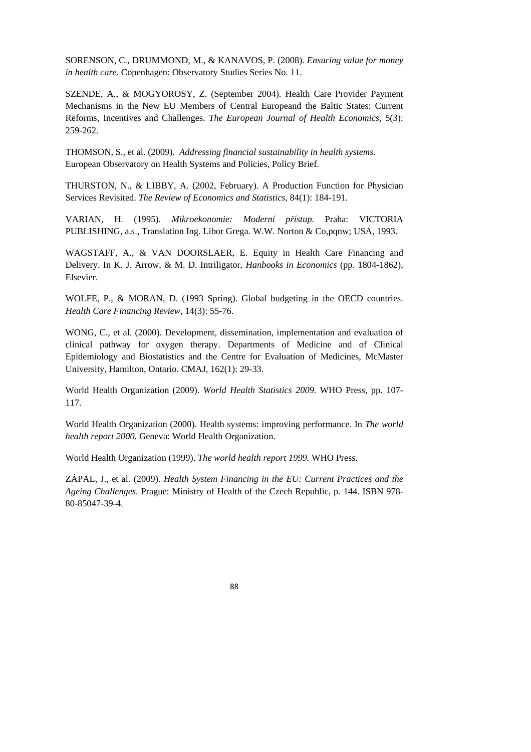SORENSON, C., DRUMMOND, M., & KANAVOS, P. (2008). *Ensuring value for money in health care.* Copenhagen: Observatory Studies Series No. 11.

SZENDE, A., & MOGYOROSY, Z. (September 2004). Health Care Provider Payment Mechanisms in the New EU Members of Central Europeand the Baltic States: Current Reforms, Incentives and Challenges. *The European Journal of Health Economics*, 5(3): 259-262.

THOMSON, S., et al. (2009). *Addressing financial sustainability in health systems*. European Observatory on Health Systems and Policies, Policy Brief.

THURSTON, N., & LIBBY, A. (2002, February). A Production Function for Physician Services Revisited. *The Review of Economics and Statistics*, 84(1): 184-191.

VARIAN, H. (1995). *Mikroekonomie: Moderní p*ř*ístup.* Praha: VICTORIA PUBLISHING, a.s., Translation Ing. Libor Grega. W.W. Norton & Co,pqnw; USA, 1993.

WAGSTAFF, A., & VAN DOORSLAER, E. Equity in Health Care Financing and Delivery. In K. J. Arrow, & M. D. Intriligator, *Hanbooks in Economics* (pp. 1804-1862), Elsevier.

WOLFE, P., & MORAN, D. (1993 Spring). Global budgeting in the OECD countries. *Health Care Financing Review*, 14(3): 55-76.

WONG, C., et al. (2000). Development, dissemination, implementation and evaluation of clinical pathway for oxygen therapy. Departments of Medicine and of Clinical Epidemiology and Biostatistics and the Centre for Evaluation of Medicines, McMaster University, Hamilton, Ontario. CMAJ, 162(1): 29-33.

World Health Organization (2009). *World Health Statistics 2009.* WHO Press, pp. 107- 117.

World Health Organization (2000). Health systems: improving performance. In *The world health report 2000.* Geneva: World Health Organization.

World Health Organization (1999). *The world health report 1999.* WHO Press.

ZÁPAL, J., et al. (2009). *Health System Financing in the EU: Current Practices and the Ageing Challenges.* Prague: Ministry of Health of the Czech Republic, p. 144. ISBN 978- 80-85047-39-4.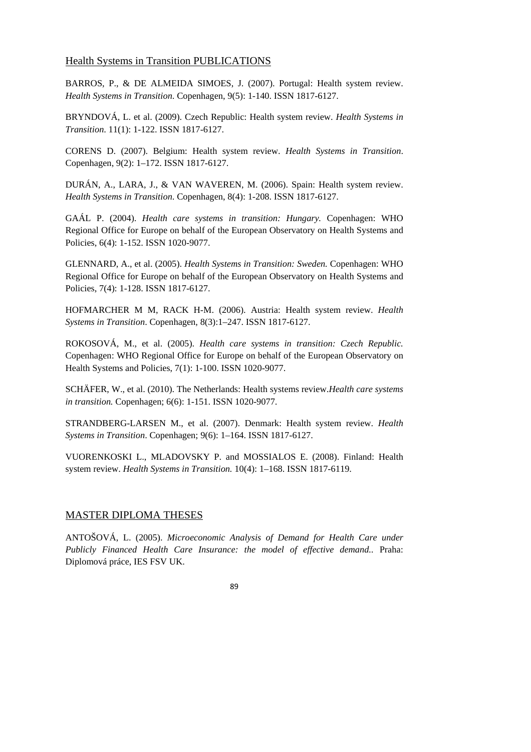## Health Systems in Transition PUBLICATIONS

BARROS, P., & DE ALMEIDA SIMOES, J. (2007). Portugal: Health system review. *Health Systems in Transition*. Copenhagen, 9(5): 1-140. ISSN 1817-6127.

BRYNDOVÁ, L. et al. (2009). Czech Republic: Health system review. *Health Systems in Transition*. 11(1): 1-122. ISSN 1817-6127.

CORENS D. (2007). Belgium: Health system review. *Health Systems in Transition*. Copenhagen, 9(2): 1–172. ISSN 1817-6127.

DURÁN, A., LARA, J., & VAN WAVEREN, M. (2006). Spain: Health system review. *Health Systems in Transition*. Copenhagen, 8(4): 1-208. ISSN 1817-6127.

GAÁL P. (2004). *Health care systems in transition: Hungary.* Copenhagen: WHO Regional Office for Europe on behalf of the European Observatory on Health Systems and Policies, 6(4): 1-152. ISSN 1020-9077.

GLENNARD, A., et al. (2005). *Health Systems in Transition: Sweden.* Copenhagen: WHO Regional Office for Europe on behalf of the European Observatory on Health Systems and Policies, 7(4): 1-128. ISSN 1817-6127.

HOFMARCHER M M, RACK H-M. (2006). Austria: Health system review. *Health Systems in Transition*. Copenhagen, 8(3):1–247. ISSN 1817-6127.

ROKOSOVÁ, M., et al. (2005). *Health care systems in transition: Czech Republic.* Copenhagen: WHO Regional Office for Europe on behalf of the European Observatory on Health Systems and Policies, 7(1): 1-100. ISSN 1020-9077.

SCHÄFER, W., et al. (2010). The Netherlands: Health systems review.*Health care systems in transition.* Copenhagen; 6(6): 1-151. ISSN 1020-9077.

STRANDBERG-LARSEN M., et al. (2007). Denmark: Health system review. *Health Systems in Transition*. Copenhagen; 9(6): 1–164. ISSN 1817-6127.

VUORENKOSKI L., MLADOVSKY P. and MOSSIALOS E. (2008). Finland: Health system review. *Health Systems in Transition.* 10(4): 1–168. ISSN 1817-6119.

# MASTER DIPLOMA THESES

ANTOŠOVÁ, L. (2005). *Microeconomic Analysis of Demand for Health Care under Publicly Financed Health Care Insurance: the model of effective demand..* Praha: Diplomová práce, IES FSV UK.